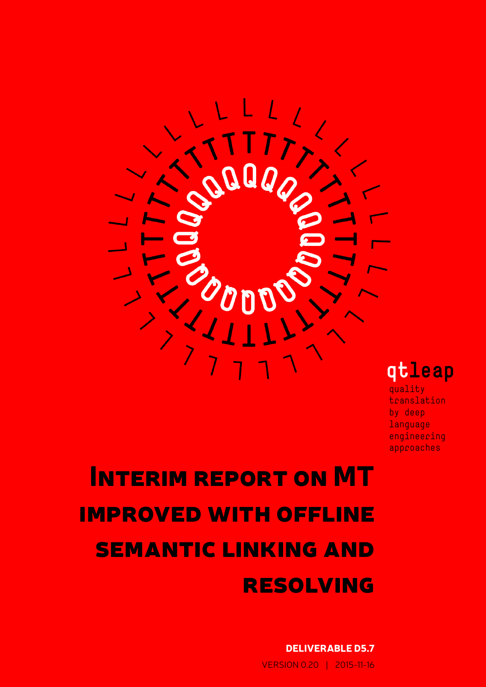

## qtleap

quality translation by deep language engineering approaches

# Interim report on MT improved with offline semantic linking and resolving

DELIVERABLE D5.7 VERSION 0.20 | 2015-11-16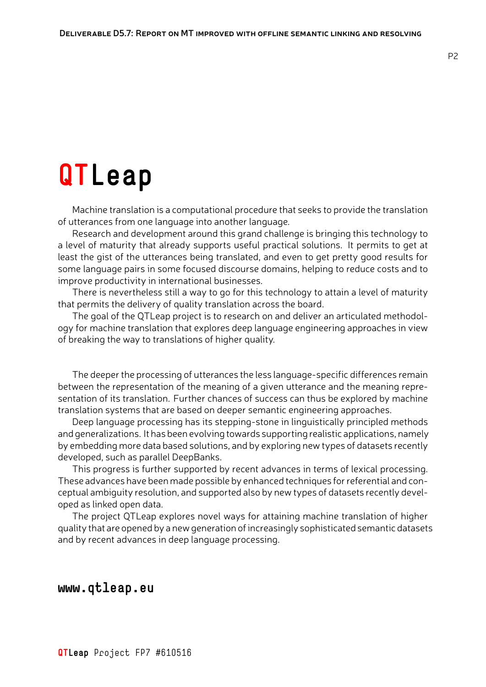## **QTLeap**

Machine translation is a computational procedure that seeks to provide the translation of utterances from one language into another language.

Research and development around this grand challenge is bringing this technology to a level of maturity that already supports useful practical solutions. It permits to get at least the gist of the utterances being translated, and even to get pretty good results for some language pairs in some focused discourse domains, helping to reduce costs and to improve productivity in international businesses.

There is nevertheless still a way to go for this technology to attain a level of maturity that permits the delivery of quality translation across the board.

The goal of the QTLeap project is to research on and deliver an articulated methodology for machine translation that explores deep language engineering approaches in view of breaking the way to translations of higher quality.

The deeper the processing of utterances the less language-specific differences remain between the representation of the meaning of a given utterance and the meaning representation of its translation. Further chances of success can thus be explored by machine translation systems that are based on deeper semantic engineering approaches.

Deep language processing has its stepping-stone in linguistically principled methods and generalizations. It has been evolving towards supporting realistic applications, namely by embedding more data based solutions, and by exploring new types of datasets recently developed, such as parallel DeepBanks.

This progress is further supported by recent advances in terms of lexical processing. These advances have been made possible by enhanced techniques for referential and conceptual ambiguity resolution, and supported also by new types of datasets recently developed as linked open data.

The project QTLeap explores novel ways for attaining machine translation of higher quality that are opened by a new generation of increasingly sophisticated semantic datasets and by recent advances in deep language processing.

**www.qtleap.eu**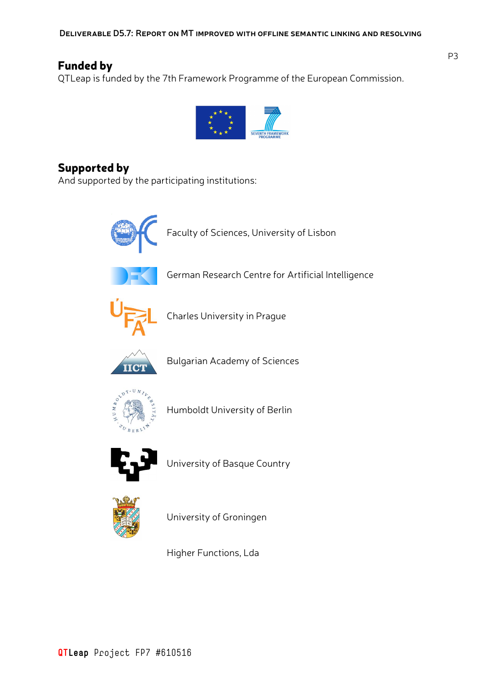## Funded by

QTLeap is funded by the 7th Framework Programme of the European Commission.



## Supported by

And supported by the participating institutions:



Higher Functions, Lda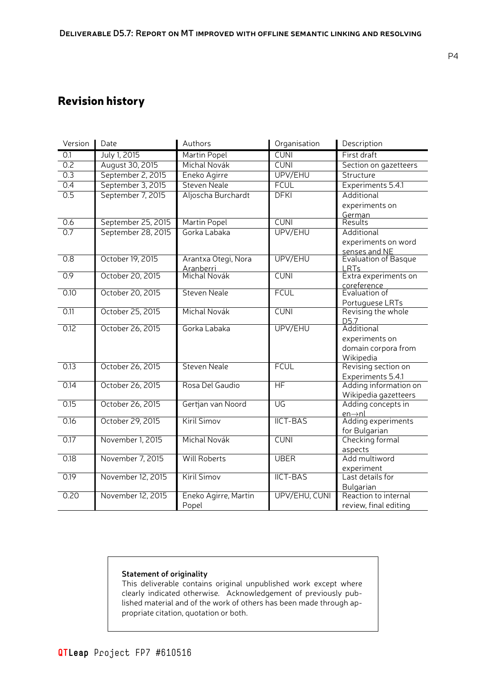## Revision history

| Version           | Date               | Authors                   | Organisation         | Description                         |
|-------------------|--------------------|---------------------------|----------------------|-------------------------------------|
| 0.1               | July 1, 2015       | Martin Popel              | <b>CUNI</b>          | First draft                         |
| $\overline{0.2}$  | August 30, 2015    | Michal Novák              | <b>CUNI</b>          | Section on gazetteers               |
| 0.3               | September 2, 2015  | Eneko Agirre              | <b>UPV/EHU</b>       | Structure                           |
| $\overline{0.4}$  | September 3, 2015  | <b>Steven Neale</b>       | <b>FCUL</b>          | Experiments 5.4.1                   |
| $\overline{0.5}$  | September 7, 2015  | Aljoscha Burchardt        | <b>DFKI</b>          | Additional                          |
|                   |                    |                           |                      | experiments on                      |
|                   |                    |                           |                      | German                              |
| 0.6               | September 25, 2015 | <b>Martin Popel</b>       | <b>CUNI</b>          | Results                             |
| 0.7               | September 28, 2015 | Gorka Labaka              | UPV/EHU              | Additional                          |
|                   |                    |                           |                      | experiments on word                 |
|                   |                    |                           |                      | senses and NE                       |
| 0.8               | October 19, 2015   | Arantxa Otegi, Nora       | UPV/EHU              | Evaluation of Basque                |
| 0.9               | October 20, 2015   | Aranberri<br>Michal Novák | <b>CUNI</b>          | <b>LRTs</b><br>Extra experiments on |
|                   |                    |                           |                      | coreference                         |
| 0.10              | October 20, 2015   | <b>Steven Neale</b>       | <b>FCUL</b>          | Evaluation of                       |
|                   |                    |                           |                      | Portuguese LRTs                     |
| $\overline{0.11}$ | October 25, 2015   | Michal Novák              | <b>CUNI</b>          | Revising the whole                  |
|                   |                    |                           |                      | D5.7                                |
| 0.12              | October 26, 2015   | Gorka Labaka              | UPV/EHU              | Additional                          |
|                   |                    |                           |                      | experiments on                      |
|                   |                    |                           |                      | domain corpora from                 |
|                   |                    |                           |                      | Wikipedia                           |
| 0.13              | October 26, 2015   | <b>Steven Neale</b>       | <b>FCUL</b>          | Revising section on                 |
|                   |                    |                           |                      | Experiments 5.4.1                   |
| 0.14              | October 26, 2015   | Rosa Del Gaudio           | HF                   | Adding information on               |
| 0.15              | October 26, 2015   | Gertjan van Noord         | UG                   | Wikipedia gazetteers                |
|                   |                    |                           |                      | Adding concepts in<br>en->nl        |
| 0.16              | October 29, 2015   | Kiril Simov               | <b>IICT-BAS</b>      | Adding experiments                  |
|                   |                    |                           |                      | for Bulgarian                       |
| 0.17              | November 1, 2015   | Michal Novák              | <b>CUNI</b>          | Checking formal                     |
|                   |                    |                           |                      | aspects                             |
| 0.18              | November 7, 2015   | <b>Will Roberts</b>       | <b>UBER</b>          | Add multiword                       |
|                   |                    |                           |                      | experiment                          |
| 0.19              | November 12, 2015  | <b>Kiril Simov</b>        | <b>IICT-BAS</b>      | Last details for                    |
|                   |                    |                           |                      | Bulgarian                           |
| 0.20              | November 12, 2015  | Eneko Agirre, Martin      | <b>UPV/EHU, CUNI</b> | Reaction to internal                |
|                   |                    | Popel                     |                      | review, final editing               |

#### **Statement of originality**

This deliverable contains original unpublished work except where clearly indicated otherwise. Acknowledgement of previously published material and of the work of others has been made through appropriate citation, quotation or both.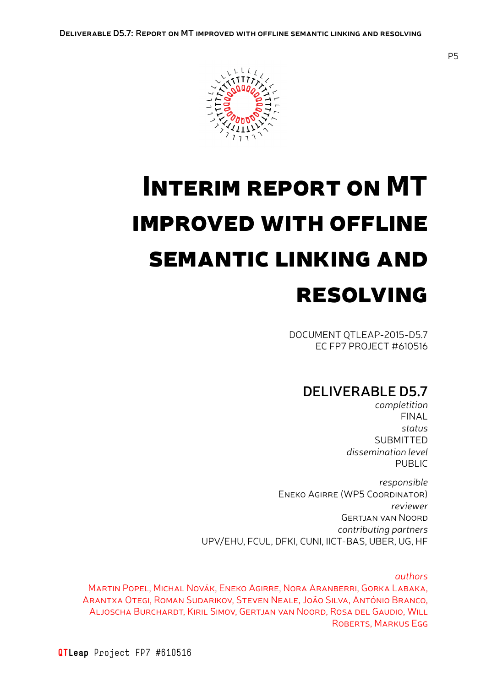

## Interim report on MT improved with offline semantic linking and resolving

DOCUMENT QTLEAP-2015-D5.7 EC FP7 PROJECT #610516

## **DELIVERABLE D5.7**

*completition* FINAL *status* **SUBMITTED** *dissemination level* PUBLIC

*responsible* Eneko Agirre (WP5 Coordinator) *reviewer* Gertjan van Noord *contributing partners* UPV/EHU, FCUL, DFKI, CUNI, IICT-BAS, UBER, UG, HF

*authors* Martin Popel, Michal Novák, Eneko Agirre, Nora Aranberri, Gorka Labaka, Arantxa Otegi, Roman Sudarikov, Steven Neale, João Silva, António Branco, Aljoscha Burchardt, Kiril Simov, Gertjan van Noord, Rosa del Gaudio, Will ROBERTS, MARKUS EGG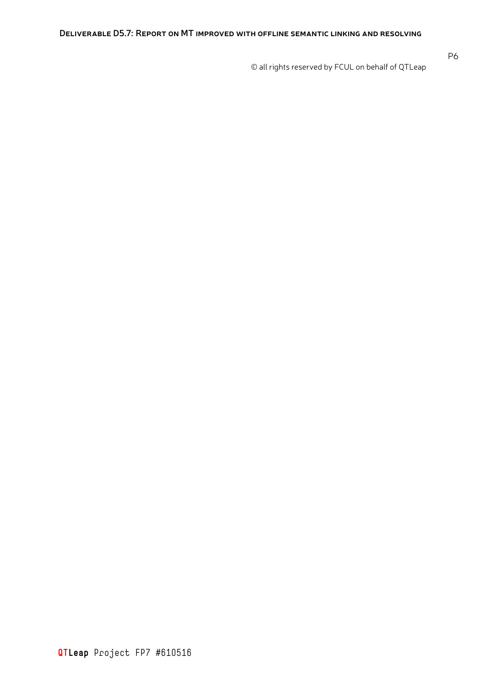P6

© all rights reserved by FCUL on behalf of QTLeap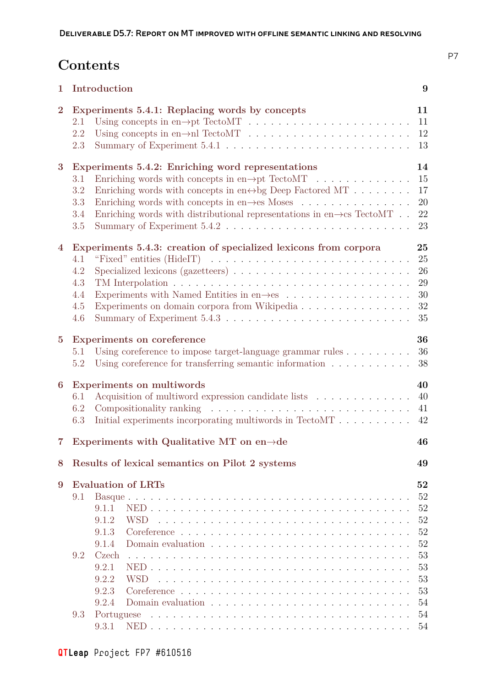## **Contents**

| $\mathbf{1}$            |                                        | Introduction                                                                                                                                                                                                                                                                                                                                                | 9                                      |
|-------------------------|----------------------------------------|-------------------------------------------------------------------------------------------------------------------------------------------------------------------------------------------------------------------------------------------------------------------------------------------------------------------------------------------------------------|----------------------------------------|
| $\overline{2}$          | 2.1<br>2.2<br>2.3                      | Experiments 5.4.1: Replacing words by concepts                                                                                                                                                                                                                                                                                                              | 11<br>11<br>12<br>13                   |
| 3                       | 3.1<br>3.2<br>3.3<br>3.4<br>3.5        | Experiments 5.4.2: Enriching word representations<br>Enriching words with concepts in en $\rightarrow$ pt TectoMT<br>Enriching words with concepts in en $\leftrightarrow$ bg Deep Factored MT<br>Enriching words with concepts in en $\rightarrow$ es Moses<br>Enriching words with distributional representations in en $\rightarrow$ cs TectoMT $\,$ . . | 14<br>15<br>17<br>20<br>22<br>23       |
| $\overline{\mathbf{4}}$ | 4.1<br>4.2<br>4.3<br>4.4<br>4.5<br>4.6 | Experiments 5.4.3: creation of specialized lexicons from corpora<br>"Fixed" entities (HidelT) $\ldots \ldots \ldots \ldots \ldots \ldots \ldots \ldots \ldots$<br>Experiments on domain corpora from Wikipedia                                                                                                                                              | 25<br>25<br>26<br>29<br>30<br>32<br>35 |
| $5\overline{)}$         | 5.1<br>5.2                             | <b>Experiments on coreference</b><br>Using coreference to impose target-language grammar rules<br>Using coreference for transferring semantic information $\ldots \ldots \ldots$                                                                                                                                                                            | 36<br>36<br>38                         |
| 6                       | 6.1<br>6.2<br>6.3                      | Experiments on multiwords<br>Acquisition of multiword expression candidate lists<br>Initial experiments incorporating multiwords in TectoMT                                                                                                                                                                                                                 | 40<br>40<br>41<br>42                   |
| $\overline{\mathbf{7}}$ |                                        | Experiments with Qualitative MT on en $\rightarrow$ de                                                                                                                                                                                                                                                                                                      | 46                                     |
| 8                       |                                        | Results of lexical semantics on Pilot 2 systems                                                                                                                                                                                                                                                                                                             | 49                                     |
| 9                       | 9.1                                    | <b>Evaluation of LRTs</b><br>9.1.1<br>9.1.2<br>9.1.3<br>9.1.4                                                                                                                                                                                                                                                                                               | 52<br>52<br>52<br>52<br>52<br>52       |
|                         | 9.2                                    | Czech<br>9.2.1<br>9.2.2<br><b>WSD</b><br>9.2.3                                                                                                                                                                                                                                                                                                              | 53<br>53<br>53<br>53                   |
|                         | 9.3                                    | 9.2.4<br>9.3.1                                                                                                                                                                                                                                                                                                                                              | 54<br>54<br>54                         |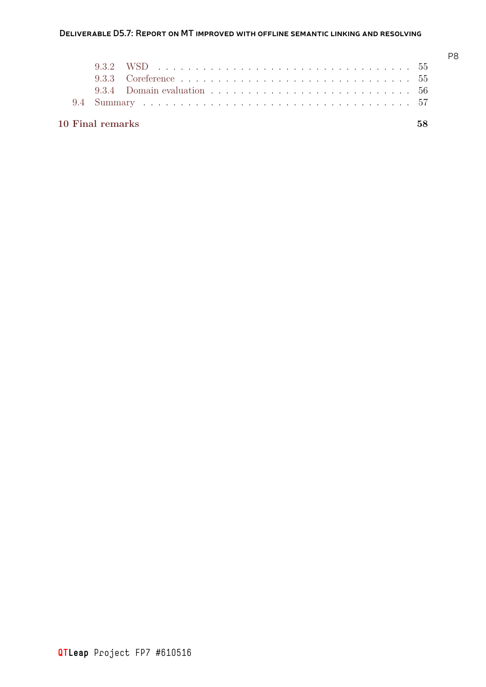|                  | 9.3.4 Domain evaluation $\ldots$ , $\ldots$ , $\ldots$ , $\ldots$ , $\ldots$ , $\ldots$ , $\ldots$ , $\ldots$ , 56 |  |
|------------------|--------------------------------------------------------------------------------------------------------------------|--|
| 10 Final remarks |                                                                                                                    |  |

P8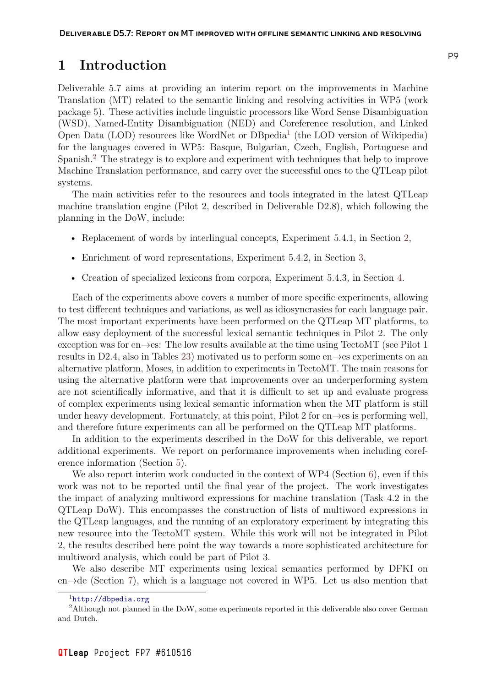## **1 Introduction**

<span id="page-8-0"></span>Deliverable 5.7 aims at providing an interim report on the improvements in Machine Translation (MT) related to the semantic linking and resolving activities in WP5 (work package 5). These activities include linguistic processors like Word Sense Disambiguation (WSD), Named-Entity Disambiguation (NED) and Coreference resolution, and Linked Open Data (LOD) resources like WordNet or DBpedia<sup>1</sup> (the LOD version of Wikipedia) for the languages covered in WP5: Basque, Bulgarian, Czech, English, Portuguese and Spanish.<sup>2</sup> The strategy is to explore and experiment with techniques that help to improve Machine Translation performance, and carry over the s[uc](#page-8-1)cessful ones to the QTLeap pilot systems.

The [m](#page-8-2)ain activities refer to the resources and tools integrated in the latest QTLeap machine translation engine (Pilot 2, described in Deliverable D2.8), which following the planning in the DoW, include:

- Replacement of words by interlingual concepts, Experiment 5.4.1, in Section 2,
- Enrichment of word representations, Experiment 5.4.2, in Section 3,
- Creation of specialized lexicons from corpora, Experiment 5.4.3, in Section 4[.](#page-10-0)

Each of the experiments above covers a number of more specific expe[ri](#page-13-0)ments, allowing to test different techniques and variations, as well as idiosyncrasies for each language pair. The most important experiments have been performed on the QTLeap MT platf[orm](#page-24-0)s, to allow easy deployment of the successful lexical semantic techniques in Pilot 2. The only exception was for en*→*es: The low results available at the time using TectoMT (see Pilot 1 results in D2.4, also in Tables 23) motivated us to perform some en*→*es experiments on an alternative platform, Moses, in addition to experiments in TectoMT. The main reasons for using the alternative platform were that improvements over an underperforming system are not scientifically informa[tive](#page-50-0), and that it is difficult to set up and evaluate progress of complex experiments using lexical semantic information when the MT platform is still under heavy development. Fortunately, at this point, Pilot 2 for en*→*es is performing well, and therefore future experiments can all be performed on the QTLeap MT platforms.

In addition to the experiments described in the DoW for this deliverable, we report additional experiments. We report on performance improvements when including coreference information (Section 5).

We also report interim work conducted in the context of WP4 (Section 6), even if this work was not to be reported until the final year of the project. The work investigates the impact of analyzing mu[lt](#page-35-0)iword expressions for machine translation (Task 4.2 in the QTLeap DoW). This encompasses the construction of lists of multiword [ex](#page-39-0)pressions in the QTLeap languages, and the running of an exploratory experiment by integrating this new resource into the TectoMT system. While this work will not be integrated in Pilot 2, the results described here point the way towards a more sophisticated architecture for multiword analysis, which could be part of Pilot 3.

We also describe MT experiments using lexical semantics performed by DFKI on en*→*de (Section 7), which is a language not covered in WP5. Let us also mention that

 $1$ http://dbpedia.org

<span id="page-8-2"></span><span id="page-8-1"></span><sup>2</sup>Although not planned in the DoW, some experiments reported in this deliverable also cover German and Dutch.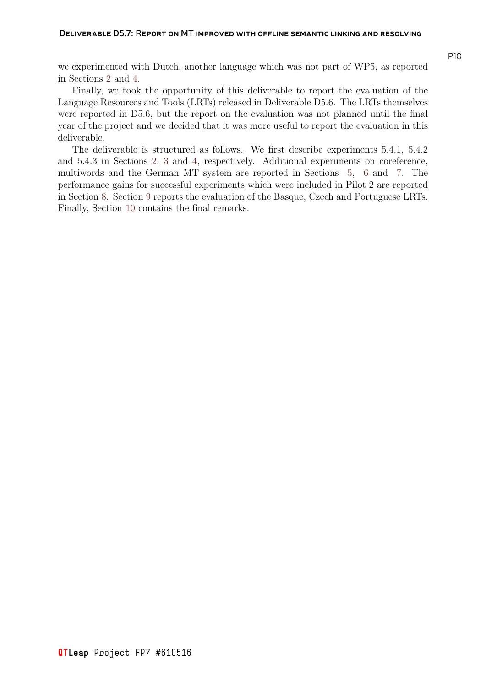Finally, we took the opportunity of this deliverable to report the evaluation of the Language Resources and Tools (LRTs) released in Deliverable D5.6. The LRTs themselves were report[ed](#page-10-0) in [D](#page-24-0)5.6, but the report on the evaluation was not planned until the final year of the project and we decided that it was more useful to report the evaluation in this deliverable.

The deliverable is structured as follows. We first describe experiments 5.4.1, 5.4.2 and 5.4.3 in Sections 2, 3 and 4, respectively. Additional experiments on coreference, multiwords and the German MT system are reported in Sections 5, 6 and 7. The performance gains for successful experiments which were included in Pilot 2 are reported in Section 8. Section 9 [r](#page-10-0)e[po](#page-13-0)rts t[he](#page-24-0) evaluation of the Basque, Czech and Portuguese LRTs. Finally, Section 10 contains the final remarks.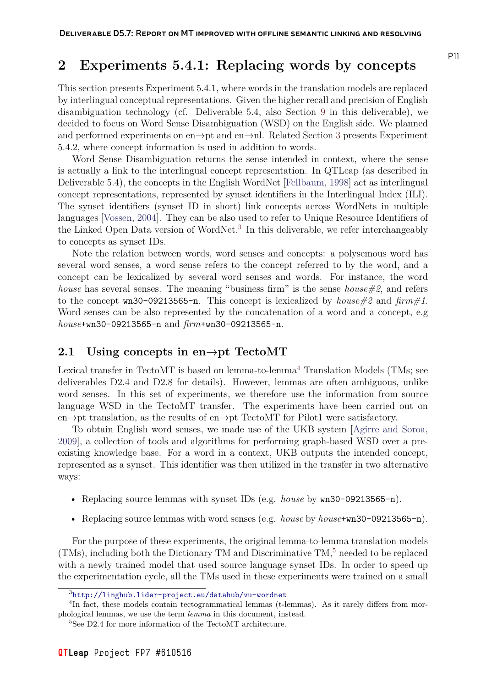## **2 Experiments 5.4.1: Replacing words by concepts**

<span id="page-10-0"></span>This section presents Experiment 5.4.1, where words in the translation models are replaced by interlingual conceptual representations. Given the higher recall and precision of English disambiguation technology (cf. Deliverable 5.4, also Section 9 in this deliverable), we decided to focus on Word Sense Disambiguation (WSD) on the English side. We planned and performed experiments on en*→*pt and en*→*nl. Related Section 3 presents Experiment 5.4.2, where concept information is used in addition to words.

Word Sense Disambiguation returns the sense intended in [c](#page-51-0)ontext, where the sense is actually a link to the interlingual concept representation. In Q[TL](#page-13-0)eap (as described in Deliverable 5.4), the concepts in the English WordNet [Fellbaum, 1998] act as interlingual concept representations, represented by synset identifiers in the Interlingual Index (ILI). The synset identifiers (synset ID in short) link concepts across WordNets in multiple languages [Vossen, 2004]. They can be also used to ref[er to Unique Res](#page-61-0)ource Identifiers of the Linked Open Data version of WordNet.<sup>3</sup> In this deliverable, we refer interchangeably to concepts as synset IDs.

Note t[he relation be](#page-64-0)tween words, word senses and concepts: a polysemous word has several word senses, a word sense refers t[o](#page-10-2) the concept referred to by the word, and a concept can be lexicalized by several word senses and words. For instance, the word *house* has several senses. The meaning "business firm" is the sense *house#2*, and refers to the concept wn30-09213565-n. This concept is lexicalized by *house#2* and *firm#1*. Word senses can be also represented by the concatenation of a word and a concept, e.g *house*+wn30-09213565-n and *firm*+wn30-09213565-n.

## **2.1 Using concepts in en***→***pt TectoMT**

<span id="page-10-1"></span>Lexical transfer in TectoMT is based on lemma-to-lemma<sup>4</sup> Translation Models (TMs; see deliverables D2.4 and D2.8 for details). However, lemmas are often ambiguous, unlike word senses. In this set of experiments, we therefore use the information from source language WSD in the TectoMT transfer. The experi[me](#page-10-3)nts have been carried out on en*→*pt translation, as the results of en*→*pt TectoMT for Pilot1 were satisfactory.

To obtain English word senses, we made use of the UKB system [Agirre and Soroa, 2009], a collection of tools and algorithms for performing graph-based WSD over a preexisting knowledge base. For a word in a context, UKB outputs the intended concept, represented as a synset. This identifier was then utilized in the transfer [in two alternative](#page-60-0) [ways](#page-60-0):

- Replacing source lemmas with synset IDs (e.g. *house* by wn30-09213565-n).
- Replacing source lemmas with word senses (e.g. *house* by *house*+wn30-09213565-n).

For the purpose of these experiments, the original lemma-to-lemma translation models  $(TMs)$ , including both the Dictionary TM and Discriminative  $TM<sup>5</sup>$  needed to be replaced with a newly trained model that used source language synset IDs. In order to speed up the experimentation cycle, all the TMs used in these experiments were trained on a small

<sup>3</sup>http://linghub.lider-project.eu/datahub/vu-wordnet

<sup>&</sup>lt;sup>4</sup>In fact, these models contain tectogrammatical lemmas (t-lemmas). As it rarely differs from morphological lemmas, we use the term *lemma* in this document, instead.

<span id="page-10-3"></span><span id="page-10-2"></span><sup>&</sup>lt;sup>5</sup>See D2.4 for more information of the TectoMT architecture.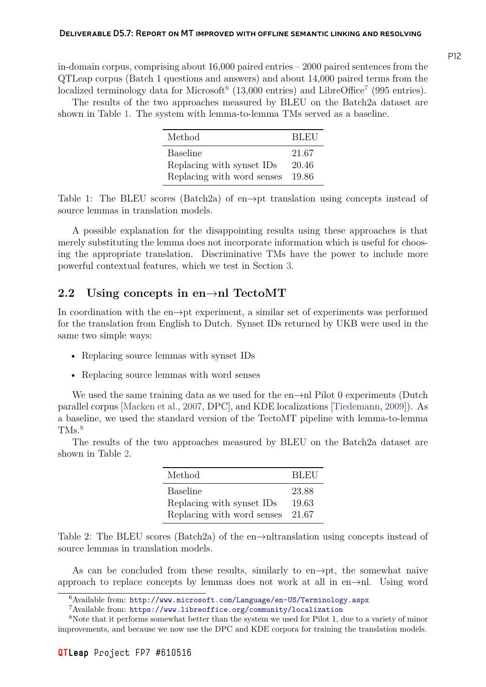in-domain corpus, comprising about 16,000 paired entries – 2000 paired sentences from the QTLeap corpus (Batch 1 questions and answers) and about 14,000 paired terms from the localized terminology data for Microsoft<sup>6</sup> (13,000 entries) and LibreOffice<sup>7</sup> (995 entries).

The results of the two approaches measured by BLEU on the Batch2a dataset are shown in Table 1. The system with lemma-to-lemma TMs served as a baseline.

| Method                     | <b>BLEU</b> |
|----------------------------|-------------|
| <b>Baseline</b>            | 21.67       |
| Replacing with synset IDs  | 20.46       |
| Replacing with word senses | 19.86       |

Table 1: The BLEU scores (Batch2a) of en*→*pt translation using concepts instead of source lemmas in translation models.

A possible explanation for the disappointing results using these approaches is that merely substituting the lemma does not incorporate information which is useful for choosing the appropriate translation. Discriminative TMs have the power to include more powerful contextual features, which we test in Section 3.

## **2.2 Using concepts in en***→***nl TectoMT**

<span id="page-11-0"></span>In coordination with the en*→*pt experiment, a similar [se](#page-13-0)t of experiments was performed for the translation from English to Dutch. Synset IDs returned by UKB were used in the same two simple ways:

- Replacing source lemmas with synset IDs
- Replacing source lemmas with word senses

We used the same training data as we used for the en*→*nl Pilot 0 experiments (Dutch parallel corpus [Macken et al., 2007, DPC], and KDE localizations [Tiedemann, 2009]). As a baseline, we used the standard version of the TectoMT pipeline with lemma-to-lemma TMs.<sup>8</sup>

The results [of the two approac](#page-62-0)hes measured by BLEU on t[he Batch2a](#page-64-1) [datase](#page-64-1)t are shown in Table 2.

| Method                     | <b>BLEU</b> |
|----------------------------|-------------|
| <b>Baseline</b>            | 23.88       |
| Replacing with synset IDs  | 19.63       |
| Replacing with word senses | 21.67       |

Table 2: The BLEU scores (Batch2a) of the en*→*nltranslation using concepts instead of source lemmas in translation models.

As can be concluded from these results, similarly to en*→*pt, the somewhat naive approach to replace concepts by lemmas does not work at all in en*→*nl. Using word

<sup>6</sup>Available from: http://www.microsoft.com/Language/en-US/Terminology.aspx

<sup>7</sup>Available from: https://www.libreoffice.org/community/localization

<sup>8</sup>Note that it performs somewhat better than the system we used for Pilot 1, due to a variety of minor improvements, and because we now use the DPC and KDE corpora for training the translation models.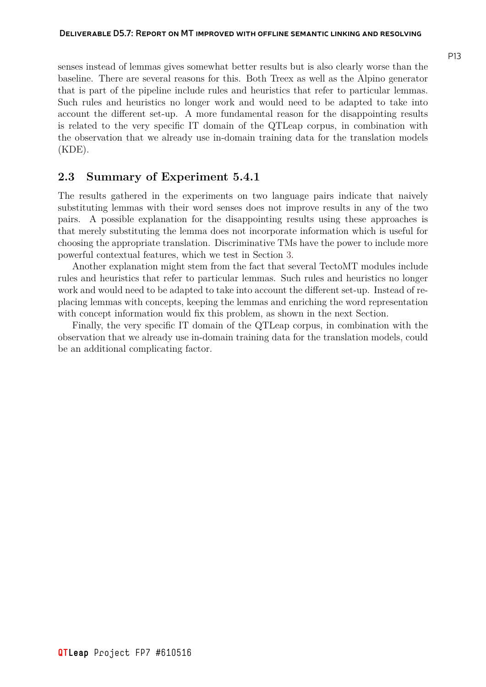senses instead of lemmas gives somewhat better results but is also clearly worse than the baseline. There are several reasons for this. Both Treex as well as the Alpino generator that is part of the pipeline include rules and heuristics that refer to particular lemmas. Such rules and heuristics no longer work and would need to be adapted to take into account the different set-up. A more fundamental reason for the disappointing results is related to the very specific IT domain of the QTLeap corpus, in combination with the observation that we already use in-domain training data for the translation models (KDE).

## **2.3 Summary of Experiment 5.4.1**

<span id="page-12-0"></span>The results gathered in the experiments on two language pairs indicate that naively substituting lemmas with their word senses does not improve results in any of the two pairs. A possible explanation for the disappointing results using these approaches is that merely substituting the lemma does not incorporate information which is useful for choosing the appropriate translation. Discriminative TMs have the power to include more powerful contextual features, which we test in Section 3.

Another explanation might stem from the fact that several TectoMT modules include rules and heuristics that refer to particular lemmas. Such rules and heuristics no longer work and would need to be adapted to take into accoun[t t](#page-13-0)he different set-up. Instead of replacing lemmas with concepts, keeping the lemmas and enriching the word representation with concept information would fix this problem, as shown in the next Section.

Finally, the very specific IT domain of the QTLeap corpus, in combination with the observation that we already use in-domain training data for the translation models, could be an additional complicating factor.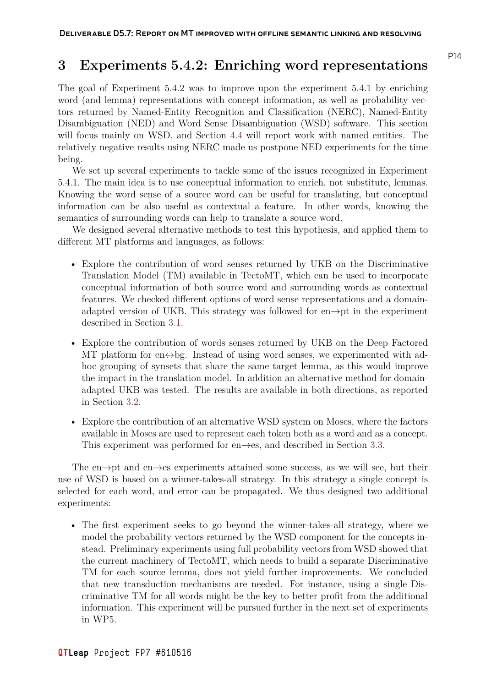## **3 Experiments 5.4.2: Enriching word representations**

<span id="page-13-0"></span>The goal of Experiment 5.4.2 was to improve upon the experiment 5.4.1 by enriching word (and lemma) representations with concept information, as well as probability vectors returned by Named-Entity Recognition and Classification (NERC), Named-Entity Disambiguation (NED) and Word Sense Disambiguation (WSD) software. This section will focus mainly on WSD, and Section 4.4 will report work with named entities. The relatively negative results using NERC made us postpone NED experiments for the time being.

We set up several experiments to tac[kle](#page-29-0) some of the issues recognized in Experiment 5.4.1. The main idea is to use conceptual information to enrich, not substitute, lemmas. Knowing the word sense of a source word can be useful for translating, but conceptual information can be also useful as contextual a feature. In other words, knowing the semantics of surrounding words can help to translate a source word.

We designed several alternative methods to test this hypothesis, and applied them to different MT platforms and languages, as follows:

- Explore the contribution of word senses returned by UKB on the Discriminative Translation Model (TM) available in TectoMT, which can be used to incorporate conceptual information of both source word and surrounding words as contextual features. We checked different options of word sense representations and a domainadapted version of UKB. This strategy was followed for en*→*pt in the experiment described in Section 3.1.
- Explore the contribution of words senses returned by UKB on the Deep Factored MT platform for en*↔*bg. Instead of using word senses, we experimented with adhoc grouping of syn[sets](#page-14-0) that share the same target lemma, as this would improve the impact in the translation model. In addition an alternative method for domainadapted UKB was tested. The results are available in both directions, as reported in Section 3.2.
- Explore the contribution of an alternative WSD system on Moses, where the factors available in Moses are used to represent each token both as a word and as a concept. This exper[ime](#page-16-0)nt was performed for en*→*es, and described in Section 3.3.

The en*→*pt and en*→*es experiments attained some success, as we will see, but their use of WSD is based on a winner-takes-all strategy. In this strategy a si[ngle](#page-19-0) concept is selected for each word, and error can be propagated. We thus designed two additional experiments:

• The first experiment seeks to go beyond the winner-takes-all strategy, where we model the probability vectors returned by the WSD component for the concepts instead. Preliminary experiments using full probability vectors from WSD showed that the current machinery of TectoMT, which needs to build a separate Discriminative TM for each source lemma, does not yield further improvements. We concluded that new transduction mechanisms are needed. For instance, using a single Discriminative TM for all words might be the key to better profit from the additional information. This experiment will be pursued further in the next set of experiments in WP5.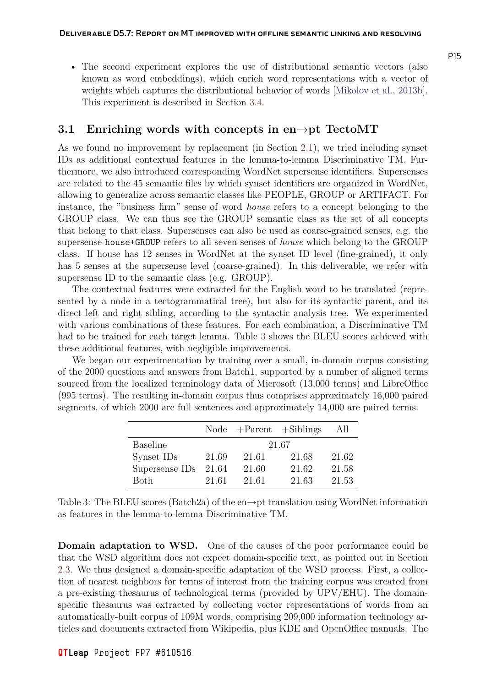• The second experiment explores the use of distributional semantic vectors (also known as word embeddings), which enrich word representations with a vector of weights which captures the distributional behavior of words [Mikolov et al., 2013b]. This experiment is described in Section 3.4.

### **3.1 Enriching words with concepts in en***→***pt T[ectoMT](#page-62-1)**

<span id="page-14-0"></span>As we found no improvement by replacement [\(in](#page-21-0) Section 2.1), we tried including synset IDs as additional contextual features in the lemma-to-lemma Discriminative TM. Furthermore, we also introduced corresponding WordNet supersense identifiers. Supersenses are related to the 45 semantic files by which synset identi[fiers](#page-10-1) are organized in WordNet, allowing to generalize across semantic classes like PEOPLE, GROUP or ARTIFACT. For instance, the "business firm" sense of word *house* refers to a concept belonging to the GROUP class. We can thus see the GROUP semantic class as the set of all concepts that belong to that class. Supersenses can also be used as coarse-grained senses, e.g. the supersense house+GROUP refers to all seven senses of *house* which belong to the GROUP class. If house has 12 senses in WordNet at the synset ID level (fine-grained), it only has 5 senses at the supersense level (coarse-grained). In this deliverable, we refer with supersense ID to the semantic class (e.g. GROUP).

The contextual features were extracted for the English word to be translated (represented by a node in a tectogrammatical tree), but also for its syntactic parent, and its direct left and right sibling, according to the syntactic analysis tree. We experimented with various combinations of these features. For each combination, a Discriminative TM had to be trained for each target lemma. Table 3 shows the BLEU scores achieved with these additional features, with negligible improvements.

We began our experimentation by training over a small, in-domain corpus consisting of the 2000 questions and answers from Batch1, [su](#page-14-1)pported by a number of aligned terms sourced from the localized terminology data of Microsoft (13,000 terms) and LibreOffice (995 terms). The resulting in-domain corpus thus comprises approximately 16,000 paired segments, of which 2000 are full sentences and approximately 14,000 are paired terms.

|                 |       |       | Node $+$ Parent $+$ Siblings | AII   |
|-----------------|-------|-------|------------------------------|-------|
| <b>Baseline</b> |       |       | 21.67                        |       |
| Synset IDs      | 21.69 | 21.61 | 21.68                        | 21.62 |
| Supersense IDs  | 21.64 | 21.60 | 21.62                        | 21.58 |
| Both            | 21.61 | 21.61 | 21.63                        | 21.53 |

Table 3: The BLEU scores (Batch2a) of the en*→*pt translation using WordNet information as features in the lemma-to-lemma Discriminative TM.

<span id="page-14-1"></span>**Domain adaptation to WSD.** One of the causes of the poor performance could be that the WSD algorithm does not expect domain-specific text, as pointed out in Section 2.3. We thus designed a domain-specific adaptation of the WSD process. First, a collection of nearest neighbors for terms of interest from the training corpus was created from a pre-existing thesaurus of technological terms (provided by UPV/EHU). The domain[spe](#page-12-0)cific thesaurus was extracted by collecting vector representations of words from an automatically-built corpus of 109M words, comprising 209,000 information technology articles and documents extracted from Wikipedia, plus KDE and OpenOffice manuals. The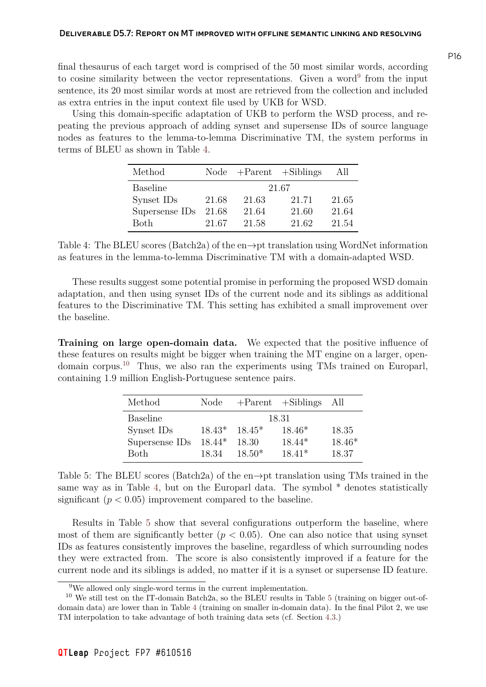final thesaurus of each target word is comprised of the 50 most similar words, according to cosine similarity between the vector representations. Given a word<sup>9</sup> from the input sentence, its 20 most similar words at most are retrieved from the collection and included as extra entries in the input context file used by UKB for WSD.

Using this domain-specific adaptation of UKB to perform the WS[D](#page-15-0) process, and repeating the previous approach of adding synset and supersense IDs of source language nodes as features to the lemma-to-lemma Discriminative TM, the system performs in terms of BLEU as shown in Table 4.

| Method          |       |       | Node $+$ Parent $+$ Siblings | All   |
|-----------------|-------|-------|------------------------------|-------|
| <b>Baseline</b> |       |       | 21.67                        |       |
| Synset IDs      | 21.68 | 21.63 | 21.71                        | 21.65 |
| Supersense IDs  | 21.68 | 21.64 | 21.60                        | 21.64 |
| Both            | 21.67 | 21.58 | 21.62                        | 21.54 |

Table 4: The BLEU scores (Batch2a) of the en*→*pt translation using WordNet information as features in the lemma-to-lemma Discriminative TM with a domain-adapted WSD.

<span id="page-15-1"></span>These results suggest some potential promise in performing the proposed WSD domain adaptation, and then using synset IDs of the current node and its siblings as additional features to the Discriminative TM. This setting has exhibited a small improvement over the baseline.

**Training on large open-domain data.** We expected that the positive influence of these features on results might be bigger when training the MT engine on a larger, opendomain corpus.<sup>10</sup> Thus, we also ran the experiments using TMs trained on Europarl, containing 1.9 million English-Portuguese sentence pairs.

| Method          | Node     |          | $+$ Parent $+$ Siblings | All      |
|-----------------|----------|----------|-------------------------|----------|
| <b>Baseline</b> |          |          | 18.31                   |          |
| Synset IDs      | $18.43*$ | $18.45*$ | $18.46*$                | 18.35    |
| Supersense IDs  | $18.44*$ | 18.30    | $18.44*$                | $18.46*$ |
| Both            | 18.34    | $18.50*$ | $18.41*$                | 18.37    |

Table 5: The BLEU scores (Batch2a) of the en*→*pt translation using TMs trained in the same way as in Table 4, but on the Europarl data. The symbol \* denotes statistically significant  $(p < 0.05)$  improvement compared to the baseline.

<span id="page-15-3"></span>Results in Table 5 [s](#page-15-1)how that several configurations outperform the baseline, where most of them are significantly better  $(p < 0.05)$ . One can also notice that using synset IDs as features consistently improves the baseline, regardless of which surrounding nodes they were extracted [fr](#page-15-3)om. The score is also consistently improved if a feature for the current node and its siblings is added, no matter if it is a synset or supersense ID feature.

<sup>9</sup>We allowed only single-word terms in the current implementation.

<span id="page-15-2"></span><span id="page-15-0"></span><sup>&</sup>lt;sup>10</sup> We still test on the IT-domain Batch2a, so the BLEU results in Table 5 (training on bigger out-ofdomain data) are lower than in Table 4 (training on smaller in-domain data). In the final Pilot 2, we use TM interpolation to take advantage of both training data sets (cf. Section 4.3.)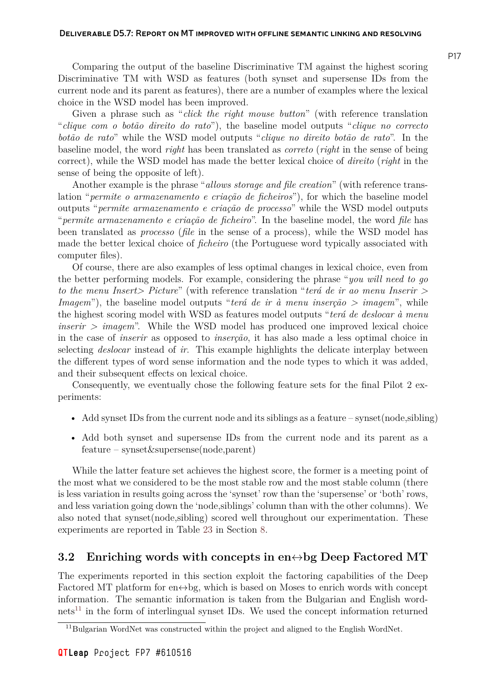Comparing the output of the baseline Discriminative TM against the highest scoring Discriminative TM with WSD as features (both synset and supersense IDs from the current node and its parent as features), there are a number of examples where the lexical choice in the WSD model has been improved.

Given a phrase such as "*click the right mouse button*" (with reference translation "*clique com o botão direito do rato*"), the baseline model outputs "*clique no correcto botão de rato*" while the WSD model outputs "*clique no direito botão de rato*". In the baseline model, the word *right* has been translated as *correto* (*right* in the sense of being correct), while the WSD model has made the better lexical choice of *direito* (*right* in the sense of being the opposite of left).

Another example is the phrase "*allows storage and file creation*" (with reference translation "*permite o armazenamento e criação de ficheiros*"), for which the baseline model outputs "*permite armazenamento e criação de processo*" while the WSD model outputs "*permite armazenamento e criação de ficheiro*". In the baseline model, the word *file* has been translated as *processo* (*file* in the sense of a process), while the WSD model has made the better lexical choice of *ficheiro* (the Portuguese word typically associated with computer files).

Of course, there are also examples of less optimal changes in lexical choice, even from the better performing models. For example, considering the phrase "*you will need to go to the menu Insert> Picture*" (with reference translation "*terá de ir ao menu Inserir > Imagem*"), the baseline model outputs "*terá de ir à menu inserção > imagem*", while the highest scoring model with WSD as features model outputs "*terá de deslocar à menu inserir > imagem*". While the WSD model has produced one improved lexical choice in the case of *inserir* as opposed to *inserção*, it has also made a less optimal choice in selecting *deslocar* instead of *ir*. This example highlights the delicate interplay between the different types of word sense information and the node types to which it was added, and their subsequent effects on lexical choice.

Consequently, we eventually chose the following feature sets for the final Pilot 2 experiments:

- Add synset IDs from the current node and its siblings as a feature synset(node, sibling)
- Add both synset and supersense IDs from the current node and its parent as a feature – synset&supersense(node,parent)

While the latter feature set achieves the highest score, the former is a meeting point of the most what we considered to be the most stable row and the most stable column (there is less variation in results going across the 'synset' row than the 'supersense' or 'both' rows, and less variation going down the 'node,siblings' column than with the other columns). We also noted that synset(node,sibling) scored well throughout our experimentation. These experiments are reported in Table 23 in Section 8.

## **3.2 Enriching words with concepts in en***↔***bg Deep Factored MT**

<span id="page-16-0"></span>The experiments reported in this [sec](#page-50-0)tion explo[it](#page-48-0) the factoring capabilities of the Deep Factored MT platform for en*↔*bg, which is based on Moses to enrich words with concept information. The semantic information is taken from the Bulgarian and English word $nets<sup>11</sup>$  in the form of interlingual synset IDs. We used the concept information returned

<span id="page-16-1"></span><sup>&</sup>lt;sup>11</sup>Bulgarian WordNet was constructed within the project and aligned to the English WordNet.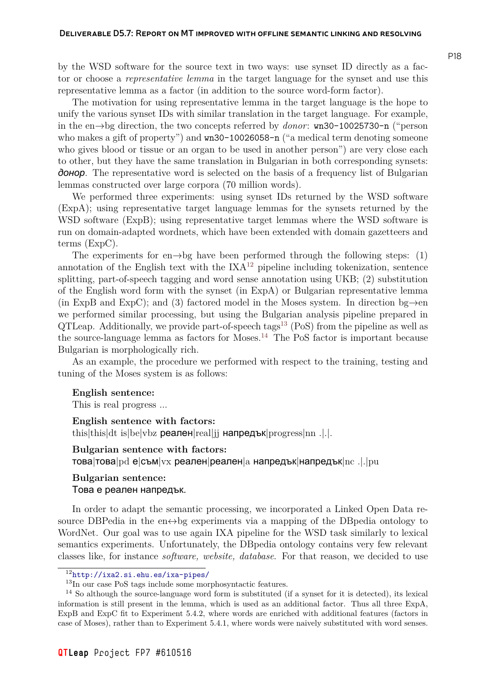by the WSD software for the source text in two ways: use synset ID directly as a factor or choose a *representative lemma* in the target language for the synset and use this representative lemma as a factor (in addition to the source word-form factor).

The motivation for using representative lemma in the target language is the hope to unify the various synset IDs with similar translation in the target language. For example, in the en*→*bg direction, the two concepts referred by *donor*: wn30-10025730-n ("person who makes a gift of property") and  $\n *wn30-10026058-n*\n ("a medical term denoting someone$ who gives blood or tissue or an organ to be used in another person") are very close each to other, but they have the same translation in Bulgarian in both corresponding synsets: *донор*. The representative word is selected on the basis of a frequency list of Bulgarian lemmas constructed over large corpora (70 million words).

We performed three experiments: using synset IDs returned by the WSD software (ExpA); using representative target language lemmas for the synsets returned by the WSD software (ExpB); using representative target lemmas where the WSD software is run on domain-adapted wordnets, which have been extended with domain gazetteers and terms (ExpC).

The experiments for en*→*bg have been performed through the following steps: (1) annotation of the English text with the  $IXA^{12}$  pipeline including tokenization, sentence splitting, part-of-speech tagging and word sense annotation using UKB; (2) substitution of the English word form with the synset (in ExpA) or Bulgarian representative lemma (in ExpB and ExpC); and (3) factored mod[el i](#page-17-0)n the Moses system. In direction bg*→*en we performed similar processing, but using the Bulgarian analysis pipeline prepared in QTLeap. Additionally, we provide part-of-speech tags<sup>13</sup> (PoS) from the pipeline as well as the source-language lemma as factors for Moses.<sup>14</sup> The PoS factor is important because Bulgarian is morphologically rich.

As an example, the procedure we performed with [re](#page-17-1)spect to the training, testing and tuning of the Moses system is as follows:

#### **English sentence:**

This is real progress ...

#### **English sentence with factors:**

this*|*this*|*dt is*|*be*|*vbz реален*|*real*|*jj напредък*|*progress*|*nn .*|*.*|*.

#### **Bulgarian sentence with factors:**

това*|*това*|*pd е*|*съм*|*vx реален*|*реален*|*a напредък*|*напредък*|*nc .*|*.*|*pu

#### **Bulgarian sentence:** Това е реален напредък.

In order to adapt the semantic processing, we incorporated a Linked Open Data resource DBPedia in the en*↔*bg experiments via a mapping of the DBpedia ontology to WordNet. Our goal was to use again IXA pipeline for the WSD task similarly to lexical semantics experiments. Unfortunately, the DBpedia ontology contains very few relevant classes like, for instance *software, website, database*. For that reason, we decided to use

<sup>12</sup>http://ixa2.si.ehu.es/ixa-pipes/

<sup>&</sup>lt;sup>13</sup>In our case PoS tags include some morphosyntactic features.

<span id="page-17-1"></span><span id="page-17-0"></span><sup>&</sup>lt;sup>14</sup> So although the source-language word form is substituted (if a synset for it is detected), its lexical information is still present in the lemma, which is used as an additional factor. Thus all three ExpA, Exp[B and ExpC fit to Experiment 5.4.2, w](http://ixa2.si.ehu.es/ixa-pipes/)here words are enriched with additional features (factors in case of Moses), rather than to Experiment 5.4.1, where words were naively substituted with word senses.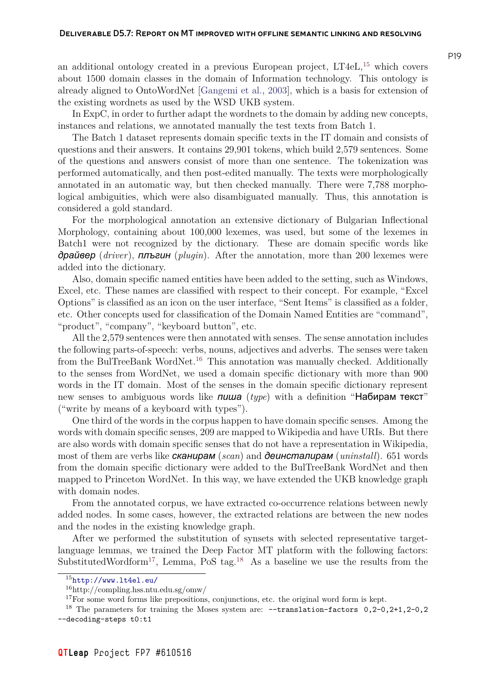an additional ontology created in a previous European project,  $LT4eL<sup>15</sup>$  which covers about 1500 domain classes in the domain of Information technology. This ontology is already aligned to OntoWordNet [Gangemi et al., 2003], which is a basis for extension of the existing wordnets as used by the WSD UKB system.

In ExpC, in order to further adapt the wordnets to the domain by adding new concepts, instances and relations, we annot[ated manually the tes](#page-61-1)t texts from Batch 1.

The Batch 1 dataset represents domain specific texts in the IT domain and consists of questions and their answers. It contains 29,901 tokens, which build 2,579 sentences. Some of the questions and answers consist of more than one sentence. The tokenization was performed automatically, and then post-edited manually. The texts were morphologically annotated in an automatic way, but then checked manually. There were 7,788 morphological ambiguities, which were also disambiguated manually. Thus, this annotation is considered a gold standard.

For the morphological annotation an extensive dictionary of Bulgarian Inflectional Morphology, containing about 100,000 lexemes, was used, but some of the lexemes in Batch1 were not recognized by the dictionary. These are domain specific words like *драйвер* (*driver*), *плъгин* (*plugin*). After the annotation, more than 200 lexemes were added into the dictionary.

Also, domain specific named entities have been added to the setting, such as Windows, Excel, etc. These names are classified with respect to their concept. For example, "Excel Options" is classified as an icon on the user interface, "Sent Items" is classified as a folder, etc. Other concepts used for classification of the Domain Named Entities are "command", "product", "company", "keyboard button", etc.

All the 2,579 sentences were then annotated with senses. The sense annotation includes the following parts-of-speech: verbs, nouns, adjectives and adverbs. The senses were taken from the BulTreeBank WordNet.<sup>16</sup> This annotation was manually checked. Additionally to the senses from WordNet, we used a domain specific dictionary with more than 900 words in the IT domain. Most of the senses in the domain specific dictionary represent new senses to ambiguous words [li](#page-18-0)ke *пиша* (*type*) with a definition "Набирам текст" ("write by means of a keyboard with types").

One third of the words in the corpus happen to have domain specific senses. Among the words with domain specific senses, 209 are mapped to Wikipedia and have URIs. But there are also words with domain specific senses that do not have a representation in Wikipedia, most of them are verbs like *сканирам* (*scan*) and *деинсталирам* (*uninstall*). 651 words from the domain specific dictionary were added to the BulTreeBank WordNet and then mapped to Princeton WordNet. In this way, we have extended the UKB knowledge graph with domain nodes.

From the annotated corpus, we have extracted co-occurrence relations between newly added nodes. In some cases, however, the extracted relations are between the new nodes and the nodes in the existing knowledge graph.

After we performed the substitution of synsets with selected representative targetlanguage lemmas, we trained the Deep Factor MT platform with the following factors: SubstitutedWordform<sup>17</sup>, Lemma, PoS tag.<sup>18</sup> As a baseline we use the results from the

<sup>15</sup>http://www.lt4el.eu/

<sup>16</sup>http://compling.hss.ntu.edu.sg/omw/

<sup>&</sup>lt;sup>17</sup>For some word forms [lik](#page-18-1)e prepositions, conjun[cti](#page-18-2)ons, etc. the original word form is kept.

<span id="page-18-2"></span><span id="page-18-1"></span><span id="page-18-0"></span><sup>&</sup>lt;sup>18</sup> The parameters for training the Moses system are:  $-$ translation-factors  $0,2$ -0,2+1,2-0,2 --d[ecoding-steps t0:t1](http://www.lt4el.eu/)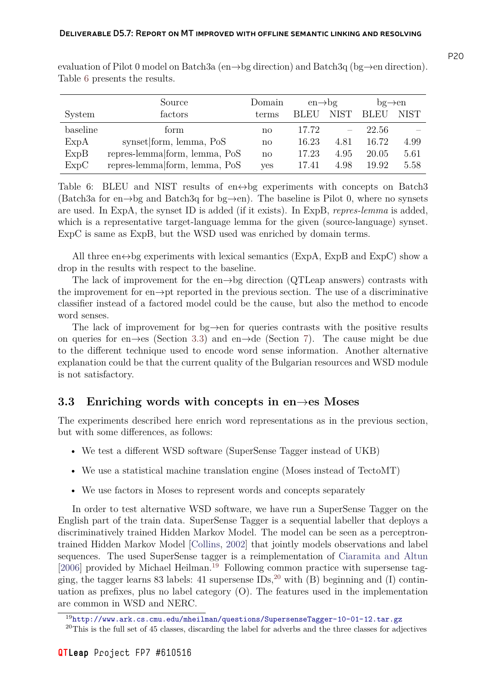|          | raple o presents the results. |              |                     |      |                     |      |
|----------|-------------------------------|--------------|---------------------|------|---------------------|------|
|          | Source                        | Domain       | $en \rightarrow bg$ |      | $bg \rightarrow en$ |      |
| System   | factors                       | terms        |                     |      | BLEU NIST BLEU      | NIST |
| baseline | form                          | $\mathbf{n}$ | 17.72               |      | -22.56              |      |
| ExpA     | synset form, lemma, PoS       | $\mathbf{n}$ | 16.23               | 4.81 | 16.72               | 4.99 |
| ExpB     | repres-lemma form, lemma, PoS | $\mathbf{n}$ | 17.23               | 4.95 | 20.05               | 5.61 |

evaluation of Pilot 0 model on Batch3a (en*→*bg direction) and Batch3q (bg*→*en direction). Table 6 presents the results.

Table 6: BLEU and NIST results of en*↔*bg experiments with concepts on Batch3 (Batch3a for en*→*bg and Batch3q for bg*→*en). The baseline is Pilot 0, where no synsets are used. In ExpA, the synset ID is added (if it exists). In ExpB, *repres-lemma* is added, which is a representative target-language lemma for the given (source-language) synset. ExpC is same as ExpB, but the WSD used was enriched by domain terms.

ExpB repres-lemma<sup></sup>|form, lemma, PoS no 17.23 4.95 20.05 5.61<br>ExpC repres-lemma<sup>|form</sup>, lemma, PoS yes 17.41 4.98 19.92 5.58

repres-lemma<sup>|</sup>form, lemma, PoS yes

<span id="page-19-1"></span>All three en*↔*bg experiments with lexical semantics (ExpA, ExpB and ExpC) show a drop in the results with respect to the baseline.

The lack of improvement for the en*→*bg direction (QTLeap answers) contrasts with the improvement for en*→*pt reported in the previous section. The use of a discriminative classifier instead of a factored model could be the cause, but also the method to encode word senses.

The lack of improvement for bg*→*en for queries contrasts with the positive results on queries for en*→*es (Section 3.3) and en*→*de (Section 7). The cause might be due to the different technique used to encode word sense information. Another alternative explanation could be that the current quality of the Bulgarian resources and WSD module is not satisfactory.

## **3.3 Enriching words with concepts in en***→***es Moses**

<span id="page-19-0"></span>The experiments described here enrich word representations as in the previous section, but with some differences, as follows:

- We test a different WSD software (SuperSense Tagger instead of UKB)
- We use a statistical machine translation engine (Moses instead of TectoMT)
- We use factors in Moses to represent words and concepts separately

In order to test alternative WSD software, we have run a SuperSense Tagger on the English part of the train data. SuperSense Tagger is a sequential labeller that deploys a discriminatively trained Hidden Markov Model. The model can be seen as a perceptrontrained Hidden Markov Model [Collins, 2002] that jointly models observations and label sequences. The used SuperSense tagger is a reimplementation of Ciaramita and Altun [2006] provided by Michael Heilman.<sup>19</sup> Following common practice with supersense tag-ging, the tagger learns 83 labels[: 41 supersen](#page-61-2)se  $\text{IDs}$ ,  $^{20}$  with  $\text{(B)}$  beginning and  $\text{(I)}$  continuation as prefixes, plus no label category (O). The features used i[n the implementation](#page-60-1) [are co](#page-60-1)mmon in WSD and NERC.

 $19$ http://www.ark.cs.cmu.edu/mheilman/questions/Su[pe](#page-19-2)rsenseTagger-10-01-12.tar.gz

<span id="page-19-2"></span> $^{20}$ This is the full set of 45 classes, discarding the label for adverbs and the three classes for adjectives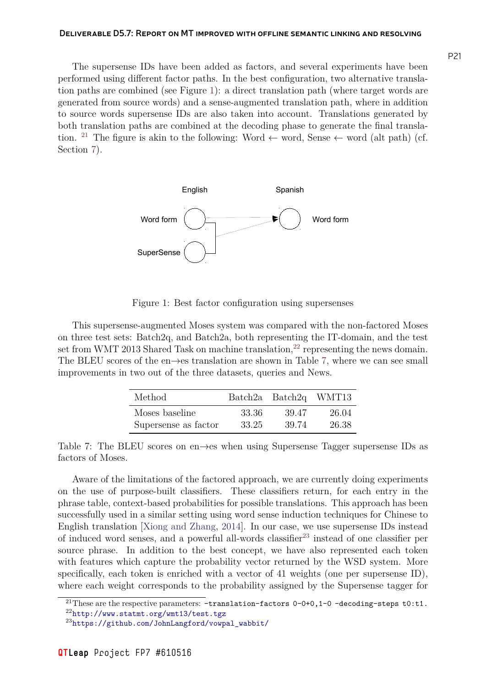The supersense IDs have been added as factors, and several experiments have been performed using different factor paths. In the best configuration, two alternative translation paths are combined (see Figure 1): a direct translation path (where target words are generated from source words) and a sense-augmented translation path, where in addition to source words supersense IDs are also taken into account. Translations generated by both translation paths are combine[d a](#page-20-0)t the decoding phase to generate the final translation. <sup>21</sup> The figure is akin to the following: Word  $\leftarrow$  word, Sense  $\leftarrow$  word (alt path) (cf. Section 7).



<span id="page-20-0"></span>Figure 1: Best factor configuration using supersenses

This supersense-augmented Moses system was compared with the non-factored Moses on three test sets: Batch2q, and Batch2a, both representing the IT-domain, and the test set from WMT 2013 Shared Task on machine translation,<sup>22</sup> representing the news domain. The BLEU scores of the en*→*es translation are shown in Table 7, where we can see small improvements in two out of the three datasets, queries and News.

| Method               |       | Batch2a Batch2q WMT13 |       |
|----------------------|-------|-----------------------|-------|
| Moses baseline       | 33.36 | 39.47                 | 26.04 |
| Supersense as factor | 33.25 | 39.74                 | 26.38 |

Table 7: The BLEU scores on en*→*es when using Supersense Tagger supersense IDs as factors of Moses.

<span id="page-20-1"></span>Aware of the limitations of the factored approach, we are currently doing experiments on the use of purpose-built classifiers. These classifiers return, for each entry in the phrase table, context-based probabilities for possible translations. This approach has been successfully used in a similar setting using word sense induction techniques for Chinese to English translation [Xiong and Zhang, 2014]. In our case, we use supersense IDs instead of induced word senses, and a powerful all-words classifier<sup>23</sup> instead of one classifier per source phrase. In addition to the best concept, we have also represented each token with features which [capture the probability](#page-64-2) vector returned by the WSD system. More specifically, each token is enriched with a vector of 41 we[igh](#page-20-2)ts (one per supersense ID), where each weight corresponds to the probability assigned by the Supersense tagger for

 $\overline{^{21}$ These are the respective parameters: -translation-factors 0-0+0,1-0 -decoding-steps t0:t1.

<sup>22</sup>http://www.statmt.org/wmt13/test.tgz

<span id="page-20-2"></span><sup>23</sup>https://github.com/JohnLangford/vowpal\_wabbit/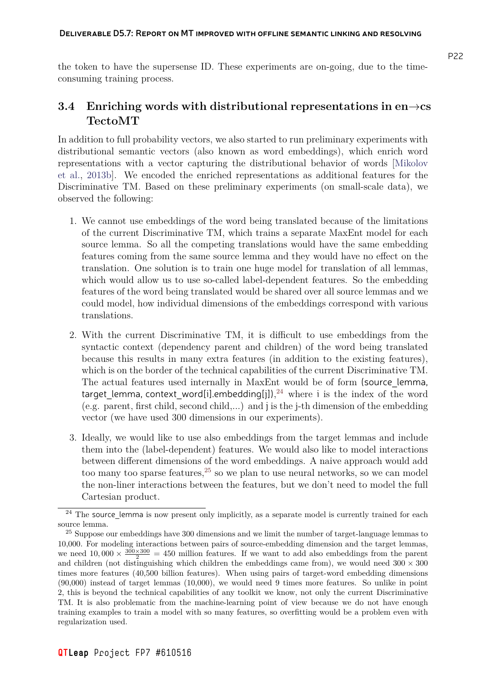the token to have the supersense ID. These experiments are on-going, due to the timeconsuming training process.

## **3.4 Enriching words with distributional representations in en***→***cs TectoMT**

<span id="page-21-0"></span>In addition to full probability vectors, we also started to run preliminary experiments with distributional semantic vectors (also known as word embeddings), which enrich word representations with a vector capturing the distributional behavior of words [Mikolov et al., 2013b]. We encoded the enriched representations as additional features for the Discriminative TM. Based on these preliminary experiments (on small-scale data), we observed the following:

- [1.](#page-62-1) [We can](#page-62-1)not use embeddings of the word being translated because of the limitations of the current Discriminative TM, which trains a separate MaxEnt model for each source lemma. So all the competing translations would have the same embedding features coming from the same source lemma and they would have no effect on the translation. One solution is to train one huge model for translation of all lemmas, which would allow us to use so-called label-dependent features. So the embedding features of the word being translated would be shared over all source lemmas and we could model, how individual dimensions of the embeddings correspond with various translations.
- 2. With the current Discriminative TM, it is difficult to use embeddings from the syntactic context (dependency parent and children) of the word being translated because this results in many extra features (in addition to the existing features), which is on the border of the technical capabilities of the current Discriminative TM. The actual features used internally in MaxEnt would be of form (source\_lemma, target\_lemma, context\_word[i].embedding[j]), $^{24}$  where i is the index of the word (e.g. parent, first child, second child,...) and j is the j-th dimension of the embedding vector (we have used 300 dimensions in our experiments).
- 3. Ideally, we would like to use also embeddings [fro](#page-21-1)m the target lemmas and include them into the (label-dependent) features. We would also like to model interactions between different dimensions of the word embeddings. A naive approach would add too many too sparse features,  $25$  so we plan to use neural networks, so we can model the non-liner interactions between the features, but we don't need to model the full Cartesian product.

<sup>&</sup>lt;sup>24</sup> The source\_lemma is now present o[nly](#page-21-2) implicitly, as a separate model is currently trained for each source lemma.

<span id="page-21-2"></span><span id="page-21-1"></span><sup>&</sup>lt;sup>25</sup> Suppose our embeddings have 300 dimensions and we limit the number of target-language lemmas to 10,000. For modeling interactions between pairs of source-embedding dimension and the target lemmas, we need  $10,000 \times \frac{300 \times 300}{2} = 450$  million features. If we want to add also embeddings from the parent and children (not distinguishing which children the embeddings came from), we would need  $300 \times 300$ times more features (40,500 billion features). When using pairs of target-word embedding dimensions (90,000) instead of target lemmas (10,000), we would need 9 times more features. So unlike in point 2, this is beyond the technical capabilities of any toolkit we know, not only the current Discriminative TM. It is also problematic from the machine-learning point of view because we do not have enough training examples to train a model with so many features, so overfitting would be a problem even with regularization used.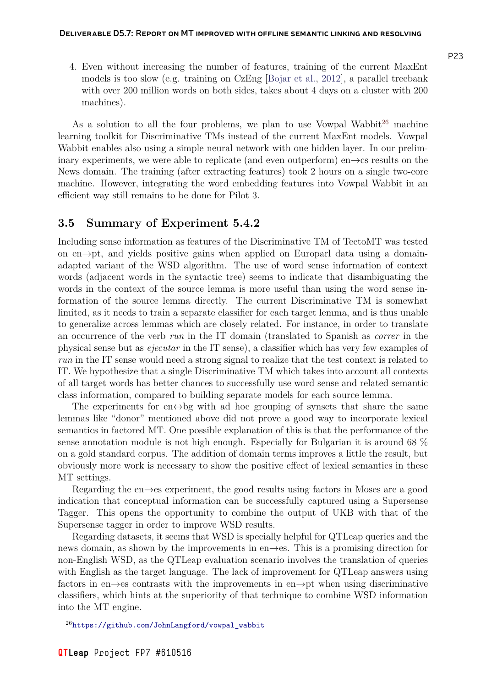4. Even without increasing the number of features, training of the current MaxEnt models is too slow (e.g. training on CzEng [Bojar et al., 2012], a parallel treebank with over 200 million words on both sides, takes about 4 days on a cluster with 200 machines).

As a solution to all the four problems, we p[lan to use](#page-60-2) [Vowpa](#page-60-2)l Wabbit<sup>26</sup> machine learning toolkit for Discriminative TMs instead of the current MaxEnt models. Vowpal Wabbit enables also using a simple neural network with one hidden layer. In our preliminary experiments, we were able to replicate (and even outperform) en*→*cs re[su](#page-22-1)lts on the News domain. The training (after extracting features) took 2 hours on a single two-core machine. However, integrating the word embedding features into Vowpal Wabbit in an efficient way still remains to be done for Pilot 3.

#### **3.5 Summary of Experiment 5.4.2**

<span id="page-22-0"></span>Including sense information as features of the Discriminative TM of TectoMT was tested on en*→*pt, and yields positive gains when applied on Europarl data using a domainadapted variant of the WSD algorithm. The use of word sense information of context words (adjacent words in the syntactic tree) seems to indicate that disambiguating the words in the context of the source lemma is more useful than using the word sense information of the source lemma directly. The current Discriminative TM is somewhat limited, as it needs to train a separate classifier for each target lemma, and is thus unable to generalize across lemmas which are closely related. For instance, in order to translate an occurrence of the verb *run* in the IT domain (translated to Spanish as *correr* in the physical sense but as *ejecutar* in the IT sense), a classifier which has very few examples of *run* in the IT sense would need a strong signal to realize that the test context is related to IT. We hypothesize that a single Discriminative TM which takes into account all contexts of all target words has better chances to successfully use word sense and related semantic class information, compared to building separate models for each source lemma.

The experiments for en*↔*bg with ad hoc grouping of synsets that share the same lemmas like "donor" mentioned above did not prove a good way to incorporate lexical semantics in factored MT. One possible explanation of this is that the performance of the sense annotation module is not high enough. Especially for Bulgarian it is around 68 % on a gold standard corpus. The addition of domain terms improves a little the result, but obviously more work is necessary to show the positive effect of lexical semantics in these MT settings.

Regarding the en*→*es experiment, the good results using factors in Moses are a good indication that conceptual information can be successfully captured using a Supersense Tagger. This opens the opportunity to combine the output of UKB with that of the Supersense tagger in order to improve WSD results.

Regarding datasets, it seems that WSD is specially helpful for QTLeap queries and the news domain, as shown by the improvements in en*→*es. This is a promising direction for non-English WSD, as the QTLeap evaluation scenario involves the translation of queries with English as the target language. The lack of improvement for QTLeap answers using factors in en*→*es contrasts with the improvements in en*→*pt when using discriminative classifiers, which hints at the superiority of that technique to combine WSD information into the MT engine.

<span id="page-22-1"></span><sup>26</sup>https://github.com/JohnLangford/vowpal\_wabbit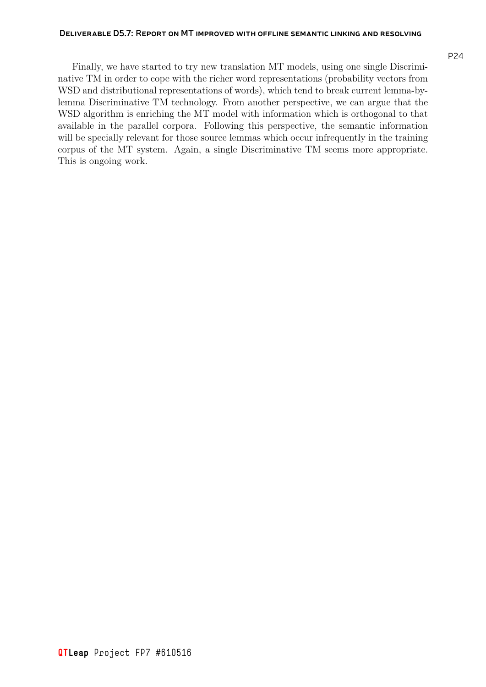#### **Deliverable D5.7: Report on MT improved with offline semantic linking and resolving**

Finally, we have started to try new translation MT models, using one single Discriminative TM in order to cope with the richer word representations (probability vectors from WSD and distributional representations of words), which tend to break current lemma-bylemma Discriminative TM technology. From another perspective, we can argue that the WSD algorithm is enriching the MT model with information which is orthogonal to that available in the parallel corpora. Following this perspective, the semantic information will be specially relevant for those source lemmas which occur infrequently in the training corpus of the MT system. Again, a single Discriminative TM seems more appropriate. This is ongoing work.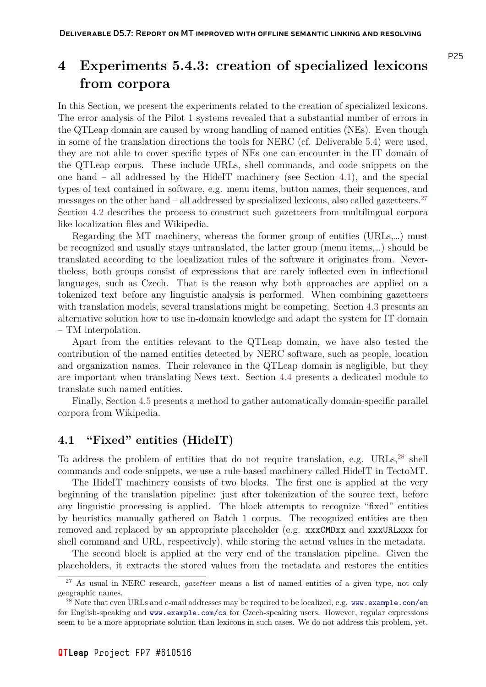## P25

## **4 Experiments 5.4.3: creation of specialized lexicons from corpora**

<span id="page-24-0"></span>In this Section, we present the experiments related to the creation of specialized lexicons. The error analysis of the Pilot 1 systems revealed that a substantial number of errors in the QTLeap domain are caused by wrong handling of named entities (NEs). Even though in some of the translation directions the tools for NERC (cf. Deliverable 5.4) were used, they are not able to cover specific types of NEs one can encounter in the IT domain of the QTLeap corpus. These include URLs, shell commands, and code snippets on the one hand  $-$  all addressed by the HideIT machinery (see Section 4.1), and the special types of text contained in software, e.g. menu items, button names, their sequences, and messages on the other hand – all addressed by specialized lexicons, also called gazetteers.<sup>27</sup> Section 4.2 describes the process to construct such gazetteers from [mu](#page-24-1)ltilingual corpora like localization files and Wikipedia.

Regarding the MT machinery, whereas the former group of entities (URLs,…) m[ust](#page-24-2) be reco[gniz](#page-25-0)ed and usually stays untranslated, the latter group (menu items,…) should be translated according to the localization rules of the software it originates from. Nevertheless, both groups consist of expressions that are rarely inflected even in inflectional languages, such as Czech. That is the reason why both approaches are applied on a tokenized text before any linguistic analysis is performed. When combining gazetteers with translation models, several translations might be competing. Section 4.3 presents an alternative solution how to use in-domain knowledge and adapt the system for IT domain – TM interpolation.

Apart from the entities relevant to the QTLeap domain, we have [also](#page-28-0) tested the contribution of the named entities detected by NERC software, such as people, location and organization names. Their relevance in the QTLeap domain is negligible, but they are important when translating News text. Section 4.4 presents a dedicated module to translate such named entities.

Finally, Section 4.5 presents a method to gather automatically domain-specific parallel corpora from Wikipedia.

## **4.1 "Fixed" [ent](#page-31-0)ities (HideIT)**

To address the problem of entities that do not require translation, e.g.  $URLs<sub>1</sub><sup>28</sup>$  shell commands and code snippets, we use a rule-based machinery called HideIT in TectoMT.

<span id="page-24-1"></span>The HideIT machinery consists of two blocks. The first one is applied at the very beginning of the translation pipeline: just after tokenization of the source text[, b](#page-24-3)efore any linguistic processing is applied. The block attempts to recognize "fixed" entities by heuristics manually gathered on Batch 1 corpus. The recognized entities are then removed and replaced by an appropriate placeholder (e.g. xxxCMDxx and xxxURLxxx for shell command and URL, respectively), while storing the actual values in the metadata.

The second block is applied at the very end of the translation pipeline. Given the placeholders, it extracts the stored values from the metadata and restores the entities

<sup>27</sup> As usual in NERC research, *gazetteer* means a list of named entities of a given type, not only geographic names.

<span id="page-24-3"></span><span id="page-24-2"></span><sup>&</sup>lt;sup>28</sup> Note that even URLs and e-mail addresses may be required to be localized, e.g.  $www.examp1e.com/en)$ for English-speaking and www.example.com/cs for Czech-speaking users. However, regular expressions seem to be a more appropriate solution than lexicons in such cases. We do not address this problem, yet.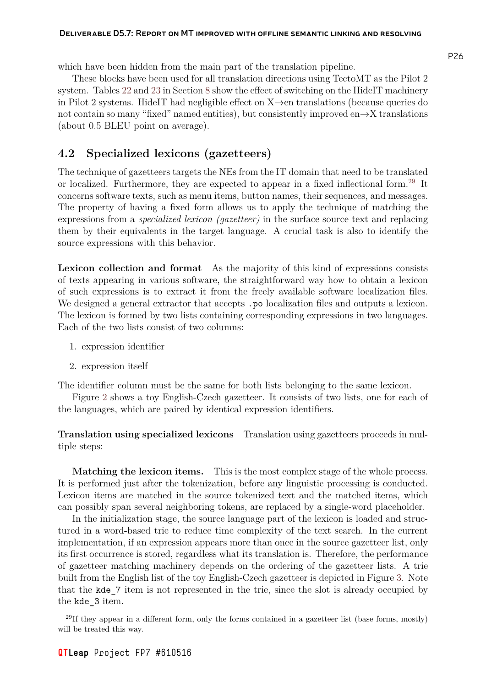which have been hidden from the main part of the translation pipeline.

These blocks have been used for all translation directions using TectoMT as the Pilot 2 system. Tables 22 and 23 in Section 8 show the effect of switching on the HideIT machinery in Pilot 2 systems. HideIT had negligible effect on X*→*en translations (because queries do not contain so many "fixed" named entities), but consistently improved en*→*X translations (about 0.5 BL[EU](#page-50-1) poi[nt o](#page-50-0)n average[\).](#page-48-0)

## **4.2 Specialized lexicons (gazetteers)**

<span id="page-25-0"></span>The technique of gazetteers targets the NEs from the IT domain that need to be translated or localized. Furthermore, they are expected to appear in a fixed inflectional form.<sup>29</sup> It concerns software texts, such as menu items, button names, their sequences, and messages. The property of having a fixed form allows us to apply the technique of matching the expressions from a *specialized lexicon (gazetteer)* in the surface source text and repl[aci](#page-25-1)ng them by their equivalents in the target language. A crucial task is also to identify the source expressions with this behavior.

**Lexicon collection and format** As the majority of this kind of expressions consists of texts appearing in various software, the straightforward way how to obtain a lexicon of such expressions is to extract it from the freely available software localization files. We designed a general extractor that accepts . po localization files and outputs a lexicon. The lexicon is formed by two lists containing corresponding expressions in two languages. Each of the two lists consist of two columns:

- 1. expression identifier
- 2. expression itself

The identifier column must be the same for both lists belonging to the same lexicon.

Figure 2 shows a toy English-Czech gazetteer. It consists of two lists, one for each of the languages, which are paired by identical expression identifiers.

**Translati[on](#page-26-0) using specialized lexicons** Translation using gazetteers proceeds in multiple steps:

**Matching the lexicon items.** This is the most complex stage of the whole process. It is performed just after the tokenization, before any linguistic processing is conducted. Lexicon items are matched in the source tokenized text and the matched items, which can possibly span several neighboring tokens, are replaced by a single-word placeholder.

In the initialization stage, the source language part of the lexicon is loaded and structured in a word-based trie to reduce time complexity of the text search. In the current implementation, if an expression appears more than once in the source gazetteer list, only its first occurrence is stored, regardless what its translation is. Therefore, the performance of gazetteer matching machinery depends on the ordering of the gazetteer lists. A trie built from the English list of the toy English-Czech gazetteer is depicted in Figure 3. Note that the kde\_7 item is not represented in the trie, since the slot is already occupied by the kde\_3 item.

<span id="page-25-1"></span><sup>&</sup>lt;sup>29</sup>If they appear in a different form, only the forms contained in a gazetteer list (base forms[, m](#page-26-1)ostly) will be treated this way.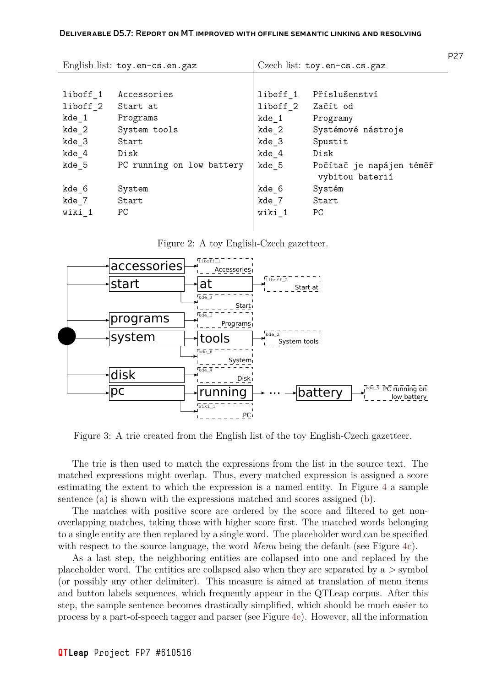| English list: toy.en-cs.en.gaz |                           |                   | Czech list: toy.en-cs.cs.gaz                |
|--------------------------------|---------------------------|-------------------|---------------------------------------------|
|                                |                           |                   |                                             |
| liboff 1                       | Accessories               |                   | liboff 1 Příslušenství                      |
| liboff 2                       | Start at                  | liboff 2 Začít od |                                             |
| kde 1                          | Programs                  | kde 1             | Programy                                    |
| kde 2                          | System tools              | kde 2             | Systémové nástroje                          |
| kde 3                          | Start                     | kde 3             | Spustit                                     |
| kde 4                          | Disk                      | kde 4             | Disk                                        |
| kde 5                          | PC running on low battery | kde 5             | Počítač je napájen téměř<br>vybitou baterií |
| kde 6                          | System                    | kde 6             | Systém                                      |
| kde 7                          | Start                     | kde 7             | Start                                       |
| wiki 1                         | PC                        | wiki 1            | РC                                          |

<span id="page-26-0"></span>Figure 2: A toy English-Czech gazetteer.



<span id="page-26-1"></span>Figure 3: A trie created from the English list of the toy English-Czech gazetteer.

The trie is then used to match the expressions from the list in the source text. The matched expressions might overlap. Thus, every matched expression is assigned a score estimating the extent to which the expression is a named entity. In Figure 4 a sample sentence (a) is shown with the expressions matched and scores assigned (b).

The matches with positive score are ordered by the score and filtered to get nonoverlapping matches, taking those with higher score first. The matched word[s](#page-27-0) belonging to a single [e](#page-27-1)ntity are then replaced by a single word. The placeholder word [ca](#page-27-2)n be specified with respect to the source language, the word *Menu* being the default (see Figure 4c).

As a last step, the neighboring entities are collapsed into one and replaced by the placeholder word. The entities are collapsed also when they are separated by a *>* symbol (or possibly any other delimiter). This measure is aimed at translation of menu [i](#page-27-0)[t](#page-27-3)ems and button labels sequences, which frequently appear in the QTLeap corpus. After this step, the sample sentence becomes drastically simplified, which should be much easier to process by a part-of-speech tagger and parser (see Figure 4e). However, all the information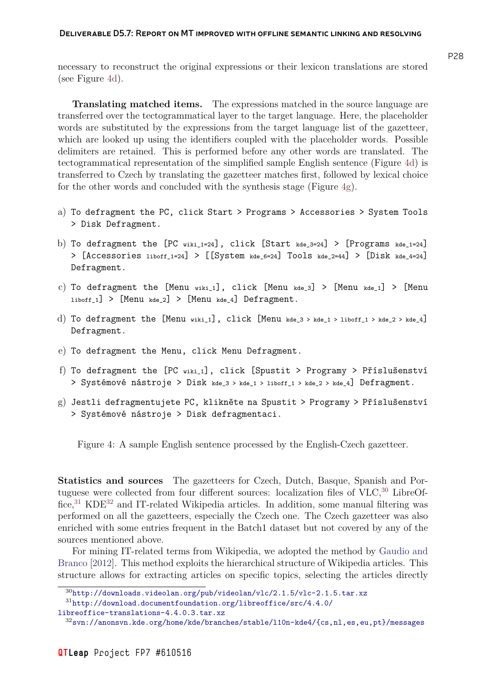necessary to reconstruct the original expressions or their lexicon translations are stored (see Figure 4d).

**Translating matched items.** The expressions matched in the source language are transferred [o](#page-27-0)[ve](#page-27-4)r the tectogrammatical layer to the target language. Here, the placeholder words are substituted by the expressions from the target language list of the gazetteer, which are looked up using the identifiers coupled with the placeholder words. Possible delimiters are retained. This is performed before any other words are translated. The tectogrammatical representation of the simplified sample English sentence (Figure 4d) is transferred to Czech by translating the gazetteer matches first, followed by lexical choice for the other words and concluded with the synthesis stage (Figure 4g).

- a) To defragment the PC, click Start > Programs > Accessories > System [T](#page-27-0)[oo](#page-27-4)ls > Disk Defragment.
- <span id="page-27-1"></span>b) To defragment the  $[PC_{wiki_1=24}]$ , click  $[Start_{kde_3=24}] > [Programs_{kde_1=24}]$ > [Accessories liboff\_1=24] > [[System kde\_6=24] Tools kde\_2=44] > [Disk kde\_4=24] Defragment.
- <span id="page-27-2"></span>c) To defragment the [Menu wiki\_1], click [Menu kde\_3] > [Menu kde\_1] > [Menu  $\begin{bmatrix} \text{liboff}_1 \end{bmatrix}$  >  $[\text{Menu kde}_2]$  >  $[\text{Menu kde}_4]$  Defragment.
- <span id="page-27-3"></span>d) To defragment the [Menu wiki\_1], click [Menu kde\_3 > kde\_1 > liboff\_1 > kde\_2 > kde\_4] Defragment.
- <span id="page-27-4"></span>e) To defragment the Menu, click Menu Defragment.
- f) To defragment the [PC wiki\_1], click [Spustit > Programy > Příslušenství > Systémové nástroje > Disk kde\_3 > kde\_1 > liboff\_1 > kde\_2 > kde\_4] Defragment.
- g) Jestli defragmentujete PC, klikněte na Spustit > Programy > Příslušenství > Systémové nástroje > Disk defragmentaci.

<span id="page-27-0"></span>Figure 4: A sample English sentence processed by the English-Czech gazetteer.

**Statistics and sources** The gazetteers for Czech, Dutch, Basque, Spanish and Portuguese were collected from four different sources: localization files of  $VLC$ ,<sup>30</sup> LibreOffice,<sup>31</sup> KDE<sup>32</sup> and IT-related Wikipedia articles. In addition, some manual filtering was performed on all the gazetteers, especially the Czech one. The Czech gazetteer was also enriched with some entries frequent in the Batch1 dataset but not covered b[y a](#page-27-5)ny of the sou[rce](#page-27-6)s me[nti](#page-27-7)oned above.

For mining IT-related terms from Wikipedia, we adopted the method by Gaudio and Branco [2012]. This method exploits the hierarchical structure of Wikipedia articles. This structure allows for extracting articles on specific topics, selecting the articles directly

<sup>30</sup>http://downloads.videolan.org/pub/videolan/vlc/2.1.5/vlc-2.1.5.tar.xz

<sup>31</sup>[http://dow](#page-61-3)nload.documentfoundation.org/libreoffice/src/4.4.0/

libreoffice-translations-4.4.0.3.tar.xz

<span id="page-27-7"></span><span id="page-27-6"></span><span id="page-27-5"></span> $3^2$ svn://anonsvn.kde.org/home/kde/branches/stable/l10n-kde4/{cs,nl,es,eu,pt}/messages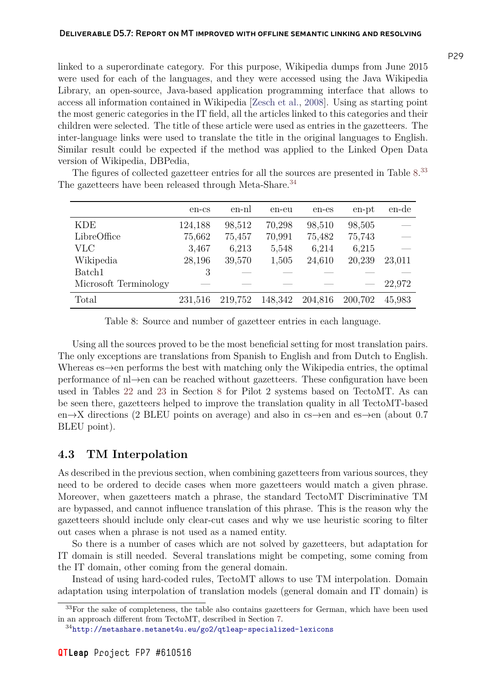linked to a superordinate category. For this purpose, Wikipedia dumps from June 2015 were used for each of the languages, and they were accessed using the Java Wikipedia Library, an open-source, Java-based application programming interface that allows to access all information contained in Wikipedia [Zesch et al., 2008]. Using as starting point the most generic categories in the IT field, all the articles linked to this categories and their children were selected. The title of these article were used as entries in the gazetteers. The inter-language links were used to translate th[e title in the origin](#page-65-0)al languages to English. Similar result could be expected if the method was applied to the Linked Open Data version of Wikipedia, DBPedia,

|                       | en-cs   | en-nl   | en-eu   | en-es   | en-pt   | en-de  |
|-----------------------|---------|---------|---------|---------|---------|--------|
| <b>KDE</b>            | 124,188 | 98,512  | 70,298  | 98,510  | 98,505  |        |
| LibreOffice           | 75,662  | 75,457  | 70,991  | 75,482  | 75,743  |        |
| <b>VLC</b>            | 3,467   | 6,213   | 5,548   | 6,214   | 6,215   |        |
| Wikipedia             | 28,196  | 39,570  | 1,505   | 24,610  | 20,239  | 23,011 |
| Batch1                | 3       |         |         |         |         |        |
| Microsoft Terminology |         |         |         |         |         | 22,972 |
| Total                 | 231,516 | 219,752 | 148,342 | 204,816 | 200,702 | 45,983 |

The figures of collected gazetteer entries for all the sources are presented in Table 8.<sup>33</sup> The gazetteers have been released through Meta-Share.<sup>34</sup>

<span id="page-28-2"></span>Table 8: Source and number of gazetteer entries in each language.

Using all the sources proved to be the most beneficial setting for most translation pairs. The only exceptions are translations from Spanish to English and from Dutch to English. Whereas es*→*en performs the best with matching only the Wikipedia entries, the optimal performance of nl*→*en can be reached without gazetteers. These configuration have been used in Tables 22 and 23 in Section 8 for Pilot 2 systems based on TectoMT. As can be seen there, gazetteers helped to improve the translation quality in all TectoMT-based en*→*X directions (2 BLEU points on average) and also in cs*→*en and es*→*en (about 0.7 BLEU point).

## **4.3 TM Interpolation**

<span id="page-28-0"></span>As described in the previous section, when combining gazetteers from various sources, they need to be ordered to decide cases when more gazetteers would match a given phrase. Moreover, when gazetteers match a phrase, the standard TectoMT Discriminative TM are bypassed, and cannot influence translation of this phrase. This is the reason why the gazetteers should include only clear-cut cases and why we use heuristic scoring to filter out cases when a phrase is not used as a named entity.

So there is a number of cases which are not solved by gazetteers, but adaptation for IT domain is still needed. Several translations might be competing, some coming from the IT domain, other coming from the general domain.

Instead of using hard-coded rules, TectoMT allows to use TM interpolation. Domain adaptation using interpolation of translation models (general domain and IT domain) is

<sup>&</sup>lt;sup>33</sup>For the sake of completeness, the table also contains gazetteers for German, which have been used in an approach different from TectoMT, described in Section 7.

<span id="page-28-1"></span><sup>34</sup>http://metashare.metanet4u.eu/go2/qtleap-specialized-lexicons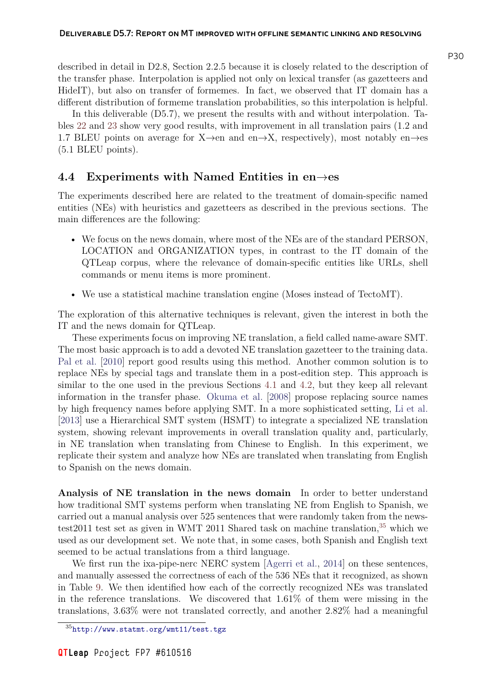described in detail in D2.8, Section 2.2.5 because it is closely related to the description of the transfer phase. Interpolation is applied not only on lexical transfer (as gazetteers and HideIT), but also on transfer of formemes. In fact, we observed that IT domain has a different distribution of formeme translation probabilities, so this interpolation is helpful.

In this deliverable (D5.7), we present the results with and without interpolation. Tables 22 and 23 show very good results, with improvement in all translation pairs (1.2 and 1.7 BLEU points on average for X*→*en and en*→*X, respectively), most notably en*→*es (5.1 BLEU points).

## **4.4 [E](#page-50-1)x[per](#page-50-0)iments with Named Entities in en***→***es**

<span id="page-29-0"></span>The experiments described here are related to the treatment of domain-specific named entities (NEs) with heuristics and gazetteers as described in the previous sections. The main differences are the following:

- We focus on the news domain, where most of the NEs are of the standard PERSON, LOCATION and ORGANIZATION types, in contrast to the IT domain of the QTLeap corpus, where the relevance of domain-specific entities like URLs, shell commands or menu items is more prominent.
- We use a statistical machine translation engine (Moses instead of TectoMT).

The exploration of this alternative techniques is relevant, given the interest in both the IT and the news domain for QTLeap.

These experiments focus on improving NE translation, a field called name-aware SMT. The most basic approach is to add a devoted NE translation gazetteer to the training data. Pal et al. [2010] report good results using this method. Another common solution is to replace NEs by special tags and translate them in a post-edition step. This approach is similar to the one used in the previous Sections 4.1 and 4.2, but they keep all relevant [information in t](#page-63-0)he transfer phase. Okuma et al. [2008] propose replacing source names by high frequency names before applying SMT. In a more sophisticated setting, Li et al. [2013] use a Hierarchical SMT system (HSMT) t[o in](#page-24-1)tegra[te a](#page-25-0) specialized NE translation system, showing relevant improve[ments in overa](#page-63-1)ll [tran](#page-63-1)slation quality and, particularly, in NE translation when translating from Chinese to English. In this experi[ment, we](#page-62-2) [replic](#page-62-2)ate their system and analyze how NEs are translated when translating from English to Spanish on the news domain.

**Analysis of NE translation in the news domain** In order to better understand how traditional SMT systems perform when translating NE from English to Spanish, we carried out a manual analysis over 525 sentences that were randomly taken from the newstest2011 test set as given in WMT 2011 Shared task on machine translation,  $35$  which we used as our development set. We note that, in some cases, both Spanish and English text seemed to be actual translations from a third language.

W[e](#page-29-1) first run the ixa-pipe-nerc NERC system [Agerri et al., 2014] on these sentences, and manually assessed the correctness of each of the 536 NEs that it recognized, as shown in Table 9. We then identified how each of the correctly recognized NEs was translated in the reference translations. We discovered th[at 1.61% of](#page-60-3) t[hem](#page-60-3) were missing in the translations, 3.63% were not translated correctly, and another 2.82% had a meaningful

<span id="page-29-1"></span><sup>35</sup>http:[//](#page-30-0)www.statmt.org/wmt11/test.tgz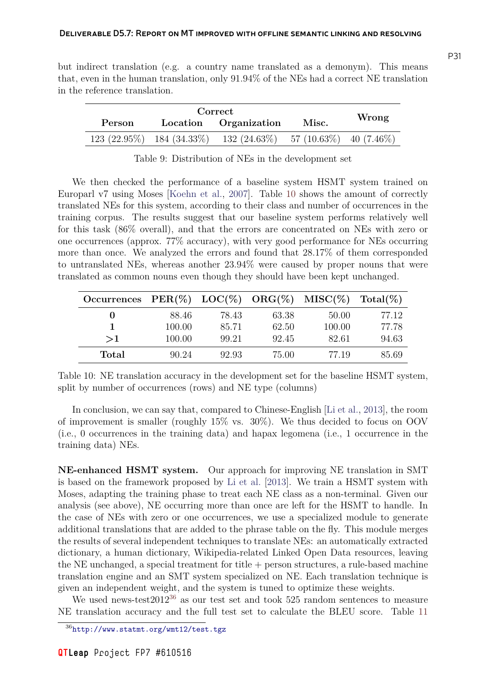| Person | Location Organization |                                                                              | Misc. | Wrong |
|--------|-----------------------|------------------------------------------------------------------------------|-------|-------|
|        |                       | $123 (22.95\%)$ $184 (34.33\%)$ $132 (24.63\%)$ $57 (10.63\%)$ $40 (7.46\%)$ |       |       |

<span id="page-30-0"></span>Table 9: Distribution of NEs in the development set

We then checked the performance of a baseline system HSMT system trained on Europarl v7 using Moses [Koehn et al., 2007]. Table 10 shows the amount of correctly translated NEs for this system, according to their class and number of occurrences in the training corpus. The results suggest that our baseline system performs relatively well for this task (86% overall[\), and that the err](#page-62-3)ors are c[on](#page-30-1)centrated on NEs with zero or one occurrences (approx. 77% accuracy), with very good performance for NEs occurring more than once. We analyzed the errors and found that 28.17% of them corresponded to untranslated NEs, whereas another 23.94% were caused by proper nouns that were translated as common nouns even though they should have been kept unchanged.

| Occurrences $PER(\%) LOC(\%) ORG(\%) MISC(\%)$ |        |       |       |        | $Total(\%)$ |
|------------------------------------------------|--------|-------|-------|--------|-------------|
| $\mathbf{0}$                                   | 88.46  | 78.43 | 63.38 | 50.00  | 77.12       |
|                                                | 100.00 | 85.71 | 62.50 | 100.00 | 77.78       |
| >1                                             | 100.00 | 99.21 | 92.45 | 82.61  | 94.63       |
| Total                                          | 90.24  | 92.93 | 75.00 | 77.19  | 85.69       |

Table 10: NE translation accuracy in the development set for the baseline HSMT system, split by number of occurrences (rows) and NE type (columns)

<span id="page-30-1"></span>In conclusion, we can say that, compared to Chinese-English [Li et al., 2013], the room of improvement is smaller (roughly 15% vs. 30%). We thus decided to focus on OOV (i.e., 0 occurrences in the training data) and hapax legomena (i.e., 1 occurrence in the training data) NEs.

**NE-enhanced HSMT system.** Our approach for improving NE translation in SMT is based on the framework proposed by Li et al. [2013]. We train a HSMT system with Moses, adapting the training phase to treat each NE class as a non-terminal. Given our analysis (see above), NE occurring more than once are left for the HSMT to handle. In the case of NEs with zero or one occur[rences, we use](#page-62-2) a specialized module to generate additional translations that are added to the phrase table on the fly. This module merges the results of several independent techniques to translate NEs: an automatically extracted dictionary, a human dictionary, Wikipedia-related Linked Open Data resources, leaving the NE unchanged, a special treatment for title  $+$  person structures, a rule-based machine translation engine and an SMT system specialized on NE. Each translation technique is given an independent weight, and the system is tuned to optimize these weights.

We used news-test $2012^{36}$  as our test set and took 525 random sentences to measure NE translation accuracy and the full test set to calculate the BLEU score. Table 11

<span id="page-30-2"></span> $36$ http://www.statmt.org/[wmt](#page-30-2)12/test.tgz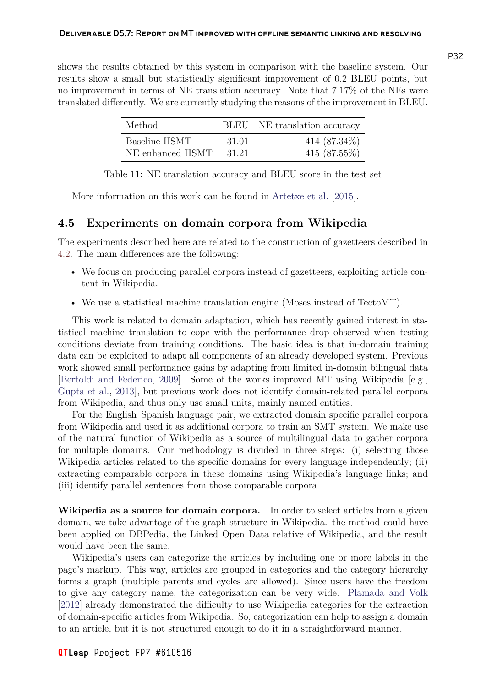| Method           |       | BLEU NE translation accuracy |
|------------------|-------|------------------------------|
| Baseline HSMT    | 31.01 | 414 $(87.34\%)$              |
| NE enhanced HSMT | 31.21 | 415 $(87.55\%)$              |

Table 11: NE translation accuracy and BLEU score in the test set

More information on this work can be found in Artetxe et al. [2015].

## **4.5 Experiments on domain corpora from Wikipedia**

The experiments described here are related to the c[onstruction of gazet](#page-60-4)teers described in 4.2. The main differences are the following:

- <span id="page-31-0"></span>• We focus on producing parallel corpora instead of gazetteers, exploiting article content in Wikipedia.
- [•](#page-25-0) We use a statistical machine translation engine (Moses instead of TectoMT).

This work is related to domain adaptation, which has recently gained interest in statistical machine translation to cope with the performance drop observed when testing conditions deviate from training conditions. The basic idea is that in-domain training data can be exploited to adapt all components of an already developed system. Previous work showed small performance gains by adapting from limited in-domain bilingual data [Bertoldi and Federico, 2009]. Some of the works improved MT using Wikipedia [e.g., Gupta et al., 2013], but previous work does not identify domain-related parallel corpora from Wikipedia, and thus only use small units, mainly named entities.

[For the English–Spanish l](#page-60-5)anguage pair, we extracted domain specific parallel corpora [from Wikipedia an](#page-61-4)d used it as additional corpora to train an SMT system. We make use of the natural function of Wikipedia as a source of multilingual data to gather corpora for multiple domains. Our methodology is divided in three steps: (i) selecting those Wikipedia articles related to the specific domains for every language independently; (ii) extracting comparable corpora in these domains using Wikipedia's language links; and (iii) identify parallel sentences from those comparable corpora

**Wikipedia as a source for domain corpora.** In order to select articles from a given domain, we take advantage of the graph structure in Wikipedia. the method could have been applied on DBPedia, the Linked Open Data relative of Wikipedia, and the result would have been the same.

Wikipedia's users can categorize the articles by including one or more labels in the page's markup. This way, articles are grouped in categories and the category hierarchy forms a graph (multiple parents and cycles are allowed). Since users have the freedom to give any category name, the categorization can be very wide. Plamada and Volk [2012] already demonstrated the difficulty to use Wikipedia categories for the extraction of domain-specific articles from Wikipedia. So, categorization can help to assign a domain to an article, but it is not structured enough to do it in a straightfor[ward manner.](#page-63-2)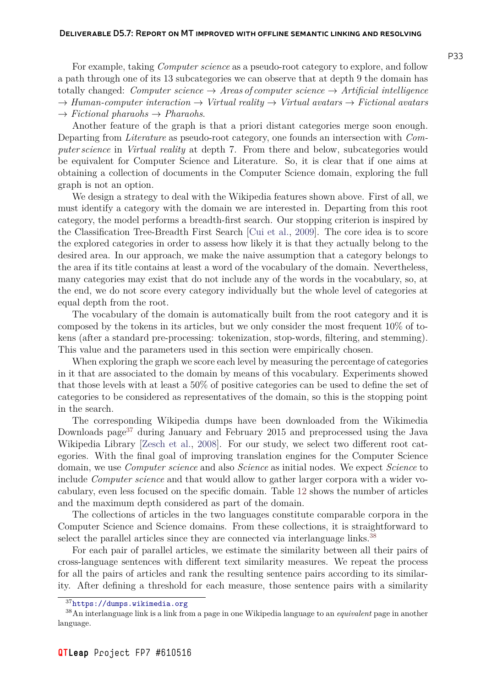For example, taking *Computer science* as a pseudo-root category to explore, and follow a path through one of its 13 subcategories we can observe that at depth 9 the domain has totally changed: *Computer science → Areas of computer science → Artificial intelligence → Human-computer interaction → Virtual reality → Virtual avatars → Fictional avatars → Fictional pharaohs → Pharaohs*.

Another feature of the graph is that a priori distant categories merge soon enough. Departing from *Literature* as pseudo-root category, one founds an intersection with *Computer science* in *Virtual reality* at depth 7. From there and below, subcategories would be equivalent for Computer Science and Literature. So, it is clear that if one aims at obtaining a collection of documents in the Computer Science domain, exploring the full graph is not an option.

We design a strategy to deal with the Wikipedia features shown above. First of all, we must identify a category with the domain we are interested in. Departing from this root category, the model performs a breadth-first search. Our stopping criterion is inspired by the Classification Tree-Breadth First Search [Cui et al., 2009]. The core idea is to score the explored categories in order to assess how likely it is that they actually belong to the desired area. In our approach, we make the naive assumption that a category belongs to the area if its title contains at least a word of [the vocabu](#page-61-5)l[ary o](#page-61-5)f the domain. Nevertheless, many categories may exist that do not include any of the words in the vocabulary, so, at the end, we do not score every category individually but the whole level of categories at equal depth from the root.

The vocabulary of the domain is automatically built from the root category and it is composed by the tokens in its articles, but we only consider the most frequent 10% of tokens (after a standard pre-processing: tokenization, stop-words, filtering, and stemming). This value and the parameters used in this section were empirically chosen.

When exploring the graph we score each level by measuring the percentage of categories in it that are associated to the domain by means of this vocabulary. Experiments showed that those levels with at least a 50% of positive categories can be used to define the set of categories to be considered as representatives of the domain, so this is the stopping point in the search.

The corresponding Wikipedia dumps have been downloaded from the Wikimedia Downloads page<sup>37</sup> during January and February 2015 and preprocessed using the Java Wikipedia Library [Zesch et al., 2008]. For our study, we select two different root categories. With the final goal of improving translation engines for the Computer Science domain, we use *[Co](#page-32-0)mputer science* and also *Science* as initial nodes. We expect *Science* to include *Computer science* and th[at wo](#page-65-0)uld allow to gather larger corpora with a wider vocabulary, even less f[ocused on th](#page-65-0)e specific domain. Table 12 shows the number of articles and the maximum depth considered as part of the domain.

The collections of articles in the two languages constitute comparable corpora in the Computer Science and Science domains. From these coll[ect](#page-33-0)ions, it is straightforward to select the parallel articles since they are connected via interlanguage links.<sup>38</sup>

For each pair of parallel articles, we estimate the similarity between all their pairs of cross-language sentences with different text similarity measures. We repeat the process for all the pairs of articles and rank the resulting sentence pairs according [to](#page-32-1) its similarity. After defining a threshold for each measure, those sentence pairs with a similarity

<sup>37</sup>https://dumps.wikimedia.org

<span id="page-32-1"></span><span id="page-32-0"></span><sup>38</sup>An interlanguage link is a link from a page in one Wikipedia language to an *equivalent* page in another language.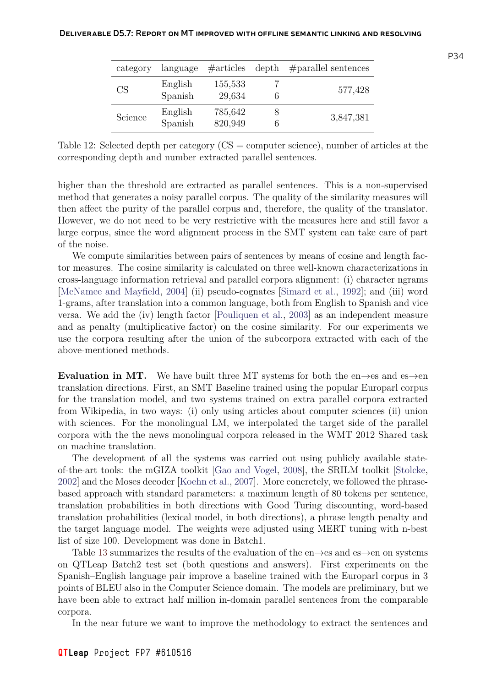| category | language           | #articles          | depth | $\#$ parallel sentences |
|----------|--------------------|--------------------|-------|-------------------------|
| CS       | English<br>Spanish | 155,533<br>29,634  |       | 577,428                 |
| Science  | English<br>Spanish | 785,642<br>820,949 |       | 3,847,381               |

Table 12: Selected depth per category (CS = computer science), number of articles at the corresponding depth and number extracted parallel sentences.

<span id="page-33-0"></span>higher than the threshold are extracted as parallel sentences. This is a non-supervised method that generates a noisy parallel corpus. The quality of the similarity measures will then affect the purity of the parallel corpus and, therefore, the quality of the translator. However, we do not need to be very restrictive with the measures here and still favor a large corpus, since the word alignment process in the SMT system can take care of part of the noise.

We compute similarities between pairs of sentences by means of cosine and length factor measures. The cosine similarity is calculated on three well-known characterizations in cross-language information retrieval and parallel corpora alignment: (i) character ngrams [McNamee and Mayfield, 2004] (ii) pseudo-cognates [Simard et al., 1992]; and (iii) word 1-grams, after translation into a common language, both from English to Spanish and vice versa. We add the (iv) length factor [Pouliquen et al., 2003] as an independent measure [and as penalty \(multipli](#page-62-4)c[ative](#page-62-4) factor) on the cosine [similarity. Fo](#page-63-3)r [our](#page-63-3) experiments we use the corpora resulting after the union of the subcorpora extracted with each of the above-mentioned methods.

**Evaluation in MT.** We have built three MT systems for both the en*→*es and es*→*en translation directions. First, an SMT Baseline trained using the popular Europarl corpus for the translation model, and two systems trained on extra parallel corpora extracted from Wikipedia, in two ways: (i) only using articles about computer sciences (ii) union with sciences. For the monolingual LM, we interpolated the target side of the parallel corpora with the the news monolingual corpora released in the WMT 2012 Shared task on machine translation.

The development of all the systems was carried out using publicly available stateof-the-art tools: the mGIZA toolkit [Gao and Vogel, 2008], the SRILM toolkit [Stolcke, 2002] and the Moses decoder [Koehn et al., 2007]. More concretely, we followed the phrasebased approach with standard parameters: a maximum length of 80 tokens per sentence, translation probabilities in both dir[ections with Good Tu](#page-61-6)ring discounting, wo[rd-based](#page-64-3) [trans](#page-64-3)lation probabilities (lex[ical model, in both](#page-62-3) directions), a phrase length penalty and the target language model. The weights were adjusted using MERT tuning with n-best list of size 100. Development was done in Batch1.

Table 13 summarizes the results of the evaluation of the en*→*es and es*→*en on systems on QTLeap Batch2 test set (both questions and answers). First experiments on the Spanish–English language pair improve a baseline trained with the Europarl corpus in 3 points of [BL](#page-34-1)EU also in the Computer Science domain. The models are preliminary, but we have been able to extract half million in-domain parallel sentences from the comparable corpora.

In the near future we want to improve the methodology to extract the sentences and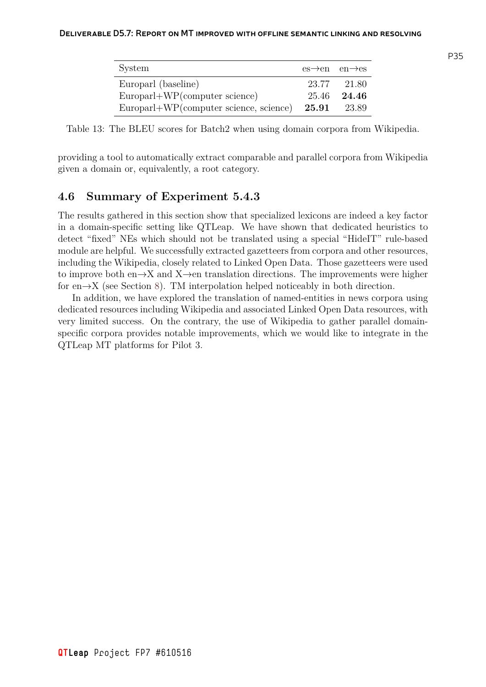| System                                 | $es \rightarrow en$ en $\rightarrow es$ |        |
|----------------------------------------|-----------------------------------------|--------|
| Europarl (baseline)                    | 23.77                                   | -21.80 |
| $EuropeanI+WP$ (computer science)      | 25.46                                   | 24.46  |
| Europarl+WP(computer science, science) | 25.91                                   | 23.89  |

Table 13: The BLEU scores for Batch2 when using domain corpora from Wikipedia.

<span id="page-34-1"></span>providing a tool to automatically extract comparable and parallel corpora from Wikipedia given a domain or, equivalently, a root category.

## **4.6 Summary of Experiment 5.4.3**

<span id="page-34-0"></span>The results gathered in this section show that specialized lexicons are indeed a key factor in a domain-specific setting like QTLeap. We have shown that dedicated heuristics to detect "fixed" NEs which should not be translated using a special "HideIT" rule-based module are helpful. We successfully extracted gazetteers from corpora and other resources, including the Wikipedia, closely related to Linked Open Data. Those gazetteers were used to improve both en*→*X and X*→*en translation directions. The improvements were higher for en*→*X (see Section 8). TM interpolation helped noticeably in both direction.

In addition, we have explored the translation of named-entities in news corpora using dedicated resources including Wikipedia and associated Linked Open Data resources, with very limited success. [On](#page-48-0) the contrary, the use of Wikipedia to gather parallel domainspecific corpora provides notable improvements, which we would like to integrate in the QTLeap MT platforms for Pilot 3.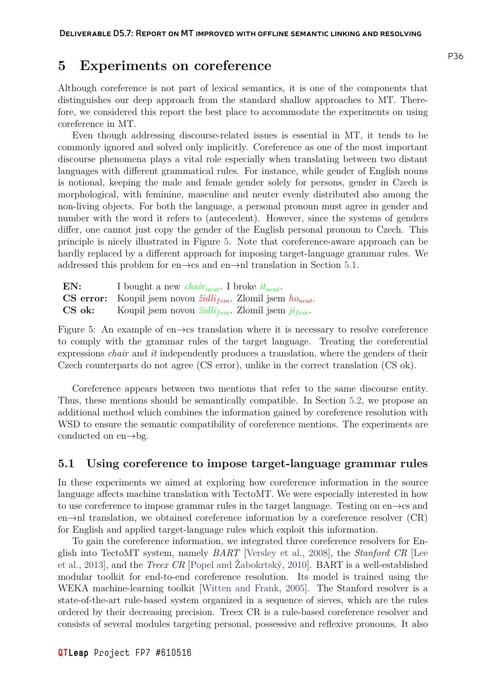## **5 Experiments on coreference**

<span id="page-35-0"></span>Although coreference is not part of lexical semantics, it is one of the components that distinguishes our deep approach from the standard shallow approaches to MT. Therefore, we considered this report the best place to accommodate the experiments on using coreference in MT.

Even though addressing discourse-related issues is essential in MT, it tends to be commonly ignored and solved only implicitly. Coreference as one of the most important discourse phenomena plays a vital role especially when translating between two distant languages with different grammatical rules. For instance, while gender of English nouns is notional, keeping the male and female gender solely for persons, gender in Czech is morphological, with feminine, masculine and neuter evenly distributed also among the non-living objects. For both the language, a personal pronoun must agree in gender and number with the word it refers to (antecedent). However, since the systems of genders differ, one cannot just copy the gender of the English personal pronoun to Czech. This principle is nicely illustrated in Figure 5. Note that coreference-aware approach can be hardly replaced by a different approach for imposing target-language grammar rules. We addressed this problem for en*→*cs and en*→*nl translation in Section 5.1.

| EN:      | I bought a new <i>chair</i> <sub>neut</sub> . I broke $it_{neut}$ .                                   |
|----------|-------------------------------------------------------------------------------------------------------|
|          | <b>CS</b> error: Koupil jsem novou $\check{z}$ <i>idli</i> <sub>fem</sub> . Zlomil jsem $ho_{neut}$ . |
| $CS$ ok: | Koupil jsem novou $\check{z}idli_{fem}$ . Zlomil jsem $ji_{fem}$ .                                    |

Figure 5: An example of en*→*cs translation where it is necessary to resolve coreference to comply with the grammar rules of the target language. Treating the coreferential expressions *chair* and *it* independently produces a translation, where the genders of their Czech counterparts do not agree (CS error), unlike in the correct translation (CS ok).

<span id="page-35-2"></span>Coreference appears between two mentions that refer to the same discourse entity. Thus, these mentions should be semantically compatible. In Section 5.2, we propose an additional method which combines the information gained by coreference resolution with WSD to ensure the semantic compatibility of coreference mentions. The experiments are conducted on en*→*bg.

## **5.1 Using coreference to impose target-language grammar rules**

<span id="page-35-1"></span>In these experiments we aimed at exploring how coreference information in the source language affects machine translation with TectoMT. We were especially interested in how to use coreference to impose grammar rules in the target language. Testing on en*→*cs and en*→*nl translation, we obtained coreference information by a coreference resolver (CR) for English and applied target-language rules which exploit this information.

To gain the coreference information, we integrated three coreference resolvers for English into TectoMT system, namely *BART* [Versley et al., 2008], the *Stanford CR* [Lee et al., 2013], and the *Treex CR* [Popel and Žabokrtský, 2010]. BART is a well-established modular toolkit for end-to-end coreference resolution. Its model is trained using the WEKA machine-learning toolkit [Witten an[d Frank,](#page-64-4) 2005][. Th](#page-64-4)e Stanford resolver [is a](#page-62-5) [state-of-the](#page-62-5)-art rule-based syst[em organized in a sequence o](#page-63-4)f sieves, which are the rules ordered by their decreasing precision. Treex CR is a rule-based coreference resolver and consists of several modules targeti[ng personal, posses](#page-64-5)s[ive a](#page-64-5)nd reflexive pronouns. It also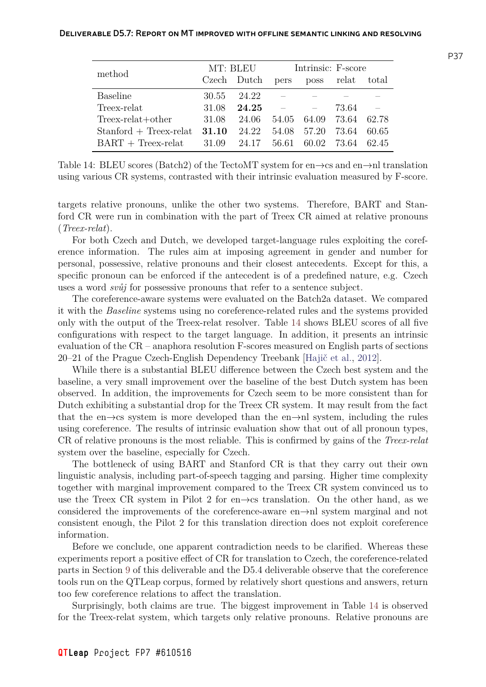| method                         | MT: BLEU |        | Intrinsic: F-score |             |       |       |
|--------------------------------|----------|--------|--------------------|-------------|-------|-------|
|                                | Czech    | Dutch  | pers               | <b>poss</b> | relat | total |
| <b>Baseline</b>                | 30.55    | 24.22  |                    |             |       |       |
| Treex-relat                    | 31.08    | 24.25  | $\sim$ $ \sim$     |             | 73.64 |       |
| Treex-relat+other              | 31.08    | -24.06 | 54.05              | 64.09       | 73.64 | 62.78 |
| $Stanford + Treex-relat$ 31.10 |          | 24.22  | 54.08              | 57.20       | 73.64 | 60.65 |
| $BART + Treex-relat$           | 31.09    | 24.17  | 56.61              | 60.02       | 73.64 | 62.45 |

Table 14: BLEU scores (Batch2) of the TectoMT system for en*→*cs and en*→*nl translation using various CR systems, contrasted with their intrinsic evaluation measured by F-score.

<span id="page-36-0"></span>targets relative pronouns, unlike the other two systems. Therefore, BART and Stanford CR were run in combination with the part of Treex CR aimed at relative pronouns (*Treex-relat*).

For both Czech and Dutch, we developed target-language rules exploiting the coreference information. The rules aim at imposing agreement in gender and number for personal, possessive, relative pronouns and their closest antecedents. Except for this, a specific pronoun can be enforced if the antecedent is of a predefined nature, e.g. Czech uses a word *svůj* for possessive pronouns that refer to a sentence subject.

The coreference-aware systems were evaluated on the Batch2a dataset. We compared it with the *Baseline* systems using no coreference-related rules and the systems provided only with the output of the Treex-relat resolver. Table 14 shows BLEU scores of all five configurations with respect to the target language. In addition, it presents an intrinsic evaluation of the CR – anaphora resolution F-scores measured on English parts of sections 20–21 of the Prague Czech-English Dependency Treeba[nk](#page-36-0) [Hajič et al., 2012].

While there is a substantial BLEU difference between the Czech best system and the baseline, a very small improvement over the baseline of the best Dutch system has been observed. In addition, the improvements for Czech seem t[o be more consist](#page-62-6)ent than for Dutch exhibiting a substantial drop for the Treex CR system. It may result from the fact that the en*→*cs system is more developed than the en*→*nl system, including the rules using coreference. The results of intrinsic evaluation show that out of all pronoun types, CR of relative pronouns is the most reliable. This is confirmed by gains of the *Treex-relat* system over the baseline, especially for Czech.

The bottleneck of using BART and Stanford CR is that they carry out their own linguistic analysis, including part-of-speech tagging and parsing. Higher time complexity together with marginal improvement compared to the Treex CR system convinced us to use the Treex CR system in Pilot 2 for en*→*cs translation. On the other hand, as we considered the improvements of the coreference-aware en*→*nl system marginal and not consistent enough, the Pilot 2 for this translation direction does not exploit coreference information.

Before we conclude, one apparent contradiction needs to be clarified. Whereas these experiments report a positive effect of CR for translation to Czech, the coreference-related parts in Section 9 of this deliverable and the D5.4 deliverable observe that the coreference tools run on the QTLeap corpus, formed by relatively short questions and answers, return too few coreference relations to affect the translation.

Surprisingly, [b](#page-51-0)oth claims are true. The biggest improvement in Table 14 is observed for the Treex-relat system, which targets only relative pronouns. Relative pronouns are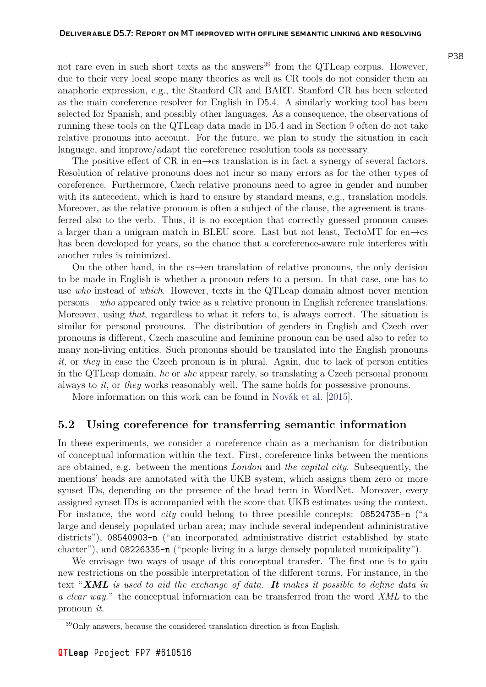not rare even in such short texts as the answers<sup>39</sup> from the QTLeap corpus. However, due to their very local scope many theories as well as CR tools do not consider them an anaphoric expression, e.g., the Stanford CR and BART. Stanford CR has been selected as the main coreference resolver for English in [D5.](#page-37-1)4. A similarly working tool has been selected for Spanish, and possibly other languages. As a consequence, the observations of running these tools on the QTLeap data made in D5.4 and in Section 9 often do not take relative pronouns into account. For the future, we plan to study the situation in each language, and improve/adapt the coreference resolution tools as necessary.

The positive effect of CR in en*→*cs translation is in fact a synerg[y](#page-51-0) of several factors. Resolution of relative pronouns does not incur so many errors as for the other types of coreference. Furthermore, Czech relative pronouns need to agree in gender and number with its antecedent, which is hard to ensure by standard means, e.g., translation models. Moreover, as the relative pronoun is often a subject of the clause, the agreement is transferred also to the verb. Thus, it is no exception that correctly guessed pronoun causes a larger than a unigram match in BLEU score. Last but not least, TectoMT for en*→*cs has been developed for years, so the chance that a coreference-aware rule interferes with another rules is minimized.

On the other hand, in the cs*→*en translation of relative pronouns, the only decision to be made in English is whether a pronoun refers to a person. In that case, one has to use *who* instead of *which*. However, texts in the QTLeap domain almost never mention persons – *who* appeared only twice as a relative pronoun in English reference translations. Moreover, using *that*, regardless to what it refers to, is always correct. The situation is similar for personal pronouns. The distribution of genders in English and Czech over pronouns is different, Czech masculine and feminine pronoun can be used also to refer to many non-living entities. Such pronouns should be translated into the English pronouns *it*, or *they* in case the Czech pronoun is in plural. Again, due to lack of person entities in the QTLeap domain, *he* or *she* appear rarely, so translating a Czech personal pronoun always to *it*, or *they* works reasonably well. The same holds for possessive pronouns.

More information on this work can be found in Novák et al. [2015].

## **5.2 Using coreference for transferring semantic information**

<span id="page-37-0"></span>In these experiments, we consider a coreference c[hain as a mechanis](#page-63-5)m for distribution of conceptual information within the text. First, coreference links between the mentions are obtained, e.g. between the mentions *London* and *the capital city*. Subsequently, the mentions' heads are annotated with the UKB system, which assigns them zero or more synset IDs, depending on the presence of the head term in WordNet. Moreover, every assigned synset IDs is accompanied with the score that UKB estimates using the context. For instance, the word *city* could belong to three possible concepts: 08524735-n ("a large and densely populated urban area; may include several independent administrative districts"), 08540903-n ("an incorporated administrative district established by state charter"), and 08226335-n ("people living in a large densely populated municipality").

We envisage two ways of usage of this conceptual transfer. The first one is to gain new restrictions on the possible interpretation of the different terms. For instance, in the text "*XML is used to aid the exchange of data. It makes it possible to define data in a clear way.*" the conceptual information can be transferred from the word *XML* to the pronoun *it*.

<span id="page-37-1"></span> $39$ Only answers, because the considered translation direction is from English.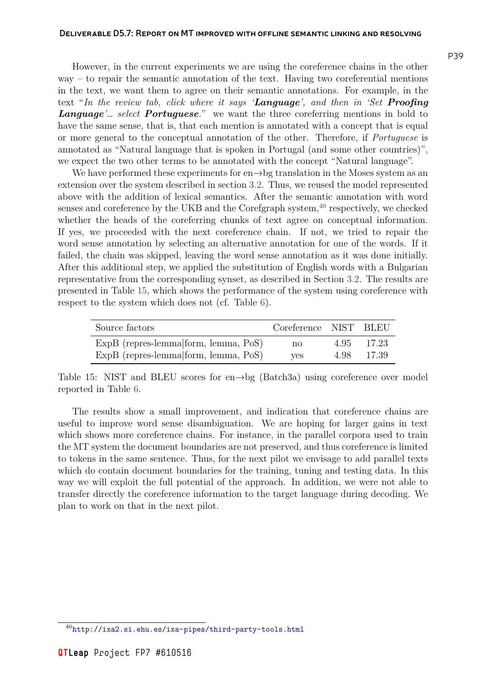However, in the current experiments we are using the coreference chains in the other way – to repair the semantic annotation of the text. Having two coreferential mentions in the text, we want them to agree on their semantic annotations. For example, in the text "*In the review tab, click where it says 'Language', and then in 'Set Proofing Language'… select Portuguese.*" we want the three coreferring mentions in bold to have the same sense, that is, that each mention is annotated with a concept that is equal or more general to the conceptual annotation of the other. Therefore, if *Portuguese* is annotated as "Natural language that is spoken in Portugal (and some other countries)", we expect the two other terms to be annotated with the concept "Natural language".

We have performed these experiments for en*→*bg translation in the Moses system as an extension over the system described in section 3.2. Thus, we reused the model represented above with the addition of lexical semantics. After the semantic annotation with word senses and coreference by the UKB and the Corefgraph system,  $40$  respectively, we checked whether the heads of the coreferring chunks [of](#page-16-0) text agree on conceptual information. If yes, we proceeded with the next coreference chain. If not, we tried to repair the word sense annotation by selecting an alternative annotation [fo](#page-38-0)r one of the words. If it failed, the chain was skipped, leaving the word sense annotation as it was done initially. After this additional step, we applied the substitution of English words with a Bulgarian representative from the corresponding synset, as described in Section 3.2. The results are presented in Table 15, which shows the performance of the system using coreference with respect to the system which does not (cf. Table 6).

| Source factors                       | Coreference NIST BLEU |            |
|--------------------------------------|-----------------------|------------|
| ExpB (repres-lemma form, lemma, PoS) | no                    | 4.95 17.23 |
| ExpB (repres-lemma form, lemma, PoS) | <b>ves</b>            | 4.98 17.39 |

Table 15: NIST and BLEU scores for en*→*bg (Batch3a) using coreference over model reported in Table 6.

<span id="page-38-1"></span>The results show a small improvement, and indication that coreference chains are useful to improve [w](#page-19-1)ord sense disambiguation. We are hoping for larger gains in text which shows more coreference chains. For instance, in the parallel corpora used to train the MT system the document boundaries are not preserved, and thus coreference is limited to tokens in the same sentence. Thus, for the next pilot we envisage to add parallel texts which do contain document boundaries for the training, tuning and testing data. In this way we will exploit the full potential of the approach. In addition, we were not able to transfer directly the coreference information to the target language during decoding. We plan to work on that in the next pilot.

<span id="page-38-0"></span> $^{40}$ http://ixa2.si.ehu.es/ixa-pipes/third-party-tools.html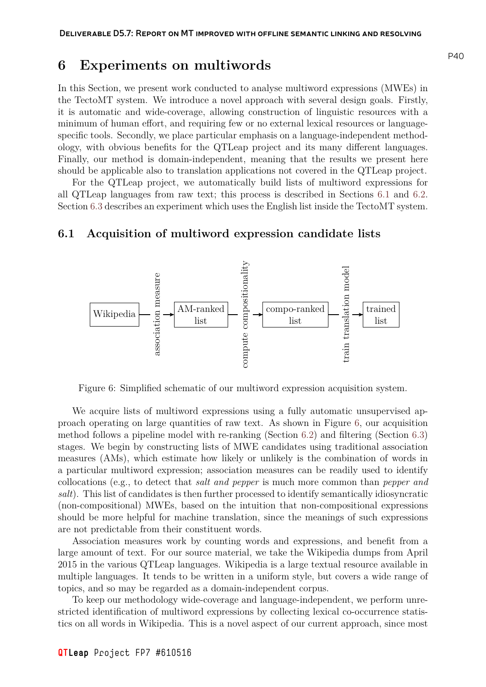## **6 Experiments on multiwords**

<span id="page-39-0"></span>In this Section, we present work conducted to analyse multiword expressions (MWEs) in the TectoMT system. We introduce a novel approach with several design goals. Firstly, it is automatic and wide-coverage, allowing construction of linguistic resources with a minimum of human effort, and requiring few or no external lexical resources or languagespecific tools. Secondly, we place particular emphasis on a language-independent methodology, with obvious benefits for the QTLeap project and its many different languages. Finally, our method is domain-independent, meaning that the results we present here should be applicable also to translation applications not covered in the QTLeap project.

For the QTLeap project, we automatically build lists of multiword expressions for all QTLeap languages from raw text; this process is described in Sections 6.1 and 6.2. Section 6.3 describes an experiment which uses the English list inside the TectoMT system.

#### **6.1 [Acq](#page-41-0)uisition of multiword expression candidate list[s](#page-39-1)**

<span id="page-39-1"></span>

<span id="page-39-2"></span>Figure 6: Simplified schematic of our multiword expression acquisition system.

We acquire lists of multiword expressions using a fully automatic unsupervised approach operating on large quantities of raw text. As shown in Figure 6, our acquisition method follows a pipeline model with re-ranking (Section 6.2) and filtering (Section 6.3) stages. We begin by constructing lists of MWE candidates using traditional association measures (AMs), which estimate how likely or unlikely is the combin[a](#page-39-2)tion of words in a particular multiword expression; association measures [can](#page-40-0) be readily used to ide[ntify](#page-41-0) collocations (e.g., to detect that *salt and pepper* is much more common than *pepper and salt*). This list of candidates is then further processed to identify semantically idiosyncratic (non-compositional) MWEs, based on the intuition that non-compositional expressions should be more helpful for machine translation, since the meanings of such expressions are not predictable from their constituent words.

Association measures work by counting words and expressions, and benefit from a large amount of text. For our source material, we take the Wikipedia dumps from April 2015 in the various QTLeap languages. Wikipedia is a large textual resource available in multiple languages. It tends to be written in a uniform style, but covers a wide range of topics, and so may be regarded as a domain-independent corpus.

To keep our methodology wide-coverage and language-independent, we perform unrestricted identification of multiword expressions by collecting lexical co-occurrence statistics on all words in Wikipedia. This is a novel aspect of our current approach, since most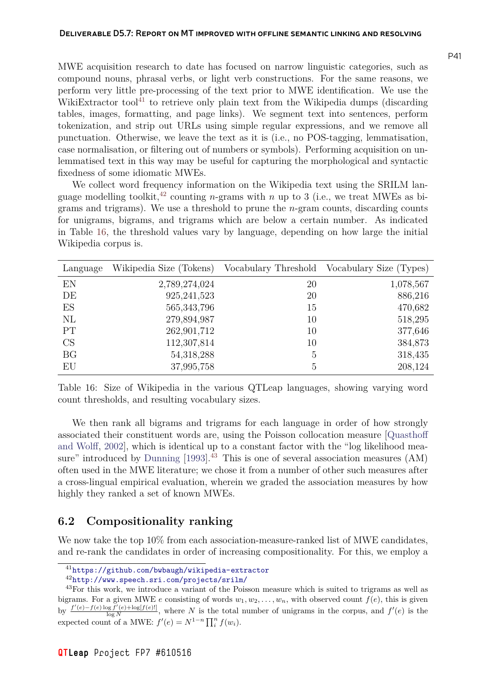MWE acquisition research to date has focused on narrow linguistic categories, such as compound nouns, phrasal verbs, or light verb constructions. For the same reasons, we perform very little pre-processing of the text prior to MWE identification. We use the WikiExtractor tool<sup>41</sup> to retrieve only plain text from the Wikipedia dumps (discarding tables, images, formatting, and page links). We segment text into sentences, perform tokenization, and strip out URLs using simple regular expressions, and we remove all punctuation. Othe[rw](#page-40-1)ise, we leave the text as it is (i.e., no POS-tagging, lemmatisation, case normalisation, or filtering out of numbers or symbols). Performing acquisition on unlemmatised text in this way may be useful for capturing the morphological and syntactic fixedness of some idiomatic MWEs.

We collect word frequency information on the Wikipedia text using the SRILM language modelling toolkit,<sup>42</sup> counting *n*-grams with *n* up to 3 (i.e., we treat MWEs as bigrams and trigrams). We use a threshold to prune the *n*-gram counts, discarding counts for unigrams, bigrams, and trigrams which are below a certain number. As indicated in Table 16, the thresh[old](#page-40-2) values vary by language, depending on how large the initial Wikipedia corpus is.

| Language  |               |    | Wikipedia Size (Tokens) Vocabulary Threshold Vocabulary Size (Types) |
|-----------|---------------|----|----------------------------------------------------------------------|
| EN        | 2,789,274,024 | 20 | 1,078,567                                                            |
| DE        | 925, 241, 523 | 20 | 886,216                                                              |
| ES        | 565, 343, 796 | 15 | 470,682                                                              |
| $\rm NL$  | 279,894,987   | 10 | 518,295                                                              |
| <b>PT</b> | 262,901,712   | 10 | 377,646                                                              |
| CS        | 112,307,814   | 10 | 384,873                                                              |
| BG        | 54,318,288    | 5  | 318,435                                                              |
| EU        | 37,995,758    | 5  | 208,124                                                              |

Table 16: Size of Wikipedia in the various QTLeap languages, showing varying word count thresholds, and resulting vocabulary sizes.

<span id="page-40-3"></span>We then rank all bigrams and trigrams for each language in order of how strongly associated their constituent words are, using the Poisson collocation measure [Quasthoff and Wolff, 2002], which is identical up to a constant factor with the "log likelihood measure" introduced by Dunning  $[1993]$ .<sup>43</sup> This is one of several association measures (AM) often used in the MWE literature; we chose it from a number of other such mea[sures after](#page-63-6) [a cross-lingual e](#page-63-6)mpirical evaluation, wherein we graded the association measures by how highly they ranked a [set of known](#page-61-7) [MW](#page-40-4)Es.

## **6.2 Compositionality ranking**

We now take the top  $10\%$  from each association-measure-ranked list of MWE candidates, and re-rank the candidates in order of increasing compositionality. For this, we employ a

<span id="page-40-0"></span><sup>41</sup>https://github.com/bwbaugh/wikipedia-extractor

<sup>42</sup>http://www.speech.sri.com/projects/srilm/

<span id="page-40-4"></span><span id="page-40-2"></span><span id="page-40-1"></span><sup>43</sup>For this work, we introduce a variant of the Poisson measure which is suited to trigrams as well as bigrams. For a given MWE *e* consisting of words  $w_1, w_2, \ldots, w_n$ , with observed count  $f(e)$ , this is given  $\frac{f'(e)-f(e)\log f'(e)+\log[f(e)!]}{\log N}$  $\frac{\log f^*(e) + \log[f(e)]}{\log N}$ , where N [is the total number](https://github.com/bwbaugh/wikipedia-extractor) of unigrams in the corpus, and  $f'(e)$  is the exp[ected count of a MWE:](http://www.speech.sri.com/projects/srilm/)  $f'(e) = N^{1-n} \prod_{i}^{n} f(w_i)$ .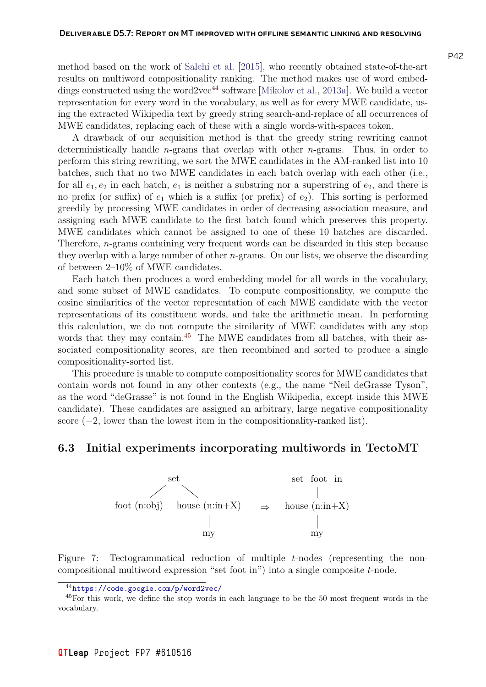method based on the work of Salehi et al. [2015], who recently obtained state-of-the-art results on multiword compositionality ranking. The method makes use of word embeddings constructed using the word2vec<sup>44</sup> software [Mikolov et al., 2013a]. We build a vector representation for every word [in the vocabulary,](#page-63-7) as well as for every MWE candidate, using the extracted Wikipedia text by greedy string search-and-replace of all occurrences of MWE candidates, replacing each of [the](#page-41-1)se with a [single words-with-sp](#page-62-7)aces token.

A drawback of our acquisition method is that the greedy string rewriting cannot deterministically handle *n*-grams that overlap with other *n*-grams. Thus, in order to perform this string rewriting, we sort the MWE candidates in the AM-ranked list into 10 batches, such that no two MWE candidates in each batch overlap with each other (i.e., for all  $e_1, e_2$  in each batch,  $e_1$  is neither a substring nor a superstring of  $e_2$ , and there is no prefix (or suffix) of  $e_1$  which is a suffix (or prefix) of  $e_2$ ). This sorting is performed greedily by processing MWE candidates in order of decreasing association measure, and assigning each MWE candidate to the first batch found which preserves this property. MWE candidates which cannot be assigned to one of these 10 batches are discarded. Therefore, *n*-grams containing very frequent words can be discarded in this step because they overlap with a large number of other *n*-grams. On our lists, we observe the discarding of between 2–10% of MWE candidates.

Each batch then produces a word embedding model for all words in the vocabulary, and some subset of MWE candidates. To compute compositionality, we compute the cosine similarities of the vector representation of each MWE candidate with the vector representations of its constituent words, and take the arithmetic mean. In performing this calculation, we do not compute the similarity of MWE candidates with any stop words that they may contain.<sup>45</sup> The MWE candidates from all batches, with their associated compositionality scores, are then recombined and sorted to produce a single compositionality-sorted list.

This procedure is unable to [co](#page-41-2)mpute compositionality scores for MWE candidates that contain words not found in any other contexts (e.g., the name "Neil deGrasse Tyson", as the word "deGrasse" is not found in the English Wikipedia, except inside this MWE candidate). These candidates are assigned an arbitrary, large negative compositionality score  $(-2, 1)$  lower than the lowest item in the compositionality-ranked list).

## <span id="page-41-0"></span>**6.3 Initial experiments incorporating multiwords in TectoMT**



Figure 7: Tectogrammatical reduction of multiple *t*-nodes (representing the noncompositional multiword expression "set foot in") into a single composite *t*-node.

<span id="page-41-3"></span><sup>44</sup>https://code.google.com/p/word2vec/

<span id="page-41-2"></span><span id="page-41-1"></span><sup>&</sup>lt;sup>45</sup>For this work, we define the stop words in each language to be the 50 most frequent words in the vocabulary.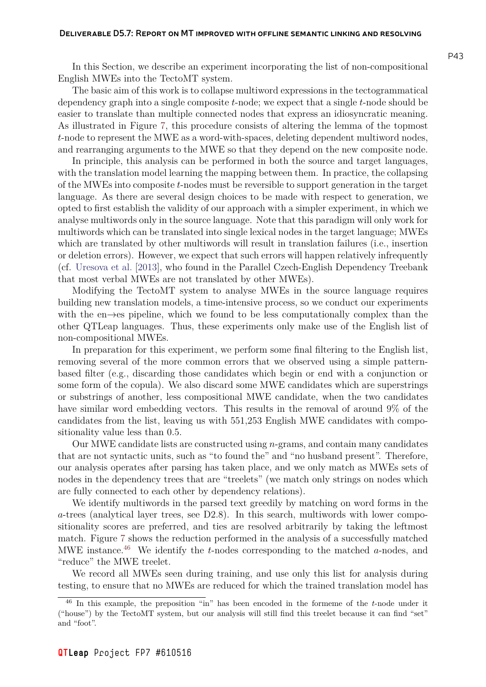In this Section, we describe an experiment incorporating the list of non-compositional English MWEs into the TectoMT system.

The basic aim of this work is to collapse multiword expressions in the tectogrammatical dependency graph into a single composite *t*-node; we expect that a single *t*-node should be easier to translate than multiple connected nodes that express an idiosyncratic meaning. As illustrated in Figure 7, this procedure consists of altering the lemma of the topmost *t*-node to represent the MWE as a word-with-spaces, deleting dependent multiword nodes, and rearranging arguments to the MWE so that they depend on the new composite node.

In principle, this ana[ly](#page-41-3)sis can be performed in both the source and target languages, with the translation model learning the mapping between them. In practice, the collapsing of the MWEs into composite *t*-nodes must be reversible to support generation in the target language. As there are several design choices to be made with respect to generation, we opted to first establish the validity of our approach with a simpler experiment, in which we analyse multiwords only in the source language. Note that this paradigm will only work for multiwords which can be translated into single lexical nodes in the target language; MWEs which are translated by other multiwords will result in translation failures (i.e., insertion or deletion errors). However, we expect that such errors will happen relatively infrequently (cf. Uresova et al. [2013], who found in the Parallel Czech-English Dependency Treebank that most verbal MWEs are not translated by other MWEs).

Modifying the TectoMT system to analyse MWEs in the source language requires buil[ding new trans](#page-64-6)l[ation](#page-64-6) models, a time-intensive process, so we conduct our experiments with the en*→*es pipeline, which we found to be less computationally complex than the other QTLeap languages. Thus, these experiments only make use of the English list of non-compositional MWEs.

In preparation for this experiment, we perform some final filtering to the English list, removing several of the more common errors that we observed using a simple patternbased filter (e.g., discarding those candidates which begin or end with a conjunction or some form of the copula). We also discard some MWE candidates which are superstrings or substrings of another, less compositional MWE candidate, when the two candidates have similar word embedding vectors. This results in the removal of around  $9\%$  of the candidates from the list, leaving us with 551,253 English MWE candidates with compositionality value less than 0.5.

Our MWE candidate lists are constructed using *n*-grams, and contain many candidates that are not syntactic units, such as "to found the" and "no husband present". Therefore, our analysis operates after parsing has taken place, and we only match as MWEs sets of nodes in the dependency trees that are "treelets" (we match only strings on nodes which are fully connected to each other by dependency relations).

We identify multiwords in the parsed text greedily by matching on word forms in the *a*-trees (analytical layer trees, see D2.8). In this search, multiwords with lower compositionality scores are preferred, and ties are resolved arbitrarily by taking the leftmost match. Figure 7 shows the reduction performed in the analysis of a successfully matched MWE instance.<sup>46</sup> We identify the *t*-nodes corresponding to the matched *a*-nodes, and "reduce" the MWE treelet.

We record [al](#page-41-3)l MWEs seen during training, and use only this list for analysis during testing, to ensu[re](#page-42-0) that no MWEs are reduced for which the trained translation model has

<span id="page-42-0"></span><sup>46</sup> In this example, the preposition "in" has been encoded in the formeme of the *t*-node under it ("house") by the TectoMT system, but our analysis will still find this treelet because it can find "set" and "foot".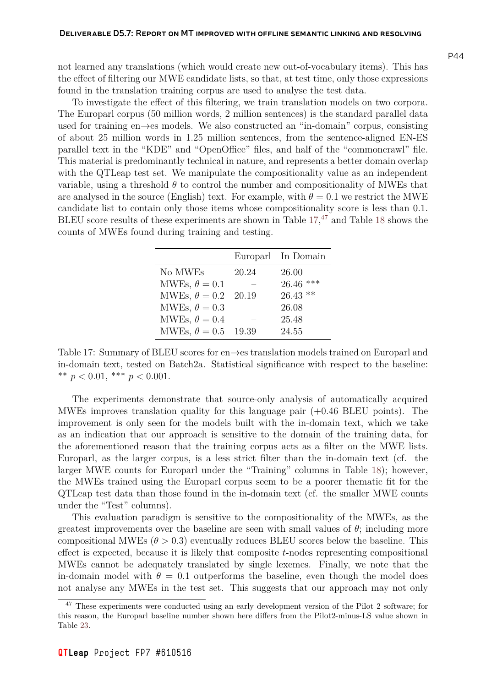not learned any translations (which would create new out-of-vocabulary items). This has the effect of filtering our MWE candidate lists, so that, at test time, only those expressions found in the translation training corpus are used to analyse the test data.

To investigate the effect of this filtering, we train translation models on two corpora. The Europarl corpus (50 million words, 2 million sentences) is the standard parallel data used for training en*→*es models. We also constructed an "in-domain" corpus, consisting of about 25 million words in 1.25 million sentences, from the sentence-aligned EN-ES parallel text in the "KDE" and "OpenOffice" files, and half of the "commoncrawl" file. This material is predominantly technical in nature, and represents a better domain overlap with the QTLeap test set. We manipulate the compositionality value as an independent variable, using a threshold *θ* to control the number and compositionality of MWEs that are analysed in the source (English) text. For example, with  $\theta = 0.1$  we restrict the MWE candidate list to contain only those items whose compositionality score is less than 0.1. BLEU score results of these experiments are shown in Table  $17<sup>47</sup>$  and Table 18 shows the counts of MWEs found during training and testing.

|                      |       | Europarl In Domain |
|----------------------|-------|--------------------|
| No MWEs              | 20.24 | 26.00              |
| MWEs, $\theta = 0.1$ |       | 26.46 ***          |
| MWEs, $\theta = 0.2$ | 20.19 | $26.43$ **         |
| MWEs, $\theta = 0.3$ |       | 26.08              |
| MWEs, $\theta = 0.4$ |       | 25.48              |
| MWEs, $\theta = 0.5$ | 19.39 | 24.55              |

Table 17: Summary of BLEU scores for en*→*es translation models trained on Europarl and in-domain text, tested on Batch2a. Statistical significance with respect to the baseline: \*\*  $p < 0.01$ , \*\*\*  $p < 0.001$ .

<span id="page-43-0"></span>The experiments demonstrate that source-only analysis of automatically acquired MWEs improves translation quality for this language pair (+0.46 BLEU points). The improvement is only seen for the models built with the in-domain text, which we take as an indication that our approach is sensitive to the domain of the training data, for the aforementioned reason that the training corpus acts as a filter on the MWE lists. Europarl, as the larger corpus, is a less strict filter than the in-domain text (cf. the larger MWE counts for Europarl under the "Training" columns in Table 18); however, the MWEs trained using the Europarl corpus seem to be a poorer thematic fit for the QTLeap test data than those found in the in-domain text (cf. the smaller MWE counts under the "Test" columns).

This evaluation paradigm is sensitive to the compositionality of the [MW](#page-44-0)Es, as the greatest improvements over the baseline are seen with small values of  $\theta$ ; including more compositional MWEs ( $\theta > 0.3$ ) eventually reduces BLEU scores below the baseline. This effect is expected, because it is likely that composite *t*-nodes representing compositional MWEs cannot be adequately translated by single lexemes. Finally, we note that the in-domain model with  $\theta = 0.1$  outperforms the baseline, even though the model does not analyse any MWEs in the test set. This suggests that our approach may not only

<span id="page-43-1"></span><sup>&</sup>lt;sup>47</sup> These experiments were conducted using an early development version of the Pilot 2 software; for this reason, the Europarl baseline number shown here differs from the Pilot2-minus-LS value shown in Table 23.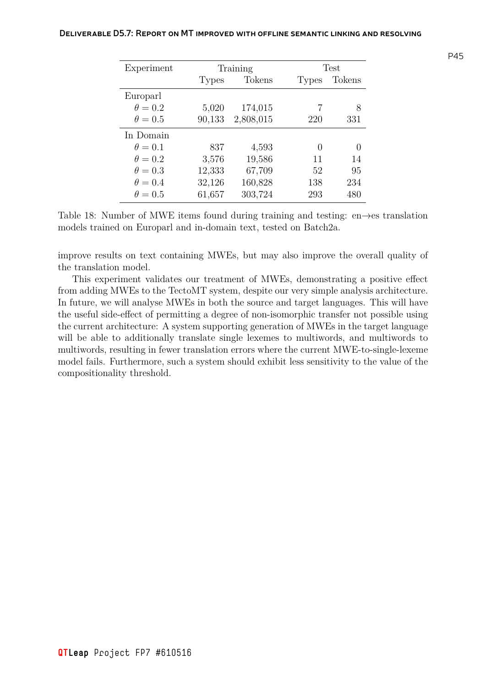| Experiment     |              | Training      |                  | <b>Test</b>      |
|----------------|--------------|---------------|------------------|------------------|
|                | <b>Types</b> | <b>Tokens</b> | <b>Types</b>     | <b>Tokens</b>    |
| Europarl       |              |               |                  |                  |
| $\theta = 0.2$ | 5,020        | 174,015       |                  | 8                |
| $\theta = 0.5$ | 90,133       | 2,808,015     | 220              | 331              |
| In Domain      |              |               |                  |                  |
| $\theta = 0.1$ | 837          | 4,593         | $\left( \right)$ | $\left( \right)$ |
| $\theta = 0.2$ | 3,576        | 19,586        | 11               | 14               |
| $\theta = 0.3$ | 12,333       | 67,709        | 52               | 95               |
| $\theta = 0.4$ | 32,126       | 160,828       | 138              | 234              |
| $\theta = 0.5$ | 61,657       | 303,724       | 293              | 480              |

<span id="page-44-0"></span>Table 18: Number of MWE items found during training and testing: en*→*es translation models trained on Europarl and in-domain text, tested on Batch2a.

improve results on text containing MWEs, but may also improve the overall quality of the translation model.

This experiment validates our treatment of MWEs, demonstrating a positive effect from adding MWEs to the TectoMT system, despite our very simple analysis architecture. In future, we will analyse MWEs in both the source and target languages. This will have the useful side-effect of permitting a degree of non-isomorphic transfer not possible using the current architecture: A system supporting generation of MWEs in the target language will be able to additionally translate single lexemes to multiwords, and multiwords to multiwords, resulting in fewer translation errors where the current MWE-to-single-lexeme model fails. Furthermore, such a system should exhibit less sensitivity to the value of the compositionality threshold.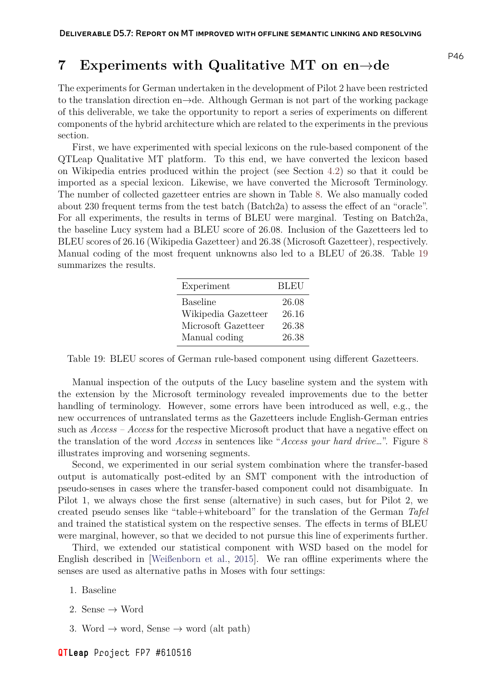## **7 Experiments with Qualitative MT on en***→***de**

<span id="page-45-0"></span>The experiments for German undertaken in the development of Pilot 2 have been restricted to the translation direction en*→*de. Although German is not part of the working package of this deliverable, we take the opportunity to report a series of experiments on different components of the hybrid architecture which are related to the experiments in the previous section.

First, we have experimented with special lexicons on the rule-based component of the QTLeap Qualitative MT platform. To this end, we have converted the lexicon based on Wikipedia entries produced within the project (see Section 4.2) so that it could be imported as a special lexicon. Likewise, we have converted the Microsoft Terminology. The number of collected gazetteer entries are shown in Table 8. We also manually coded about 230 frequent terms from the test batch (Batch2a) to assess [the](#page-25-0) effect of an "oracle". For all experiments, the results in terms of BLEU were marginal. Testing on Batch2a, the baseline Lucy system had a BLEU score of 26.08. Inclus[io](#page-28-2)n of the Gazetteers led to BLEU scores of 26.16 (Wikipedia Gazetteer) and 26.38 (Microsoft Gazetteer), respectively. Manual coding of the most frequent unknowns also led to a BLEU of 26.38. Table 19 summarizes the results.

| Experiment          | <b>BLEU</b> |
|---------------------|-------------|
| <b>Baseline</b>     | 26.08       |
| Wikipedia Gazetteer | 26.16       |
| Microsoft Gazetteer | 26.38       |
| Manual coding       | 26.38       |

Table 19: BLEU scores of German rule-based component using different Gazetteers.

Manual inspection of the outputs of the Lucy baseline system and the system with the extension by the Microsoft terminology revealed improvements due to the better handling of terminology. However, some errors have been introduced as well, e.g., the new occurrences of untranslated terms as the Gazetteers include English-German entries such as *Access – Access* for the respective Microsoft product that have a negative effect on the translation of the word *Access* in sentences like "*Access your hard drive…*". Figure 8 illustrates improving and worsening segments.

Second, we experimented in our serial system combination where the transfer-based output is automatically post-edited by an SMT component with the introduction [of](#page-46-0) pseudo-senses in cases where the transfer-based component could not disambiguate. In Pilot 1, we always chose the first sense (alternative) in such cases, but for Pilot 2, we created pseudo senses like "table+whiteboard" for the translation of the German *Tafel* and trained the statistical system on the respective senses. The effects in terms of BLEU were marginal, however, so that we decided to not pursue this line of experiments further.

Third, we extended our statistical component with WSD based on the model for English described in [Weißenborn et al., 2015]. We ran offline experiments where the senses are used as alternative paths in Moses with four settings:

- 1. Baseline
- 2. Sense  $\rightarrow$  Word
- 3. Word  $\rightarrow$  word, Sense  $\rightarrow$  word (alt path)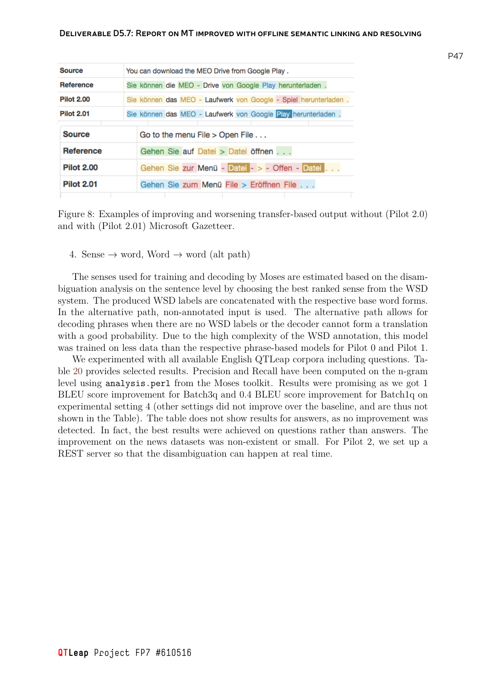| <b>Source</b>     | You can download the MEO Drive from Google Play.                |  |  |  |  |
|-------------------|-----------------------------------------------------------------|--|--|--|--|
| <b>Reference</b>  | Sie können die MEO - Drive von Google Play herunterladen.       |  |  |  |  |
| <b>Pilot 2.00</b> | Sie können das MEO - Laufwerk von Google - Spiel herunterladen. |  |  |  |  |
| <b>Pilot 2.01</b> | Sie können das MEO - Laufwerk von Google Play herunterladen.    |  |  |  |  |
|                   |                                                                 |  |  |  |  |
| <b>Source</b>     | Go to the menu File $>$ Open File $\ldots$                      |  |  |  |  |
| Reference         | Gehen Sie auf Datei > Datei öffnen                              |  |  |  |  |
| <b>Pilot 2.00</b> | Gehen Sie zur Menü - Datei - > - Offen - Datei                  |  |  |  |  |
| <b>Pilot 2.01</b> | Gehen Sie zum Menü File > Eröffnen File                         |  |  |  |  |
|                   |                                                                 |  |  |  |  |

Figure 8: Examples of improving and worsening transfer-based output without (Pilot 2.0) and with (Pilot 2.01) Microsoft Gazetteer.

<span id="page-46-0"></span>4. Sense *→* word, Word *→* word (alt path)

The senses used for training and decoding by Moses are estimated based on the disambiguation analysis on the sentence level by choosing the best ranked sense from the WSD system. The produced WSD labels are concatenated with the respective base word forms. In the alternative path, non-annotated input is used. The alternative path allows for decoding phrases when there are no WSD labels or the decoder cannot form a translation with a good probability. Due to the high complexity of the WSD annotation, this model was trained on less data than the respective phrase-based models for Pilot 0 and Pilot 1.

We experimented with all available English QTLeap corpora including questions. Table 20 provides selected results. Precision and Recall have been computed on the n-gram level using analysis.perl from the Moses toolkit. Results were promising as we got 1 BLEU score improvement for Batch3q and 0.4 BLEU score improvement for Batch1q on exp[eri](#page-47-0)mental setting 4 (other settings did not improve over the baseline, and are thus not shown in the Table). The table does not show results for answers, as no improvement was detected. In fact, the best results were achieved on questions rather than answers. The improvement on the news datasets was non-existent or small. For Pilot 2, we set up a REST server so that the disambiguation can happen at real time.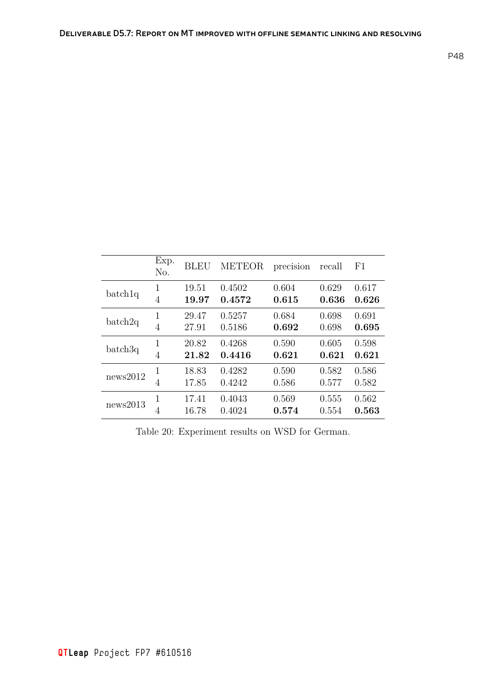|                     | Exp.<br>N <sub>o</sub> . | <b>BLEU</b> | <b>METEOR</b> | precision | recall | F1    |
|---------------------|--------------------------|-------------|---------------|-----------|--------|-------|
| batch1q             | 1                        | 19.51       | 0.4502        | 0.604     | 0.629  | 0.617 |
|                     | 4                        | 19.97       | 0.4572        | 0.615     | 0.636  | 0.626 |
| batch2q             | 1                        | 29.47       | 0.5257        | 0.684     | 0.698  | 0.691 |
|                     | 4                        | 27.91       | 0.5186        | 0.692     | 0.698  | 0.695 |
| batch <sub>3q</sub> | 1                        | 20.82       | 0.4268        | 0.590     | 0.605  | 0.598 |
|                     | 4                        | 21.82       | 0.4416        | 0.621     | 0.621  | 0.621 |
| news2012            | $\mathbf{1}$             | 18.83       | 0.4282        | 0.590     | 0.582  | 0.586 |
|                     | 4                        | 17.85       | 0.4242        | 0.586     | 0.577  | 0.582 |
| news2013            | 1                        | 17.41       | 0.4043        | 0.569     | 0.555  | 0.562 |
|                     | 4                        | 16.78       | 0.4024        | 0.574     | 0.554  | 0.563 |

<span id="page-47-0"></span>Table 20: Experiment results on WSD for German.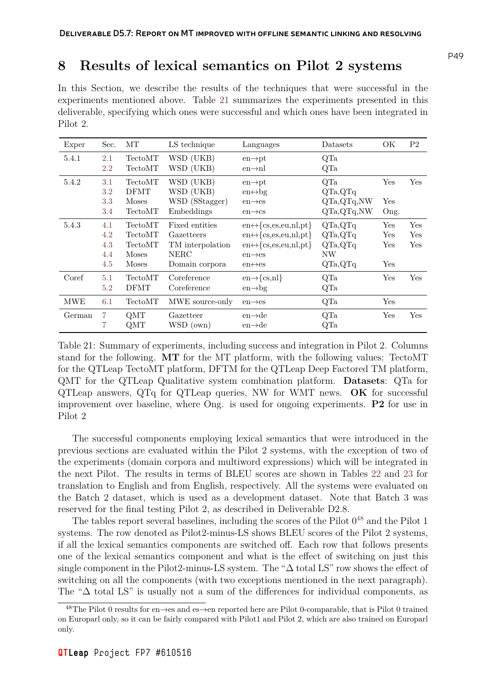## **8 Results of lexical semantics on Pilot 2 systems**

<span id="page-48-0"></span>In this Section, we describe the results of the techniques that were successful in the experiments mentioned above. Table 21 summarizes the experiments presented in this deliverable, specifying which ones were successful and which ones have been integrated in Pilot 2.

| Exper  | Sec. | MТ           | LS technique     | Languages                                   | Datasets     | ОK                   | P <sub>2</sub> |
|--------|------|--------------|------------------|---------------------------------------------|--------------|----------------------|----------------|
| 5.4.1  | 2.1  | TectoMT      | WSD (UKB)        | $en\rightarrow pt$                          | QTa          |                      |                |
|        | 2.2  | TectoMT      | WSD (UKB)        | $en \rightarrow nl$                         | QTa          |                      |                |
| 5.4.2  | 3.1  | TectoMT      | WSD (UKB)        | $en\rightarrow pt$                          | QTa          | Yes                  | Yes            |
|        | 3.2  | <b>DFMT</b>  | WSD (UKB)        | $en \leftrightarrow bg$                     | QTa,QTq      |                      |                |
|        | 3.3  | <b>Moses</b> | WSD (SStagger)   | $en \rightarrow es$                         | QTa, QTq, NW | $\operatorname{Yes}$ |                |
|        | 3.4  | TectoMT      | Embeddings       | $en \rightarrow cs$                         | QTa, QTq, NW | Ong.                 |                |
| 5.4.3  | 4.1  | TectoMT      | Fixed entities   | $en \leftrightarrow \{cs, es, eu, nl, pt\}$ | QTa,QTq      | Yes                  | Yes            |
|        | 4.2  | TectoMT      | Gazetteers       | $en \leftrightarrow \{cs, es, eu, nl, pt\}$ | QTa,QTq      | Yes                  | Yes            |
|        | 4.3  | TectoMT      | TM interpolation | $en \leftrightarrow \{cs, es, eu, nl, pt\}$ | QTa, QTq     | Yes                  | Yes            |
|        | 4.4  | <b>Moses</b> | NERC             | $en \rightarrow es$                         | NW           |                      |                |
|        | 4.5  | <b>Moses</b> | Domain corpora   | $en \leftrightarrow es$                     | QTa,QTq      | Yes                  |                |
| Coref  | 5.1  | TectoMT      | Coreference      | $en \rightarrow \{cs, nl\}$                 | QTa          | Yes                  | Yes            |
|        | 5.2  | <b>DFMT</b>  | Coreference      | $en \rightarrow bg$                         | QTa          |                      |                |
| MWE    | 6.1  | TectoMT      | MWE source-only  | $en \rightarrow es$                         | QTa          | Yes                  |                |
| German | 7    | QMT          | Gazetteer        | $en \rightarrow de$                         | QTa          | Yes                  | Yes            |
|        |      | OМТ          | WSD (own)        | $en \rightarrow de$                         | QTa          |                      |                |

Table 21: [Sum](#page-39-1)mary of experiments, including success and integration in Pilot 2. Columns stand for [th](#page-45-0)e following. **MT** for the MT platform, with the following values: TectoMT for the Q[TL](#page-45-0)eap TectoMT platform, DFTM for the QTLeap Deep Factored TM platform, QMT for the QTLeap Qualitative system combination platform. **Datasets**: QTa for QTLeap answers, QTq for QTLeap queries, NW for WMT news. **OK** for successful improvement over baseline, where Ong. is used for ongoing experiments. **P2** for use in Pilot 2

The successful components employing lexical semantics that were introduced in the previous sections are evaluated within the Pilot 2 systems, with the exception of two of the experiments (domain corpora and multiword expressions) which will be integrated in the next Pilot. The results in terms of BLEU scores are shown in Tables 22 and 23 for translation to English and from English, respectively. All the systems were evaluated on the Batch 2 dataset, which is used as a development dataset. Note that Batch 3 was reserved for the final testing Pilot 2, as described in Deliverable D2.8.

The tables report several baselines, including the scores of the [Pilo](#page-50-0)t  $0^{48}$  [and](#page-50-1) the Pilot 1 systems. The row denoted as Pilot2-minus-LS shows BLEU scores of the Pilot 2 systems, if all the lexical semantics components are switched off. Each row that follows presents one of the lexical semantics component and what is the effect of swit[chi](#page-48-1)ng on just this single component in the Pilot2-minus-LS system. The "∆ total LS" row shows the effect of switching on all the components (with two exceptions mentioned in the next paragraph). The "∆ total LS" is usually not a sum of the differences for individual components, as

<span id="page-48-1"></span><sup>48</sup>The Pilot 0 results for en*→*es and es*→*en reported here are Pilot 0-comparable, that is Pilot 0 trained on Europarl only, so it can be fairly compared with Pilot1 and Pilot 2, which are also trained on Europarl only.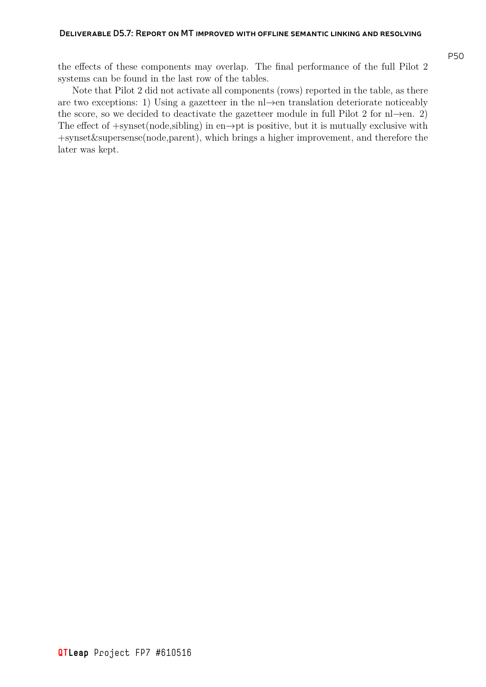the effects of these components may overlap. The final performance of the full Pilot 2 systems can be found in the last row of the tables.

Note that Pilot 2 did not activate all components (rows) reported in the table, as there are two exceptions: 1) Using a gazetteer in the nl*→*en translation deteriorate noticeably the score, so we decided to deactivate the gazetteer module in full Pilot 2 for nl*→*en. 2) The effect of +synset(node,sibling) in en*→*pt is positive, but it is mutually exclusive with +synset&supersense(node,parent), which brings a higher improvement, and therefore the later was kept.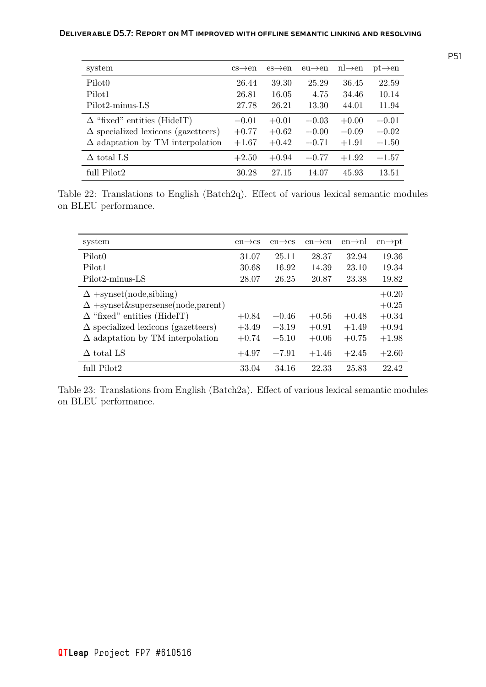#### **Deliverable D5.7: Report on MT improved with offline semantic linking and resolving**

| system                                     | $cs \rightarrow en$ | $es \rightarrow en$ | $eu \rightarrow en$ | $nl \rightarrow en$ | $pt \rightarrow en$ |
|--------------------------------------------|---------------------|---------------------|---------------------|---------------------|---------------------|
| Pilot <sub>0</sub>                         | 26.44               | 39.30               | 25.29               | 36.45               | 22.59               |
| Pilot1                                     | 26.81               | 16.05               | 4.75                | 34.46               | 10.14               |
| Pilot2-minus-LS                            | 27.78               | 26.21               | 13.30               | 44.01               | 11.94               |
| $\Delta$ "fixed" entities (HidelT)         | $-0.01$             | $+0.01$             | $+0.03$             | $+0.00$             | $+0.01$             |
| $\Delta$ specialized lexicons (gazetteers) | $+0.77$             | $+0.62$             | $+0.00$             | $-0.09$             | $+0.02$             |
| $\Delta$ adaptation by TM interpolation    | $+1.67$             | $+0.42$             | $+0.71$             | $+1.91$             | $+1.50$             |
| $\Delta$ total LS                          | $+2.50$             | $+0.94$             | $+0.77$             | $+1.92$             | $+1.57$             |
| full Pilot2                                | 30.28               | 27.15               | 14.07               | 45.93               | 13.51               |

<span id="page-50-1"></span>Table 22: Translations to English (Batch2q). Effect of various lexical semantic modules on BLEU performance.

| system                                       | $en \rightarrow cs$ | $en \rightarrow es$ | $en \rightarrow en$ | $en \rightarrow nl$ | $en \rightarrow pt$ |
|----------------------------------------------|---------------------|---------------------|---------------------|---------------------|---------------------|
| Pilot <sub>0</sub>                           | 31.07               | 25.11               | 28.37               | 32.94               | 19.36               |
| Pilot <sub>1</sub>                           | 30.68               | 16.92               | 14.39               | 23.10               | 19.34               |
| Pilot2-minus-LS                              | 28.07               | 26.25               | 20.87               | 23.38               | 19.82               |
| $\Delta$ +synset(node,sibling)               |                     |                     |                     |                     | $+0.20$             |
| $\Delta$ +synset & supersense (node, parent) |                     |                     |                     |                     | $+0.25$             |
| $\Delta$ "fixed" entities (HidelT)           | $+0.84$             | $+0.46$             | $+0.56$             | $+0.48$             | $+0.34$             |
| $\Delta$ specialized lexicons (gazetteers)   | $+3.49$             | $+3.19$             | $+0.91$             | $+1.49$             | $+0.94$             |
| $\Delta$ adaptation by TM interpolation      | $+0.74$             | $+5.10$             | $+0.06$             | $+0.75$             | $+1.98$             |
| $\Delta$ total LS                            | $+4.97$             | $+7.91$             | $+1.46$             | $+2.45$             | $+2.60$             |
| full Pilot2                                  | 33.04               | 34.16               | 22.33               | 25.83               | 22.42               |

<span id="page-50-0"></span>Table 23: Translations from English (Batch2a). Effect of various lexical semantic modules on BLEU performance.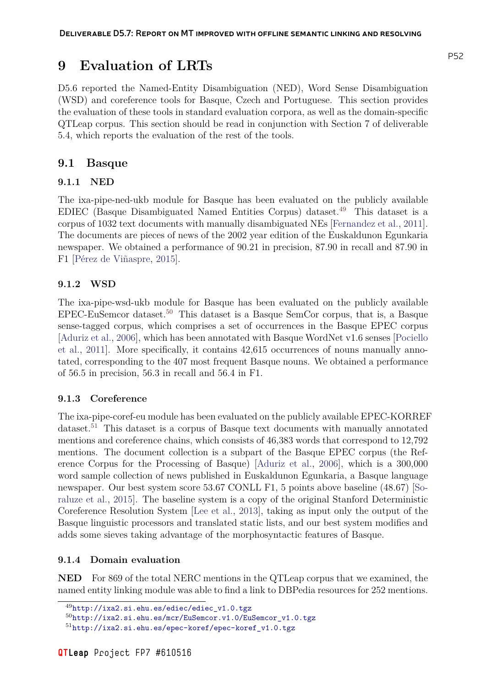## **9 Evaluation of LRTs**

<span id="page-51-0"></span>D5.6 reported the Named-Entity Disambiguation (NED), Word Sense Disambiguation (WSD) and coreference tools for Basque, Czech and Portuguese. This section provides the evaluation of these tools in standard evaluation corpora, as well as the domain-specific QTLeap corpus. This section should be read in conjunction with Section 7 of deliverable 5.4, which reports the evaluation of the rest of the tools.

## **9.1 Basque**

## **9.1.1 NED**

<span id="page-51-2"></span><span id="page-51-1"></span>The ixa-pipe-ned-ukb module for Basque has been evaluated on the publicly available EDIEC (Basque Disambiguated Named Entities Corpus) dataset.<sup>49</sup> This dataset is a corpus of 1032 text documents with manually disambiguated NEs [Fernandez et al., 2011]. The documents are pieces of news of the 2002 year edition of the Euskaldunon Egunkaria newspaper. We obtained a performance of 90.21 in precision, 87.90 [in](#page-51-6) recall and 87.90 in F1 [Pérez de Viñaspre, 2015].

## **9.1.2 WSD**

<span id="page-51-3"></span>The [ixa-pipe-wsd-ukb modu](#page-63-8)le for Basque has been evaluated on the publicly available EPEC-EuSemcor dataset.<sup>50</sup> This dataset is a Basque SemCor corpus, that is, a Basque sense-tagged corpus, which comprises a set of occurrences in the Basque EPEC corpus [Aduriz et al., 2006], which has been annotated with Basque WordNet v1.6 senses [Pociello et al., 2011]. More speci[fica](#page-51-7)lly, it contains 42,615 occurrences of nouns manually annotated, corresponding to the 407 most frequent Basque nouns. We obtained a performance [of 56.5 in precision](#page-60-6), 56.3 in recall and 56.4 in F1.

## **[9.1.3 Cor](#page-63-9)eference**

<span id="page-51-4"></span>The ixa-pipe-coref-eu module has been evaluated on the publicly available EPEC-KORREF dataset.<sup>51</sup> This dataset is a corpus of Basque text documents with manually annotated mentions and coreference chains, which consists of 46,383 words that correspond to 12,792 mentions. The document collection is a subpart of the Basque EPEC corpus (the Reference [Co](#page-51-8)rpus for the Processing of Basque) [Aduriz et al., 2006], which is a 300,000 word sample collection of news published in Euskaldunon Egunkaria, a Basque language newspaper. Our best system score 53.67 CONLL F1, 5 points above baseline (48.67) [Soraluze et al., 2015]. The baseline system is a co[py of the orig](#page-60-6)i[nal S](#page-60-6)tanford Deterministic Coreference Resolution System [Lee et al., 2013], taking as input only the output of the Basque linguistic processors and translated static lists, and our best system modifies [and](#page-64-7) [adds some s](#page-64-7)i[eves t](#page-64-7)aking advantage of the morphosyntactic features of Basque.

## **9.1.4 Domain evaluation**

**NED** For 869 of the total NERC mentions in the QTLeap corpus that we examined, the named entity linking module was able to find a link to DBPedia resources for 252 mentions.

<span id="page-51-5"></span> $^{49}$ http://ixa2.si.ehu.es/ediec/ediec\_v1.0.tgz

<sup>50</sup>http://ixa2.si.ehu.es/mcr/EuSemcor.v1.0/EuSemcor\_v1.0.tgz

<span id="page-51-8"></span><span id="page-51-7"></span><span id="page-51-6"></span><sup>51</sup>http://ixa2.si.ehu.es/epec-koref/epec-koref\_v1.0.tgz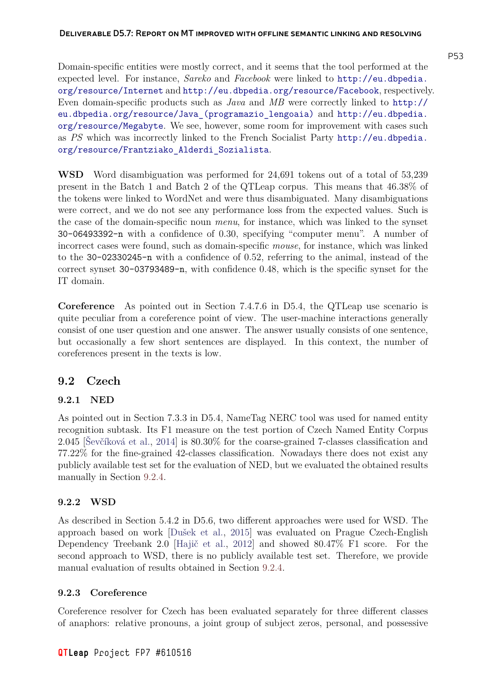Domain-specific entities were mostly correct, and it seems that the tool performed at the expected level. For instance, *Sareko* and *Facebook* were linked to http://eu.dbpedia. org/resource/Internet and http://eu.dbpedia.org/resource/Facebook, respectively. Even domain-specific products such as *Java* and *MB* were correctly linked to http:// eu.dbpedia.org/resource/Java\_(programazio\_lengoaia) and [http://eu.dbpedia.](http://eu.dbpedia.org/resource/Internet) [org/resource/Megabyte](http://eu.dbpedia.org/resource/Internet). W[e see, however, some room for improvement with](http://eu.dbpedia.org/resource/Facebook) cases such as *PS* which was incorrectly linked to the French Socialist Party http://eu.[dbpedia.](http://eu.dbpedia.org/resource/Java_(programazio_lengoaia)) [org/resource/Frantziako\\_Alderdi\\_Sozialista](http://eu.dbpedia.org/resource/Java_(programazio_lengoaia)).

**WSD** [Word disambigua](http://eu.dbpedia.org/resource/Megabyte)tion was performed for 24,691 tokens o[ut of a total of 53,239](http://eu.dbpedia.org/resource/Frantziako_Alderdi_Sozialista) [present in the Batch 1 and Batch 2 of the QTLea](http://eu.dbpedia.org/resource/Frantziako_Alderdi_Sozialista)p corpus. This means that 46.38% of the tokens were linked to WordNet and were thus disambiguated. Many disambiguations were correct, and we do not see any performance loss from the expected values. Such is the case of the domain-specific noun *menu*, for instance, which was linked to the synset 30-06493392-n with a confidence of 0.30, specifying "computer menu". A number of incorrect cases were found, such as domain-specific *mouse*, for instance, which was linked to the 30-02330245-n with a confidence of 0.52, referring to the animal, instead of the correct synset 30-03793489-n, with confidence 0.48, which is the specific synset for the IT domain.

<span id="page-52-4"></span>**Coreference** As pointed out in Section 7.4.7.6 in D5.4, the QTLeap use scenario is quite peculiar from a coreference point of view. The user-machine interactions generally consist of one user question and one answer. The answer usually consists of one sentence, but occasionally a few short sentences are displayed. In this context, the number of coreferences present in the texts is low.

## **9.2 Czech**

#### **9.2.1 NED**

<span id="page-52-1"></span><span id="page-52-0"></span>As pointed out in Section 7.3.3 in D5.4, NameTag NERC tool was used for named entity recognition subtask. Its F1 measure on the test portion of Czech Named Entity Corpus 2.045 [Ševčíková et al., 2014] is 80.30% for the coarse-grained 7-classes classification and 77.22% for the fine-grained 42-classes classification. Nowadays there does not exist any publicly available test set for the evaluation of NED, but we evaluated the obtained results manu[ally in Section](#page-63-10) 9.[2.4.](#page-63-10)

#### **9.2.2 WSD**

<span id="page-52-2"></span>As described in Sect[ion 5](#page-53-2).4.2 in D5.6, two different approaches were used for WSD. The approach based on work [Dušek et al., 2015] was evaluated on Prague Czech-English Dependency Treebank 2.0 [Hajič et al., 2012] and showed 80.47% F1 score. For the second approach to WSD, there is no publicly available test set. Therefore, we provide manual evaluation of resul[ts obtained in Sectio](#page-61-8)n 9.2.4.

#### **9.2.3 Coreference**

<span id="page-52-3"></span>Coreference resolver for Czech has been evaluat[ed se](#page-53-3)parately for three different classes of anaphors: relative pronouns, a joint group of subject zeros, personal, and possessive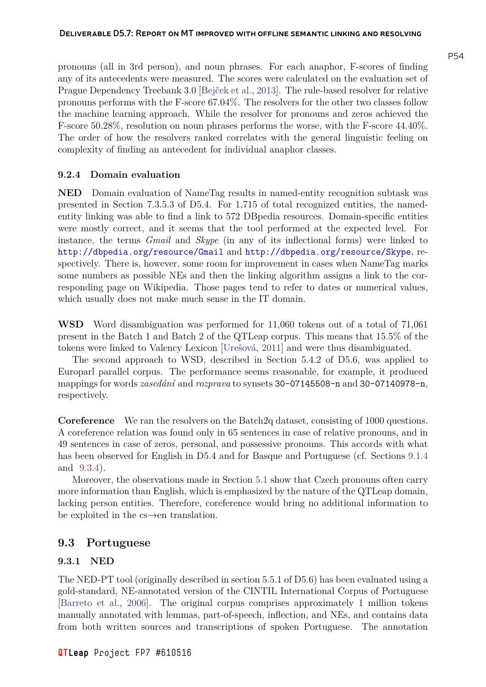pronouns (all in 3rd person), and noun phrases. For each anaphor, F-scores of finding any of its antecedents were measured. The scores were calculated on the evaluation set of Prague Dependency Treebank 3.0 [Bejček et al., 2013]. The rule-based resolver for relative pronouns performs with the F-score 67.04%. The resolvers for the other two classes follow the machine learning approach. While the resolver for pronouns and zeros achieved the F-score 50.28%, resolution on nou[n phrases per](#page-60-7)f[orms](#page-60-7) the worse, with the F-score 44.40%. The order of how the resolvers ranked correlates with the general linguistic feeling on complexity of finding an antecedent for individual anaphor classes.

#### **9.2.4 Domain evaluation**

<span id="page-53-2"></span><span id="page-53-0"></span>**NED** Domain evaluation of NameTag results in named-entity recognition subtask was presented in Section 7.3.5.3 of D5.4. For 1,715 of total recognized entities, the namedentity linking was able to find a link to 572 DBpedia resources. Domain-specific entities were mostly correct, and it seems that the tool performed at the expected level. For instance, the terms *Gmail* and *Skype* (in any of its inflectional forms) were linked to http://dbpedia.org/resource/Gmail and http://dbpedia.org/resource/Skype, respectively. There is, however, some room for improvement in cases when NameTag marks some numbers as possible NEs and then the linking algorithm assigns a link to the cor[responding page on Wikipedia. Those p](http://dbpedia.org/resource/Gmail)age[s tend to refer to dates or numerical val](http://dbpedia.org/resource/Skype)ues, which usually does not make much sense in the IT domain.

**WSD** Word disambiguation was performed for 11,060 tokens out of a total of 71,061 present in the Batch 1 and Batch 2 of the QTLeap corpus. This means that 15.5% of the tokens were linked to Valency Lexicon [Urešová, 2011] and were thus disambiguated.

<span id="page-53-3"></span>The second approach to WSD, described in Section 5.4.2 of D5.6, was applied to Europarl parallel corpus. The performance seems reasonable, for example, it produced mappings for words *zasedání* and *rozprava* [to syn](#page-64-8)s[ets](#page-64-8) 30-07145508-n and 30-07140978-n, respectively.

**Coreference** We ran the resolvers on the Batch2q dataset, consisting of 1000 questions. A coreference relation was found only in 65 sentences in case of relative pronouns, and in 49 sentences in case of zeros, personal, and possessive pronouns. This accords with what has been observed for English in D5.4 and for Basque and Portuguese (cf. Sections 9.1.4 and 9.3.4).

Moreover, the observations made in Section 5.1 show that Czech pronouns often carry more information than English, which is emphasized by the nature of the QTLeap do[main,](#page-52-4) lacki[ng pe](#page-55-1)rson entities. Therefore, coreference would bring no additional information to be exploited in the cs*→*en translation.

## **9.3 Portuguese**

#### **9.3.1 NED**

<span id="page-53-1"></span>The NED-PT tool (originally described in section 5.5.1 of D5.6) has been evaluated using a gold-standard, NE-annotated version of the CINTIL International Corpus of Portuguese [Barreto et al., 2006]. The original corpus comprises approximately 1 million tokens manually annotated with lemmas, part-of-speech, inflection, and NEs, and contains data from both written sources and transcriptions of spoken Portuguese. The annotation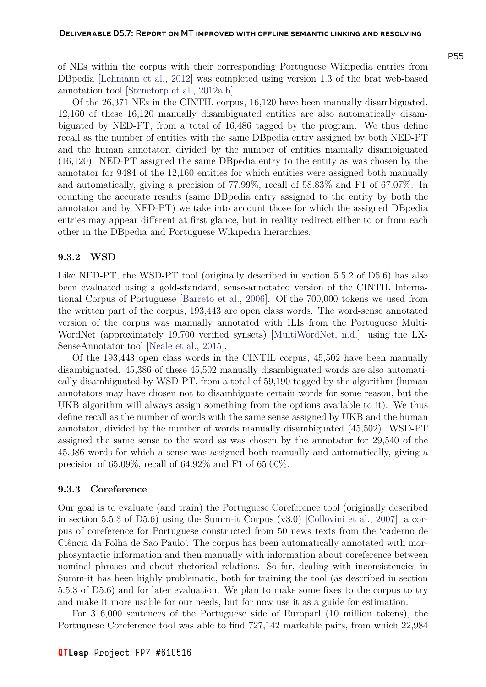of NEs within the corpus with their corresponding Portuguese Wikipedia entries from DBpedia [Lehmann et al., 2012] was completed using version 1.3 of the brat web-based annotation tool [Stenetorp et al., 2012a,b].

Of the 26,371 NEs in the CINTIL corpus, 16,120 have been manually disambiguated. 12,160 of [these 16,120 m](#page-62-8)a[nuall](#page-62-8)y disambiguated entities are also automatically disambiguated by NE[D-PT, from a t](#page-64-9)o[tal of](#page-64-9) [16](#page-64-10),486 tagged by the program. We thus define recall as the number of entities with the same DBpedia entry assigned by both NED-PT and the human annotator, divided by the number of entities manually disambiguated (16,120). NED-PT assigned the same DBpedia entry to the entity as was chosen by the annotator for 9484 of the 12,160 entities for which entities were assigned both manually and automatically, giving a precision of 77.99%, recall of 58.83% and F1 of 67.07%. In counting the accurate results (same DBpedia entry assigned to the entity by both the annotator and by NED-PT) we take into account those for which the assigned DBpedia entries may appear different at first glance, but in reality redirect either to or from each other in the DBpedia and Portuguese Wikipedia hierarchies.

#### **9.3.2 WSD**

<span id="page-54-0"></span>Like NED-PT, the WSD-PT tool (originally described in section 5.5.2 of D5.6) has also been evaluated using a gold-standard, sense-annotated version of the CINTIL International Corpus of Portuguese [Barreto et al., 2006]. Of the 700,000 tokens we used from the written part of the corpus, 193,443 are open class words. The word-sense annotated version of the corpus was manually annotated with ILIs from the Portuguese Multi-WordNet (approximately 19,[700 verified synsets\)](#page-60-8) [MultiWordNet, n.d.] using the LX-SenseAnnotator tool [Neale et al., 2015].

Of the 193,443 open class words in the CINTIL corpus, 45,502 have been manually disambiguated. 45,386 of these 45,502 manually dis[ambiguated wo](#page-62-9)r[ds ar](#page-62-9)e also automatically disambiguated b[y WSD-PT, from](#page-62-10) a total of 59,190 tagged by the algorithm (human annotators may have chosen not to disambiguate certain words for some reason, but the UKB algorithm will always assign something from the options available to it). We thus define recall as the number of words with the same sense assigned by UKB and the human annotator, divided by the number of words manually disambiguated (45,502). WSD-PT assigned the same sense to the word as was chosen by the annotator for 29,540 of the 45,386 words for which a sense was assigned both manually and automatically, giving a precision of 65.09%, recall of 64.92% and F1 of 65.00%.

#### **9.3.3 Coreference**

<span id="page-54-1"></span>Our goal is to evaluate (and train) the Portuguese Coreference tool (originally described in section 5.5.3 of D5.6) using the Summ-it Corpus  $(v3.0)$  [Collovini et al., 2007], a corpus of coreference for Portuguese constructed from 50 news texts from the 'caderno de Ciência da Folha de São Paulo'. The corpus has been automatically annotated with morphosyntactic information and then manually with informati[on about coreference b](#page-61-9)etween nominal phrases and about rhetorical relations. So far, dealing with inconsistencies in Summ-it has been highly problematic, both for training the tool (as described in section 5.5.3 of D5.6) and for later evaluation. We plan to make some fixes to the corpus to try and make it more usable for our needs, but for now use it as a guide for estimation.

For 316,000 sentences of the Portuguese side of Europarl (1̃0 million tokens), the Portuguese Coreference tool was able to find 727,142 markable pairs, from which 22,984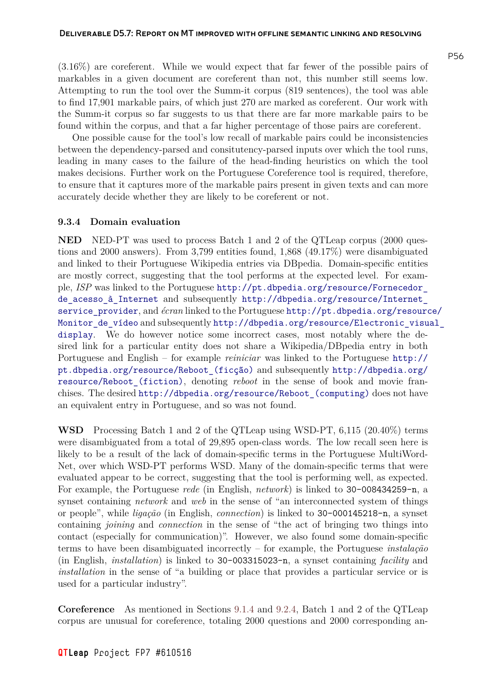(3.16%) are coreferent. While we would expect that far fewer of the possible pairs of markables in a given document are coreferent than not, this number still seems low. Attempting to run the tool over the Summ-it corpus (819 sentences), the tool was able to find 17,901 markable pairs, of which just 270 are marked as coreferent. Our work with the Summ-it corpus so far suggests to us that there are far more markable pairs to be found within the corpus, and that a far higher percentage of those pairs are coreferent.

One possible cause for the tool's low recall of markable pairs could be inconsistencies between the dependency-parsed and consitutency-parsed inputs over which the tool runs, leading in many cases to the failure of the head-finding heuristics on which the tool makes decisions. Further work on the Portuguese Coreference tool is required, therefore, to ensure that it captures more of the markable pairs present in given texts and can more accurately decide whether they are likely to be coreferent or not.

#### **9.3.4 Domain evaluation**

<span id="page-55-0"></span>**NED** NED-PT was used to process Batch 1 and 2 of the QTLeap corpus (2000 questions and 2000 answers). From 3,799 entities found, 1,868 (49.17%) were disambiguated and linked to their Portuguese Wikipedia entries via DBpedia. Domain-specific entities are mostly correct, suggesting that the tool performs at the expected level. For example, *ISP* was linked to the Portuguese http://pt.dbpedia.org/resource/Fornecedor\_ de acesso à Internet and subsequently http://dbpedia.org/resource/Internet service provider, and *écran* linked to the Portuguese http://pt.dbpedia.org/resource/ Monitor\_de\_vídeo and subsequently [http://dbpedia.org/resource/Electronic\\_visu](�� h t t p : / / p t . d b p e d i a . o r g / r e s o u r c e / F o r n e c e d o r _ d e _ a c e s s o _ � _ I n t e r n e t)al\_ display. We do however notice some in[correct cases, most notably where the de](http://dbpedia.org/resource/Internet_service_provider)[sired link for a pa](http://dbpedia.org/resource/Internet_service_provider)[rticul](�� h t t p : / / p t . d b p e d i a . o r g / r e s o u r c e / F o r n e c e d o r _ d e _ a c e s s o _ � _ I n t e r n e t)ar entity does not share a [Wikipedia/DBpedia entry in both](�� h t t p : / / p t . d b p e d i a . o r g / r e s o u r c e / M o n i t o r _ d e _ v � d e o) [Portuguese and En](�� h t t p : / / p t . d b p e d i a . o r g / r e s o u r c e / M o n i t o r _ d e _ v � d e o)glish – for example *reiniciar* [was linked to the Portuguese](http://dbpedia.org/resource/Electronic_visual_display) http:// [pt.dbped](http://dbpedia.org/resource/Electronic_visual_display)ia.org/resource/Reboot\_(ficção) and subsequently http://dbpedia.org/ resource/Reboot (fiction), denoting *reboot* in the sense of book and movie franchises. The desired http://dbpedia.org/resource/Reboot\_(computing) does [not have](�� h t t p : / / p t . d b p e d i a . o r g / r e s o u r c e / R e b o o t _ ( f i c � � o )) [an equivalent entry in Portuguese, and so was n](�� h t t p : / / p t . d b p e d i a . o r g / r e s o u r c e / R e b o o t _ ( f i c � � o ))ot found.

**WSD** [Processing](http://dbpedia.org/resource/Reboot_(fiction)) [Batch 1 and 2 of the QTLeap using WSD-PT, 6,115 \(2](http://dbpedia.org/resource/Reboot_(computing))0.40%) terms were disambiguated from a total of 29,895 open-class words. The low recall seen here is likely to be a result of the lack of domain-specific terms in the Portuguese MultiWord-Net, over which WSD-PT performs WSD. Many of the domain-specific terms that were evaluated appear to be correct, suggesting that the tool is performing well, as expected. For example, the Portuguese *rede* (in English, *network*) is linked to 30-008434259-n, a synset containing *network* and *web* in the sense of "an interconnected system of things or people", while *ligação* (in English, *connection*) is linked to 30-000145218-n, a synset containing *joining* and *connection* in the sense of "the act of bringing two things into contact (especially for communication)". However, we also found some domain-specific terms to have been disambiguated incorrectly – for example, the Portuguese *instalação* (in English, *installation*) is linked to 30-003315023-n, a synset containing *facility* and *installation* in the sense of "a building or place that provides a particular service or is used for a particular industry".

<span id="page-55-1"></span>**Coreference** As mentioned in Sections 9.1.4 and 9.2.4, Batch 1 and 2 of the QTLeap corpus are unusual for coreference, totaling 2000 questions and 2000 corresponding an-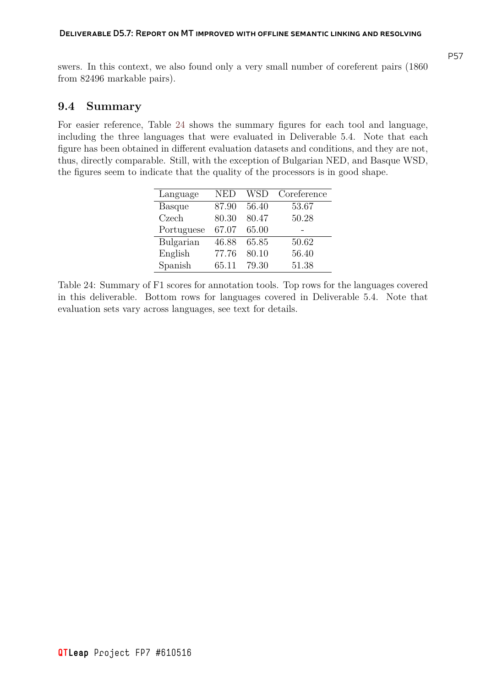## **9.4 Summary**

For easier reference, Table 24 shows the summary figures for each tool and language, including the three languages that were evaluated in Deliverable 5.4. Note that each figure has been obtained in different evaluation datasets and conditions, and they are not, thus, directly comparable. S[till](#page-56-0), with the exception of Bulgarian NED, and Basque WSD, the figures seem to indicate that the quality of the processors is in good shape.

| Language      | <b>NED</b> | <b>WSD</b> | Coreference |
|---------------|------------|------------|-------------|
| <b>Basque</b> | 87.90      | 56.40      | 53.67       |
| Czech         | 80.30      | 80.47      | 50.28       |
| Portuguese    | 67.07      | 65.00      |             |
| Bulgarian     | 46.88      | 65.85      | 50.62       |
| English       | 77.76      | 80.10      | 56.40       |
| Spanish       | 65.11      | 79.30      | 51.38       |

<span id="page-56-0"></span>Table 24: Summary of F1 scores for annotation tools. Top rows for the languages covered in this deliverable. Bottom rows for languages covered in Deliverable 5.4. Note that evaluation sets vary across languages, see text for details.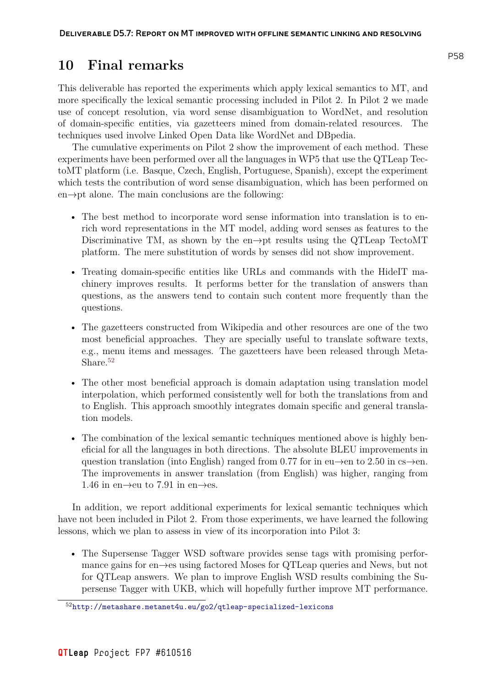## **10 Final remarks**

This deliverable has reported the experiments which apply lexical semantics to MT, and more specifically the lexical semantic processing included in Pilot 2. In Pilot 2 we made use of concept resolution, via word sense disambiguation to WordNet, and resolution of domain-specific entities, via gazetteers mined from domain-related resources. The techniques used involve Linked Open Data like WordNet and DBpedia.

The cumulative experiments on Pilot 2 show the improvement of each method. These experiments have been performed over all the languages in WP5 that use the QTLeap TectoMT platform (i.e. Basque, Czech, English, Portuguese, Spanish), except the experiment which tests the contribution of word sense disambiguation, which has been performed on en*→*pt alone. The main conclusions are the following:

- The best method to incorporate word sense information into translation is to enrich word representations in the MT model, adding word senses as features to the Discriminative TM, as shown by the en*→*pt results using the QTLeap TectoMT platform. The mere substitution of words by senses did not show improvement.
- Treating domain-specific entities like URLs and commands with the HideIT machinery improves results. It performs better for the translation of answers than questions, as the answers tend to contain such content more frequently than the questions.
- The gazetteers constructed from Wikipedia and other resources are one of the two most beneficial approaches. They are specially useful to translate software texts, e.g., menu items and messages. The gazetteers have been released through Meta-Share.<sup>52</sup>
- The other most beneficial approach is domain adaptation using translation model interp[ola](#page-57-0)tion, which performed consistently well for both the translations from and to English. This approach smoothly integrates domain specific and general translation models.
- The combination of the lexical semantic techniques mentioned above is highly beneficial for all the languages in both directions. The absolute BLEU improvements in question translation (into English) ranged from 0.77 for in eu*→*en to 2.50 in cs*→*en. The improvements in answer translation (from English) was higher, ranging from 1.46 in en*→*eu to 7.91 in en*→*es.

In addition, we report additional experiments for lexical semantic techniques which have not been included in Pilot 2. From those experiments, we have learned the following lessons, which we plan to assess in view of its incorporation into Pilot 3:

• The Supersense Tagger WSD software provides sense tags with promising performance gains for en*→*es using factored Moses for QTLeap queries and News, but not for QTLeap answers. We plan to improve English WSD results combining the Supersense Tagger with UKB, which will hopefully further improve MT performance.

<span id="page-57-0"></span><sup>52</sup>http://metashare.metanet4u.eu/go2/qtleap-specialized-lexicons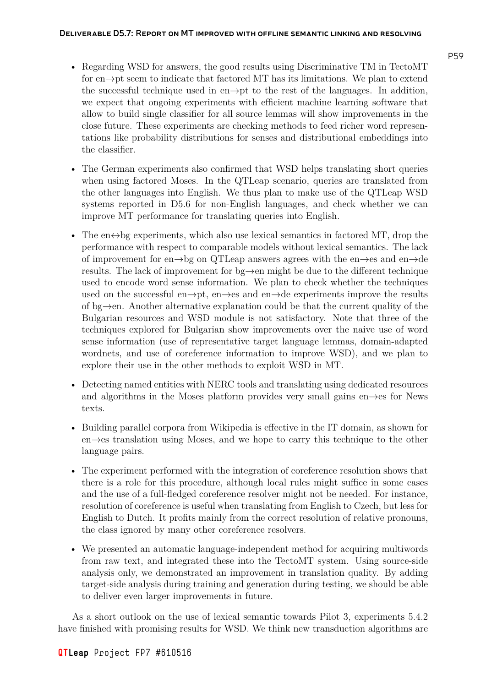- Regarding WSD for answers, the good results using Discriminative TM in TectoMT for en*→*pt seem to indicate that factored MT has its limitations. We plan to extend the successful technique used in en*→*pt to the rest of the languages. In addition, we expect that ongoing experiments with efficient machine learning software that allow to build single classifier for all source lemmas will show improvements in the close future. These experiments are checking methods to feed richer word representations like probability distributions for senses and distributional embeddings into the classifier.
- The German experiments also confirmed that WSD helps translating short queries when using factored Moses. In the QTLeap scenario, queries are translated from the other languages into English. We thus plan to make use of the QTLeap WSD systems reported in D5.6 for non-English languages, and check whether we can improve MT performance for translating queries into English.
- The en*↔*bg experiments, which also use lexical semantics in factored MT, drop the performance with respect to comparable models without lexical semantics. The lack of improvement for en*→*bg on QTLeap answers agrees with the en*→*es and en*→*de results. The lack of improvement for bg*→*en might be due to the different technique used to encode word sense information. We plan to check whether the techniques used on the successful en*→*pt, en*→*es and en*→*de experiments improve the results of bg*→*en. Another alternative explanation could be that the current quality of the Bulgarian resources and WSD module is not satisfactory. Note that three of the techniques explored for Bulgarian show improvements over the naive use of word sense information (use of representative target language lemmas, domain-adapted wordnets, and use of coreference information to improve WSD), and we plan to explore their use in the other methods to exploit WSD in MT.
- Detecting named entities with NERC tools and translating using dedicated resources and algorithms in the Moses platform provides very small gains en*→*es for News texts.
- Building parallel corpora from Wikipedia is effective in the IT domain, as shown for en*→*es translation using Moses, and we hope to carry this technique to the other language pairs.
- The experiment performed with the integration of coreference resolution shows that there is a role for this procedure, although local rules might suffice in some cases and the use of a full-fledged coreference resolver might not be needed. For instance, resolution of coreference is useful when translating from English to Czech, but less for English to Dutch. It profits mainly from the correct resolution of relative pronouns, the class ignored by many other coreference resolvers.
- We presented an automatic language-independent method for acquiring multiwords from raw text, and integrated these into the TectoMT system. Using source-side analysis only, we demonstrated an improvement in translation quality. By adding target-side analysis during training and generation during testing, we should be able to deliver even larger improvements in future.

As a short outlook on the use of lexical semantic towards Pilot 3, experiments 5.4.2 have finished with promising results for WSD. We think new transduction algorithms are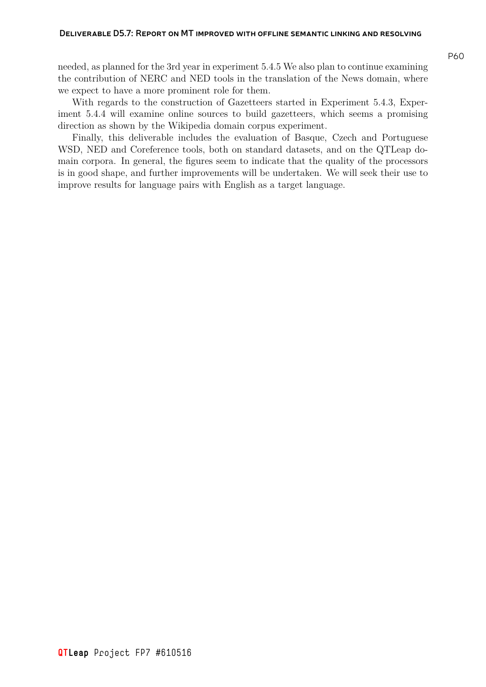needed, as planned for the 3rd year in experiment 5.4.5 We also plan to continue examining the contribution of NERC and NED tools in the translation of the News domain, where we expect to have a more prominent role for them.

With regards to the construction of Gazetteers started in Experiment 5.4.3, Experiment 5.4.4 will examine online sources to build gazetteers, which seems a promising direction as shown by the Wikipedia domain corpus experiment.

Finally, this deliverable includes the evaluation of Basque, Czech and Portuguese WSD, NED and Coreference tools, both on standard datasets, and on the QTLeap domain corpora. In general, the figures seem to indicate that the quality of the processors is in good shape, and further improvements will be undertaken. We will seek their use to improve results for language pairs with English as a target language.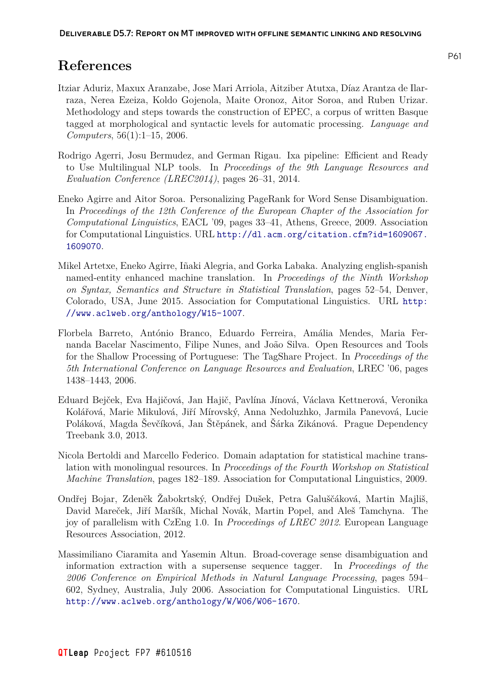## **References**

- Itziar Aduriz, Maxux Aranzabe, Jose Mari Arriola, Aitziber Atutxa, Díaz Arantza de Ilarraza, Nerea Ezeiza, Koldo Gojenola, Maite Oronoz, Aitor Soroa, and Ruben Urizar. Methodology and steps towards the construction of EPEC, a corpus of written Basque tagged at morphological and syntactic levels for automatic processing. *Language and Computers*, 56(1):1–15, 2006.
- <span id="page-60-6"></span>Rodrigo Agerri, Josu Bermudez, and German Rigau. Ixa pipeline: Efficient and Ready to Use Multilingual NLP tools. In *Proceedings of the 9th Language Resources and Evaluation Conference (LREC2014)*, pages 26–31, 2014.
- <span id="page-60-3"></span>Eneko Agirre and Aitor Soroa. Personalizing PageRank for Word Sense Disambiguation. In *Proceedings of the 12th Conference of the European Chapter of the Association for Computational Linguistics*, EACL '09, pages 33–41, Athens, Greece, 2009. Association for Computational Linguistics. URL http://dl.acm.org/citation.cfm?id=1609067. 1609070.
- <span id="page-60-0"></span>Mikel Artetxe, Eneko Agirre, Iñaki Alegria, and Gorka Labaka. Analyzing english-spanish named-entity enhanced machine translation. In *[Proceedings of the Ninth Workshop](http://dl.acm.org/citation.cfm?id=1609067.1609070) [on Synta](http://dl.acm.org/citation.cfm?id=1609067.1609070)x, Semantics and Structure in Statistical Translation*, pages 52–54, Denver, Colorado, USA, June 2015. Association for Computational Linguistics. URL http: //www.aclweb.org/anthology/W15-1007.
- <span id="page-60-4"></span>Florbela Barreto, António Branco, Eduardo Ferreira, Amália Mendes, Maria Fernanda Bacelar Nascimento, Filipe Nunes, and João Silva. Open Resources and [Tools](http://www.aclweb.org/anthology/W15-1007) [for the Shallow Processing of Portuguese:](http://www.aclweb.org/anthology/W15-1007) The TagShare Project. In *Proceedings of the 5th International Conference on Language Resources and Evaluation*, LREC '06, pages 1438–1443, 2006.
- <span id="page-60-8"></span>Eduard Bejček, Eva Hajičová, Jan Hajič, Pavlína Jínová, Václava Kettnerová, Veronika Kolářová, Marie Mikulová, Jiří Mírovský, Anna Nedoluzhko, Jarmila Panevová, Lucie Poláková, Magda Ševčíková, Jan Štěpánek, and Šárka Zikánová. Prague Dependency Treebank 3.0, 2013.
- <span id="page-60-7"></span>Nicola Bertoldi and Marcello Federico. Domain adaptation for statistical machine translation with monolingual resources. In *Proceedings of the Fourth Workshop on Statistical Machine Translation*, pages 182–189. Association for Computational Linguistics, 2009.
- <span id="page-60-5"></span>Ondřej Bojar, Zdeněk Žabokrtský, Ondřej Dušek, Petra Galuščáková, Martin Majliš, David Mareček, Jiří Maršík, Michal Novák, Martin Popel, and Aleš Tamchyna. The joy of parallelism with CzEng 1.0. In *Proceedings of LREC 2012*. European Language Resources Association, 2012.
- <span id="page-60-2"></span><span id="page-60-1"></span>Massimiliano Ciaramita and Yasemin Altun. Broad-coverage sense disambiguation and information extraction with a supersense sequence tagger. In *Proceedings of the 2006 Conference on Empirical Methods in Natural Language Processing*, pages 594– 602, Sydney, Australia, July 2006. Association for Computational Linguistics. URL http://www.aclweb.org/anthology/W/W06/W06-1670.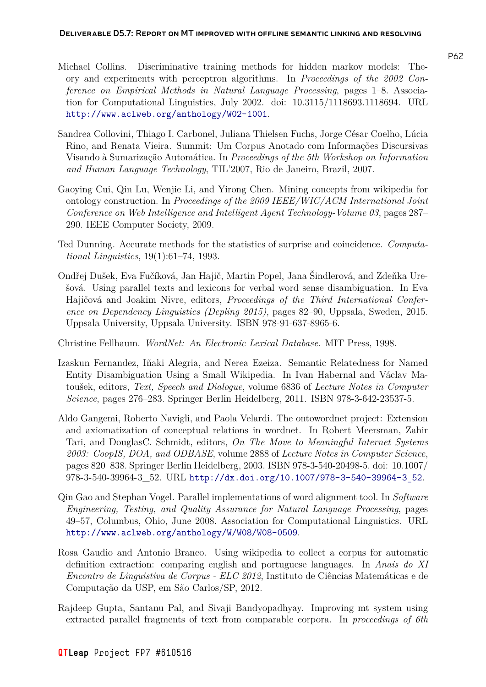- Michael Collins. Discriminative training methods for hidden markov models: Theory and experiments with perceptron algorithms. In *Proceedings of the 2002 Conference on Empirical Methods in Natural Language Processing*, pages 1–8. Association for Computational Linguistics, July 2002. doi: 10.3115/1118693.1118694. URL http://www.aclweb.org/anthology/W02-1001.
- <span id="page-61-2"></span>Sandrea Collovini, Thiago I. Carbonel, Juliana Thielsen Fuchs, Jorge César Coelho, Lúcia Rino, and Renata Vieira. Summit: Um Corpus Anotado com Informações Discursivas [Visando à Sumarização Automática. In](http://www.aclweb.org/anthology/W02-1001) *Proceedings of the 5th Workshop on Information and Human Language Technology*, TIL'2007, Rio de Janeiro, Brazil, 2007.
- <span id="page-61-9"></span>Gaoying Cui, Qin Lu, Wenjie Li, and Yirong Chen. Mining concepts from wikipedia for ontology construction. In *Proceedings of the 2009 IEEE/WIC/ACM International Joint Conference on Web Intelligence and Intelligent Agent Technology-Volume 03*, pages 287– 290. IEEE Computer Society, 2009.
- <span id="page-61-5"></span>Ted Dunning. Accurate methods for the statistics of surprise and coincidence. *Computational Linguistics*, 19(1):61–74, 1993.
- <span id="page-61-7"></span>Ondřej Dušek, Eva Fučíková, Jan Hajič, Martin Popel, Jana Šindlerová, and Zdeňka Urešová. Using parallel texts and lexicons for verbal word sense disambiguation. In Eva Hajičová and Joakim Nivre, editors, *Proceedings of the Third International Conference on Dependency Linguistics (Depling 2015)*, pages 82–90, Uppsala, Sweden, 2015. Uppsala University, Uppsala University. ISBN 978-91-637-8965-6.
- <span id="page-61-8"></span>Christine Fellbaum. *WordNet: An Electronic Lexical Database*. MIT Press, 1998.
- <span id="page-61-0"></span>Izaskun Fernandez, Iñaki Alegria, and Nerea Ezeiza. Semantic Relatedness for Named Entity Disambiguation Using a Small Wikipedia. In Ivan Habernal and Václav Matoušek, editors, *Text, Speech and Dialogue*, volume 6836 of *Lecture Notes in Computer Science*, pages 276–283. Springer Berlin Heidelberg, 2011. ISBN 978-3-642-23537-5.
- <span id="page-61-1"></span>Aldo Gangemi, Roberto Navigli, and Paola Velardi. The ontowordnet project: Extension and axiomatization of conceptual relations in wordnet. In Robert Meersman, Zahir Tari, and DouglasC. Schmidt, editors, *On The Move to Meaningful Internet Systems 2003: CoopIS, DOA, and ODBASE*, volume 2888 of *Lecture Notes in Computer Science*, pages 820–838. Springer Berlin Heidelberg, 2003. ISBN 978-3-540-20498-5. doi: 10.1007/ 978-3-540-39964-3\_52. URL http://dx.doi.org/10.1007/978-3-540-39964-3\_52.
- Qin Gao and Stephan Vogel. Parallel implementations of word alignment tool. In *Software Engineering, Testing, and Quality Assurance for Natural Language Processing*, pages 49–57, Columbus, Ohio, Jun[e 2008. Association for Computational Linguistics. UR](http://dx.doi.org/10.1007/978-3-540-39964-3_52)L http://www.aclweb.org/anthology/W/W08/W08-0509.
- <span id="page-61-6"></span>Rosa Gaudio and Antonio Branco. Using wikipedia to collect a corpus for automatic definition extraction: comparing english and portuguese languages. In *Anais do XI [Encontro de Linguistiva de Corpus - ELC 2012](http://www.aclweb.org/anthology/W/W08/W08-0509)*, Instituto de Ciências Matemáticas e de Computação da USP, em São Carlos/SP, 2012.
- <span id="page-61-4"></span><span id="page-61-3"></span>Rajdeep Gupta, Santanu Pal, and Sivaji Bandyopadhyay. Improving mt system using extracted parallel fragments of text from comparable corpora. In *proceedings of 6th*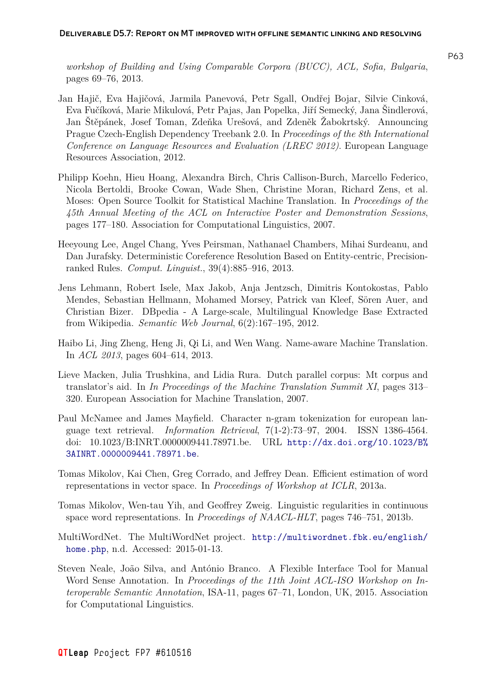*workshop of Building and Using Comparable Corpora (BUCC), ACL, Sofia, Bulgaria*, pages 69–76, 2013.

- <span id="page-62-6"></span>Jan Hajič, Eva Hajičová, Jarmila Panevová, Petr Sgall, Ondřej Bojar, Silvie Cinková, Eva Fučíková, Marie Mikulová, Petr Pajas, Jan Popelka, Jiří Semecký, Jana Šindlerová, Jan Štěpánek, Josef Toman, Zdeňka Urešová, and Zdeněk Žabokrtský. Announcing Prague Czech-English Dependency Treebank 2.0. In *Proceedings of the 8th International Conference on Language Resources and Evaluation (LREC 2012)*. European Language Resources Association, 2012.
- Philipp Koehn, Hieu Hoang, Alexandra Birch, Chris Callison-Burch, Marcello Federico, Nicola Bertoldi, Brooke Cowan, Wade Shen, Christine Moran, Richard Zens, et al. Moses: Open Source Toolkit for Statistical Machine Translation. In *Proceedings of the 45th Annual Meeting of the ACL on Interactive Poster and Demonstration Sessions*, pages 177–180. Association for Computational Linguistics, 2007.
- <span id="page-62-3"></span>Heeyoung Lee, Angel Chang, Yves Peirsman, Nathanael Chambers, Mihai Surdeanu, and Dan Jurafsky. Deterministic Coreference Resolution Based on Entity-centric, Precisionranked Rules. *Comput. Linguist.*, 39(4):885–916, 2013.
- <span id="page-62-5"></span>Jens Lehmann, Robert Isele, Max Jakob, Anja Jentzsch, Dimitris Kontokostas, Pablo Mendes, Sebastian Hellmann, Mohamed Morsey, Patrick van Kleef, Sören Auer, and Christian Bizer. DBpedia - A Large-scale, Multilingual Knowledge Base Extracted from Wikipedia. *Semantic Web Journal*, 6(2):167–195, 2012.
- <span id="page-62-8"></span>Haibo Li, Jing Zheng, Heng Ji, Qi Li, and Wen Wang. Name-aware Machine Translation. In *ACL 2013*, pages 604–614, 2013.
- <span id="page-62-2"></span>Lieve Macken, Julia Trushkina, and Lidia Rura. Dutch parallel corpus: Mt corpus and translator's aid. In *In Proceedings of the Machine Translation Summit XI*, pages 313– 320. European Association for Machine Translation, 2007.
- <span id="page-62-0"></span>Paul McNamee and James Mayfield. Character n-gram tokenization for european language text retrieval. *Information Retrieval*, 7(1-2):73–97, 2004. ISSN 1386-4564. doi: 10.1023/B:INRT.0000009441.78971.be. URL http://dx.doi.org/10.1023/B% 3AINRT.0000009441.78971.be.
- <span id="page-62-4"></span>Tomas Mikolov, Kai Chen, Greg Corrado, and Jeffrey Dean. Efficient estimation of word [representations in vector space.](http://dx.doi.org/10.1023/B%3AINRT.0000009441.78971.be) In *Proceedings of W[orkshop at ICLR](http://dx.doi.org/10.1023/B%3AINRT.0000009441.78971.be)*, 2013a.
- <span id="page-62-7"></span>Tomas Mikolov, Wen-tau Yih, and Geoffrey Zweig. Linguistic regularities in continuous space word representations. In *Proceedings of NAACL-HLT*, pages 746–751, 2013b.
- <span id="page-62-1"></span>MultiWordNet. The MultiWordNet project. http://multiwordnet.fbk.eu/english/ home.php, n.d. Accessed: 2015-01-13.
- <span id="page-62-10"></span><span id="page-62-9"></span>Steven Neale, João Silva, and António Branco. A Flexible Interface Tool for Manual Word Sense Annotation. In *Proceedings of [the 11th Joint ACL-ISO Workshop on In](http://multiwordnet.fbk.eu/english/home.php)[teroperable](http://multiwordnet.fbk.eu/english/home.php) Semantic Annotation*, ISA-11, pages 67–71, London, UK, 2015. Association for Computational Linguistics.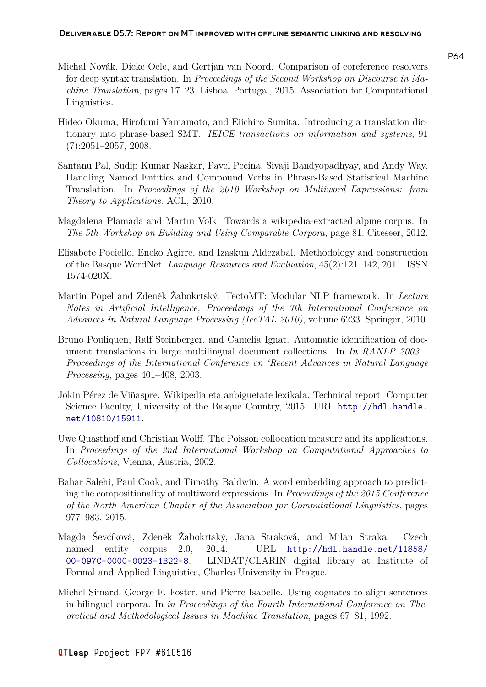- Michal Novák, Dieke Oele, and Gertjan van Noord. Comparison of coreference resolvers for deep syntax translation. In *Proceedings of the Second Workshop on Discourse in Machine Translation*, pages 17–23, Lisboa, Portugal, 2015. Association for Computational Linguistics.
- <span id="page-63-5"></span>Hideo Okuma, Hirofumi Yamamoto, and Eiichiro Sumita. Introducing a translation dictionary into phrase-based SMT. *IEICE transactions on information and systems*, 91  $(7):2051-2057, 2008.$
- <span id="page-63-1"></span>Santanu Pal, Sudip Kumar Naskar, Pavel Pecina, Sivaji Bandyopadhyay, and Andy Way. Handling Named Entities and Compound Verbs in Phrase-Based Statistical Machine Translation. In *Proceedings of the 2010 Workshop on Multiword Expressions: from Theory to Applications*. ACL, 2010.
- <span id="page-63-0"></span>Magdalena Plamada and Martin Volk. Towards a wikipedia-extracted alpine corpus. In *The 5th Workshop on Building and Using Comparable Corpora*, page 81. Citeseer, 2012.
- <span id="page-63-2"></span>Elisabete Pociello, Eneko Agirre, and Izaskun Aldezabal. Methodology and construction of the Basque WordNet. *Language Resources and Evaluation*, 45(2):121–142, 2011. ISSN 1574-020X.
- <span id="page-63-9"></span>Martin Popel and Zdeněk Žabokrtský. TectoMT: Modular NLP framework. In *Lecture Notes in Artificial Intelligence, Proceedings of the 7th International Conference on Advances in Natural Language Processing (IceTAL 2010)*, volume 6233. Springer, 2010.
- <span id="page-63-4"></span>Bruno Pouliquen, Ralf Steinberger, and Camelia Ignat. Automatic identification of document translations in large multilingual document collections. In *In RANLP 2003 – Proceedings of the International Conference on 'Recent Advances in Natural Language Processing*, pages 401–408, 2003.
- Jokin Pérez de Viñaspre. Wikipedia eta anbiguetate lexikala. Technical report, Computer Science Faculty, University of the Basque Country, 2015. URL http://hdl.handle. net/10810/15911.
- <span id="page-63-8"></span>Uwe Quasthoff and Christian Wolff. The Poisson collocation measure and its applications. In *Proceedings of the 2nd International Workshop on Comput[ational Approaches to](http://hdl.handle.net/10810/15911) [Collocations](http://hdl.handle.net/10810/15911)*, Vienna, Austria, 2002.
- <span id="page-63-6"></span>Bahar Salehi, Paul Cook, and Timothy Baldwin. A word embedding approach to predicting the compositionality of multiword expressions. In *Proceedings of the 2015 Conference of the North American Chapter of the Association for Computational Linguistics*, pages 977–983, 2015.
- <span id="page-63-7"></span>Magda Ševčíková, Zdeněk Žabokrtský, Jana Straková, and Milan Straka. Czech named entity corpus 2.0, 2014. URL http://hdl.handle.net/11858/ 00-097C-0000-0023-1B22-8. LINDAT/CLARIN digital library at Institute of Formal and Applied Linguistics, Charles University in Prague.
- <span id="page-63-10"></span><span id="page-63-3"></span>Michel Simard, George F. Foster, and Pierre Isabelle. [Using cognates to align sentences](http://hdl.handle.net/11858/00-097C-0000-0023-1B22-8) [in bilingual corpora. In](http://hdl.handle.net/11858/00-097C-0000-0023-1B22-8) *in Proceedings of the Fourth International Conference on Theoretical and Methodological Issues in Machine Translation*, pages 67–81, 1992.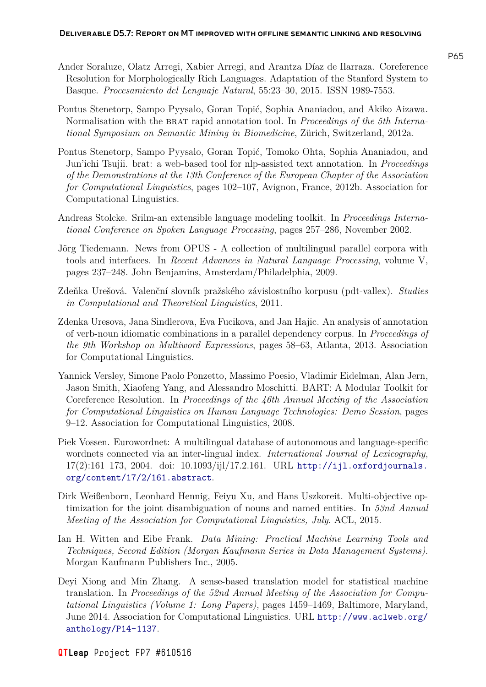- Ander Soraluze, Olatz Arregi, Xabier Arregi, and Arantza Díaz de Ilarraza. Coreference Resolution for Morphologically Rich Languages. Adaptation of the Stanford System to Basque. *Procesamiento del Lenguaje Natural*, 55:23–30, 2015. ISSN 1989-7553.
- <span id="page-64-7"></span>Pontus Stenetorp, Sampo Pyysalo, Goran Topić, Sophia Ananiadou, and Akiko Aizawa. Normalisation with the BRAT rapid annotation tool. In *Proceedings of the 5th International Symposium on Semantic Mining in Biomedicine*, Zürich, Switzerland, 2012a.
- <span id="page-64-9"></span>Pontus Stenetorp, Sampo Pyysalo, Goran Topić, Tomoko Ohta, Sophia Ananiadou, and Jun'ichi Tsujii. brat: a web-based tool for nlp-assisted text annotation. In *Proceedings of the Demonstrations at the 13th Conference of the European Chapter of the Association for Computational Linguistics*, pages 102–107, Avignon, France, 2012b. Association for Computational Linguistics.
- <span id="page-64-10"></span>Andreas Stolcke. Srilm-an extensible language modeling toolkit. In *Proceedings International Conference on Spoken Language Processing*, pages 257–286, November 2002.
- <span id="page-64-3"></span>Jörg Tiedemann. News from OPUS - A collection of multilingual parallel corpora with tools and interfaces. In *Recent Advances in Natural Language Processing*, volume V, pages 237–248. John Benjamins, Amsterdam/Philadelphia, 2009.
- <span id="page-64-1"></span>Zdeňka Urešová. Valenční slovník pražského závislostního korpusu (pdt-vallex). *Studies in Computational and Theoretical Linguistics*, 2011.
- <span id="page-64-8"></span>Zdenka Uresova, Jana Sindlerova, Eva Fucikova, and Jan Hajic. An analysis of annotation of verb-noun idiomatic combinations in a parallel dependency corpus. In *Proceedings of the 9th Workshop on Multiword Expressions*, pages 58–63, Atlanta, 2013. Association for Computational Linguistics.
- <span id="page-64-6"></span>Yannick Versley, Simone Paolo Ponzetto, Massimo Poesio, Vladimir Eidelman, Alan Jern, Jason Smith, Xiaofeng Yang, and Alessandro Moschitti. BART: A Modular Toolkit for Coreference Resolution. In *Proceedings of the 46th Annual Meeting of the Association for Computational Linguistics on Human Language Technologies: Demo Session*, pages 9–12. Association for Computational Linguistics, 2008.
- <span id="page-64-4"></span>Piek Vossen. Eurowordnet: A multilingual database of autonomous and language-specific wordnets connected via an inter-lingual index. *International Journal of Lexicography*, 17(2):161–173, 2004. doi: 10.1093/ijl/17.2.161. URL http://ijl.oxfordjournals. org/content/17/2/161.abstract.
- <span id="page-64-0"></span>Dirk Weißenborn, Leonhard Hennig, Feiyu Xu, and Hans Uszkoreit. Multi-objective optimization for the joint disambiguation of nouns and [named entities. In](http://ijl.oxfordjournals.org/content/17/2/161.abstract) *53nd Annual [Meeting of the Association for Com](http://ijl.oxfordjournals.org/content/17/2/161.abstract)putational Linguistics, July*. ACL, 2015.
- Ian H. Witten and Eibe Frank. *Data Mining: Practical Machine Learning Tools and Techniques, Second Edition (Morgan Kaufmann Series in Data Management Systems)*. Morgan Kaufmann Publishers Inc., 2005.
- <span id="page-64-5"></span><span id="page-64-2"></span>Deyi Xiong and Min Zhang. A sense-based translation model for statistical machine translation. In *Proceedings of the 52nd Annual Meeting of the Association for Computational Linguistics (Volume 1: Long Papers)*, pages 1459–1469, Baltimore, Maryland, June 2014. Association for Computational Linguistics. URL http://www.aclweb.org/ anthology/P14-1137.